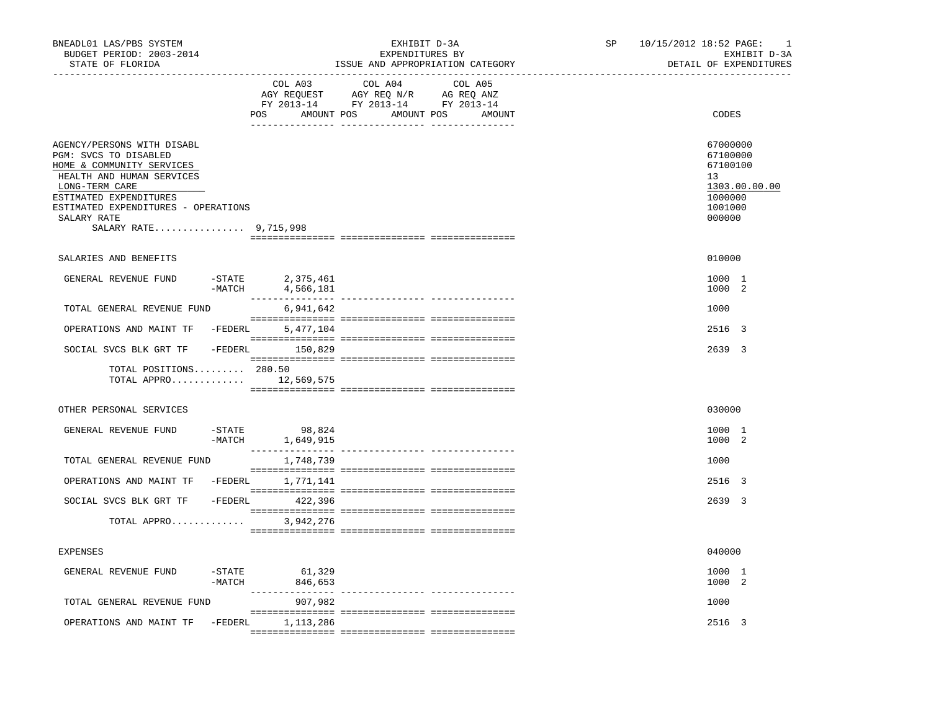| BNEADL01 LAS/PBS SYSTEM<br>BUDGET PERIOD: 2003-2014<br>STATE OF FLORIDA                                                                                                                                                                  |                       |                                      | EXHIBIT D-3A<br>EXPENDITURES BY                                                   | ISSUE AND APPROPRIATION CATEGORY | SP | 10/15/2012 18:52 PAGE:<br><sup>1</sup><br>EXHIBIT D-3A<br>DETAIL OF EXPENDITURES        |
|------------------------------------------------------------------------------------------------------------------------------------------------------------------------------------------------------------------------------------------|-----------------------|--------------------------------------|-----------------------------------------------------------------------------------|----------------------------------|----|-----------------------------------------------------------------------------------------|
|                                                                                                                                                                                                                                          |                       | COL A03<br>POS AMOUNT POS AMOUNT POS | COL A04<br>AGY REQUEST AGY REQ N/R AG REQ ANZ<br>FY 2013-14 FY 2013-14 FY 2013-14 | COL A05<br>AMOUNT                |    | CODES                                                                                   |
| AGENCY/PERSONS WITH DISABL<br>PGM: SVCS TO DISABLED<br>HOME & COMMUNITY SERVICES<br>HEALTH AND HUMAN SERVICES<br>LONG-TERM CARE<br>ESTIMATED EXPENDITURES<br>ESTIMATED EXPENDITURES - OPERATIONS<br>SALARY RATE<br>SALARY RATE 9,715,998 |                       |                                      |                                                                                   |                                  |    | 67000000<br>67100000<br>67100100<br>13<br>1303.00.00.00<br>1000000<br>1001000<br>000000 |
| SALARIES AND BENEFITS                                                                                                                                                                                                                    |                       |                                      |                                                                                   |                                  |    | 010000                                                                                  |
| GENERAL REVENUE FUND                                                                                                                                                                                                                     | $-$ STATE<br>$-MATCH$ | 2,375,461<br>4,566,181               |                                                                                   |                                  |    | 1000 1<br>1000 2                                                                        |
| TOTAL GENERAL REVENUE FUND                                                                                                                                                                                                               |                       | 6,941,642                            |                                                                                   |                                  |    | 1000                                                                                    |
| OPERATIONS AND MAINT TF -FEDERL                                                                                                                                                                                                          |                       | 5,477,104                            |                                                                                   |                                  |    | 2516 3                                                                                  |
| SOCIAL SVCS BLK GRT TF                                                                                                                                                                                                                   |                       | -FEDERL 150,829                      |                                                                                   |                                  |    | 2639 3                                                                                  |
| TOTAL POSITIONS 280.50<br>TOTAL APPRO 12,569,575                                                                                                                                                                                         |                       |                                      |                                                                                   |                                  |    |                                                                                         |
| OTHER PERSONAL SERVICES                                                                                                                                                                                                                  |                       |                                      |                                                                                   |                                  |    | 030000                                                                                  |
| GENERAL REVENUE FUND                                                                                                                                                                                                                     | $-MATCH$              | -STATE 98,824<br>1,649,915           |                                                                                   |                                  |    | 1000 1<br>1000 2                                                                        |
| TOTAL GENERAL REVENUE FUND                                                                                                                                                                                                               |                       | 1,748,739                            |                                                                                   |                                  |    | 1000                                                                                    |
| OPERATIONS AND MAINT TF -FEDERL 1,771,141                                                                                                                                                                                                |                       |                                      |                                                                                   |                                  |    | 2516 3                                                                                  |
| SOCIAL SVCS BLK GRT TF                                                                                                                                                                                                                   |                       | $-FEDERL$ 422,396                    |                                                                                   |                                  |    | 2639 3                                                                                  |
| TOTAL APPRO                                                                                                                                                                                                                              |                       | 3,942,276                            |                                                                                   |                                  |    |                                                                                         |
| <b>EXPENSES</b>                                                                                                                                                                                                                          |                       |                                      |                                                                                   |                                  |    | 040000                                                                                  |
| GENERAL REVENUE FUND                                                                                                                                                                                                                     | $-$ STATE<br>$-MATCH$ | 61,329<br>846,653                    |                                                                                   |                                  |    | 1000 1<br>1000 2                                                                        |
| TOTAL GENERAL REVENUE FUND                                                                                                                                                                                                               |                       | 907,982                              |                                                                                   |                                  |    | 1000                                                                                    |
| OPERATIONS AND MAINT TF                                                                                                                                                                                                                  |                       | -FEDERL 1,113,286                    |                                                                                   |                                  |    | 2516 3                                                                                  |
|                                                                                                                                                                                                                                          |                       |                                      |                                                                                   |                                  |    |                                                                                         |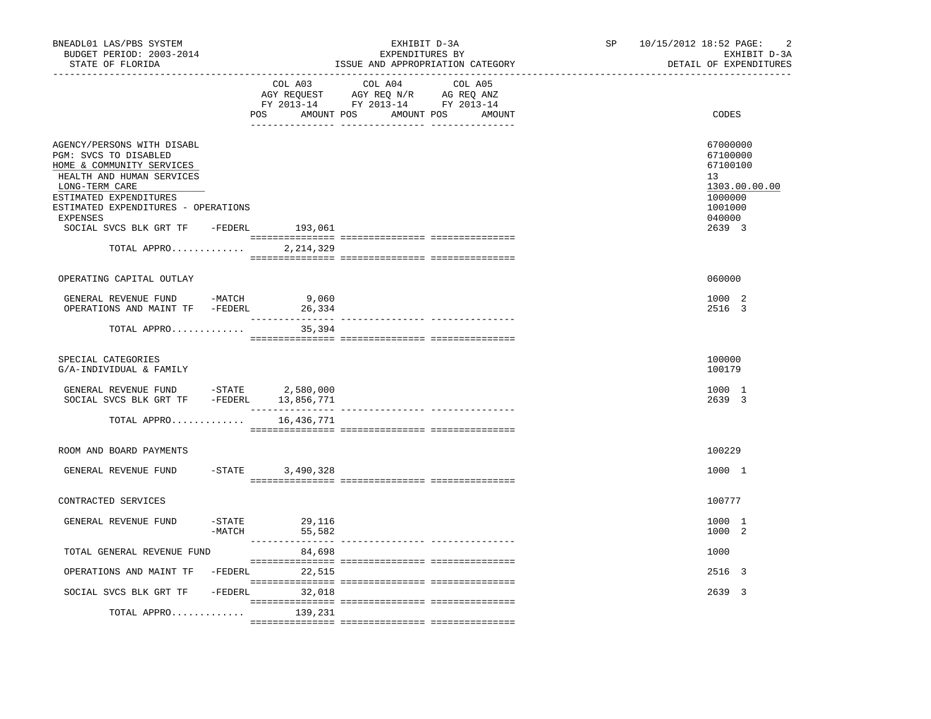| BNEADL01 LAS/PBS SYSTEM<br>BUDGET PERIOD: 2003-2014<br>STATE OF FLORIDA                                                                                                                                      |                  |                  | EXHIBIT D-3A<br>EXPENDITURES BY<br>ISSUE AND APPROPRIATION CATEGORY                                                   |         | SP | 10/15/2012 18:52 PAGE:<br>2<br>EXHIBIT D-3A<br>DETAIL OF EXPENDITURES                   |
|--------------------------------------------------------------------------------------------------------------------------------------------------------------------------------------------------------------|------------------|------------------|-----------------------------------------------------------------------------------------------------------------------|---------|----|-----------------------------------------------------------------------------------------|
|                                                                                                                                                                                                              |                  | COL A03          | COL A04<br>AGY REQUEST AGY REQ N/R AG REQ ANZ<br>FY 2013-14 FY 2013-14 FY 2013-14<br>POS AMOUNT POS AMOUNT POS AMOUNT | COL A05 |    | CODES                                                                                   |
| AGENCY/PERSONS WITH DISABL<br>PGM: SVCS TO DISABLED<br>HOME & COMMUNITY SERVICES<br>HEALTH AND HUMAN SERVICES<br>LONG-TERM CARE<br>ESTIMATED EXPENDITURES<br>ESTIMATED EXPENDITURES - OPERATIONS<br>EXPENSES |                  |                  |                                                                                                                       |         |    | 67000000<br>67100000<br>67100100<br>13<br>1303.00.00.00<br>1000000<br>1001000<br>040000 |
| SOCIAL SVCS BLK GRT TF -FEDERL                                                                                                                                                                               |                  | 193,061          |                                                                                                                       |         |    | 2639 3                                                                                  |
| TOTAL APPRO                                                                                                                                                                                                  |                  | 2,214,329        |                                                                                                                       |         |    |                                                                                         |
| OPERATING CAPITAL OUTLAY                                                                                                                                                                                     |                  |                  |                                                                                                                       |         |    | 060000                                                                                  |
| GENERAL REVENUE FUND -MATCH<br>OPERATIONS AND MAINT TF -FEDERL                                                                                                                                               |                  | 9,060<br>26,334  |                                                                                                                       |         |    | 1000 2<br>2516 3                                                                        |
| TOTAL APPRO                                                                                                                                                                                                  |                  | 35,394           |                                                                                                                       |         |    |                                                                                         |
|                                                                                                                                                                                                              |                  |                  |                                                                                                                       |         |    |                                                                                         |
| SPECIAL CATEGORIES<br>G/A-INDIVIDUAL & FAMILY                                                                                                                                                                |                  |                  |                                                                                                                       |         |    | 100000<br>100179                                                                        |
| GENERAL REVENUE FUND -STATE 2,580,000<br>SOCIAL SVCS BLK GRT TF -FEDERL 13,856,771                                                                                                                           |                  |                  |                                                                                                                       |         |    | 1000 1<br>2639 3                                                                        |
| TOTAL APPRO                                                                                                                                                                                                  |                  | 16,436,771       |                                                                                                                       |         |    |                                                                                         |
| ROOM AND BOARD PAYMENTS                                                                                                                                                                                      |                  |                  |                                                                                                                       |         |    | 100229                                                                                  |
| GENERAL REVENUE FUND                                                                                                                                                                                         | $-$ STATE        | 3,490,328        |                                                                                                                       |         |    | 1000 1                                                                                  |
|                                                                                                                                                                                                              |                  |                  |                                                                                                                       |         |    |                                                                                         |
| CONTRACTED SERVICES                                                                                                                                                                                          |                  |                  |                                                                                                                       |         |    | 100777                                                                                  |
| GENERAL REVENUE FUND                                                                                                                                                                                         | -STATE<br>-MATCH | 29,116<br>55,582 |                                                                                                                       |         |    | 1000 1<br>1000 2                                                                        |
| TOTAL GENERAL REVENUE FUND                                                                                                                                                                                   |                  | 84,698           |                                                                                                                       |         |    | 1000                                                                                    |
| OPERATIONS AND MAINT TF -FEDERL 22,515                                                                                                                                                                       |                  |                  |                                                                                                                       |         |    | 2516 3                                                                                  |
| SOCIAL SVCS BLK GRT TF                                                                                                                                                                                       |                  | $-FEDERL$ 32,018 |                                                                                                                       |         |    | 2639 3                                                                                  |
| TOTAL APPRO                                                                                                                                                                                                  |                  | 139,231          |                                                                                                                       |         |    |                                                                                         |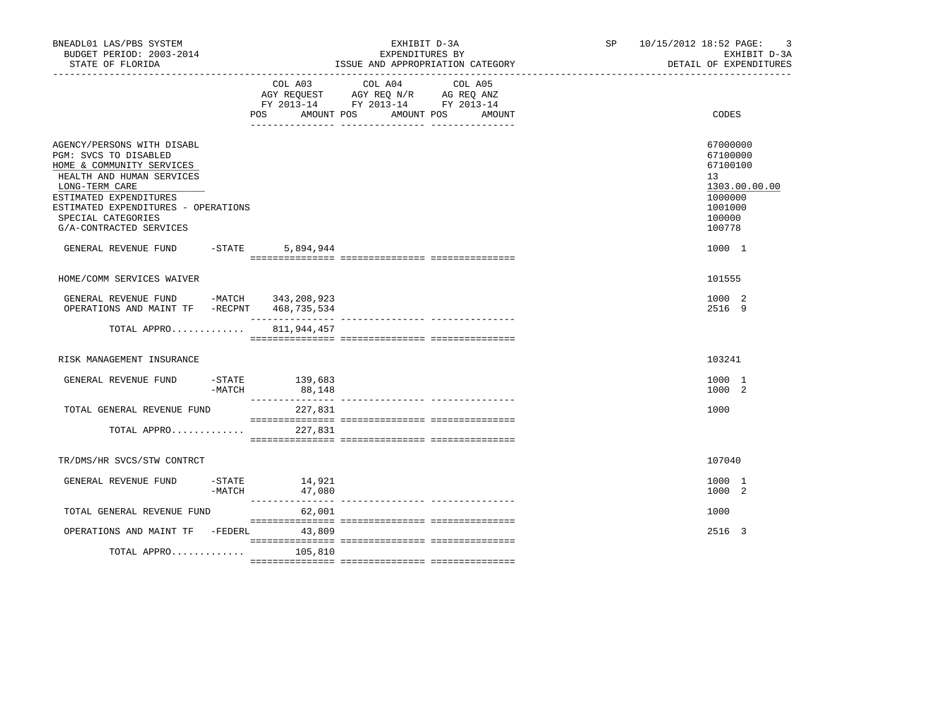| BNEADL01 LAS/PBS SYSTEM<br>BUDGET PERIOD: 2003-2014<br>STATE OF FLORIDA                                                                                                                                                                           |                     |                          | EXHIBIT D-3A<br>EXPENDITURES BY                                                                   | ISSUE AND APPROPRIATION CATEGORY | SP 10/15/2012 18:52 PAGE:<br>-3<br>EXHIBIT D-3A<br>DETAIL OF EXPENDITURES                         |
|---------------------------------------------------------------------------------------------------------------------------------------------------------------------------------------------------------------------------------------------------|---------------------|--------------------------|---------------------------------------------------------------------------------------------------|----------------------------------|---------------------------------------------------------------------------------------------------|
|                                                                                                                                                                                                                                                   |                     | AMOUNT POS<br>POS        | COL A03 COL A04 COL A05<br>AGY REQUEST AGY REQ N/R AG REQ ANZ<br>FY 2013-14 FY 2013-14 FY 2013-14 | AMOUNT POS<br>AMOUNT             | CODES                                                                                             |
| AGENCY/PERSONS WITH DISABL<br>PGM: SVCS TO DISABLED<br>HOME & COMMUNITY SERVICES<br>HEALTH AND HUMAN SERVICES<br>LONG-TERM CARE<br>ESTIMATED EXPENDITURES<br>ESTIMATED EXPENDITURES - OPERATIONS<br>SPECIAL CATEGORIES<br>G/A-CONTRACTED SERVICES |                     |                          |                                                                                                   |                                  | 67000000<br>67100000<br>67100100<br>13<br>1303.00.00.00<br>1000000<br>1001000<br>100000<br>100778 |
| GENERAL REVENUE FUND                                                                                                                                                                                                                              | $-STATE$            | 5,894,944                |                                                                                                   |                                  | 1000 1                                                                                            |
| HOME/COMM SERVICES WAIVER                                                                                                                                                                                                                         |                     |                          |                                                                                                   |                                  | 101555                                                                                            |
| GENERAL REVENUE FUND -MATCH 343, 208, 923<br>OPERATIONS AND MAINT TF -RECPNT 468,735,534                                                                                                                                                          |                     | ________________         |                                                                                                   |                                  | 1000 2<br>2516 9                                                                                  |
| TOTAL APPRO                                                                                                                                                                                                                                       |                     | 811,944,457              |                                                                                                   |                                  |                                                                                                   |
| RISK MANAGEMENT INSURANCE                                                                                                                                                                                                                         |                     |                          |                                                                                                   |                                  | 103241                                                                                            |
| GENERAL REVENUE FUND                                                                                                                                                                                                                              | $-MATCH$            | -STATE 139,683<br>88,148 |                                                                                                   |                                  | 1000 1<br>1000 2                                                                                  |
| TOTAL GENERAL REVENUE FUND<br>TOTAL APPRO                                                                                                                                                                                                         |                     | 227,831<br>227,831       |                                                                                                   |                                  | 1000                                                                                              |
|                                                                                                                                                                                                                                                   |                     |                          |                                                                                                   |                                  |                                                                                                   |
| TR/DMS/HR SVCS/STW CONTRCT                                                                                                                                                                                                                        |                     |                          |                                                                                                   |                                  | 107040                                                                                            |
| GENERAL REVENUE FUND                                                                                                                                                                                                                              | $-$ STATE<br>-MATCH | 14,921<br>47,080         |                                                                                                   |                                  | 1000 1<br>1000 2                                                                                  |
| TOTAL GENERAL REVENUE FUND                                                                                                                                                                                                                        |                     | 62,001                   |                                                                                                   |                                  | 1000                                                                                              |
| OPERATIONS AND MAINT TF -FEDERL                                                                                                                                                                                                                   |                     | 43,809                   |                                                                                                   |                                  | 2516 3                                                                                            |
| TOTAL APPRO                                                                                                                                                                                                                                       |                     | 105,810                  |                                                                                                   |                                  |                                                                                                   |
|                                                                                                                                                                                                                                                   |                     |                          |                                                                                                   |                                  |                                                                                                   |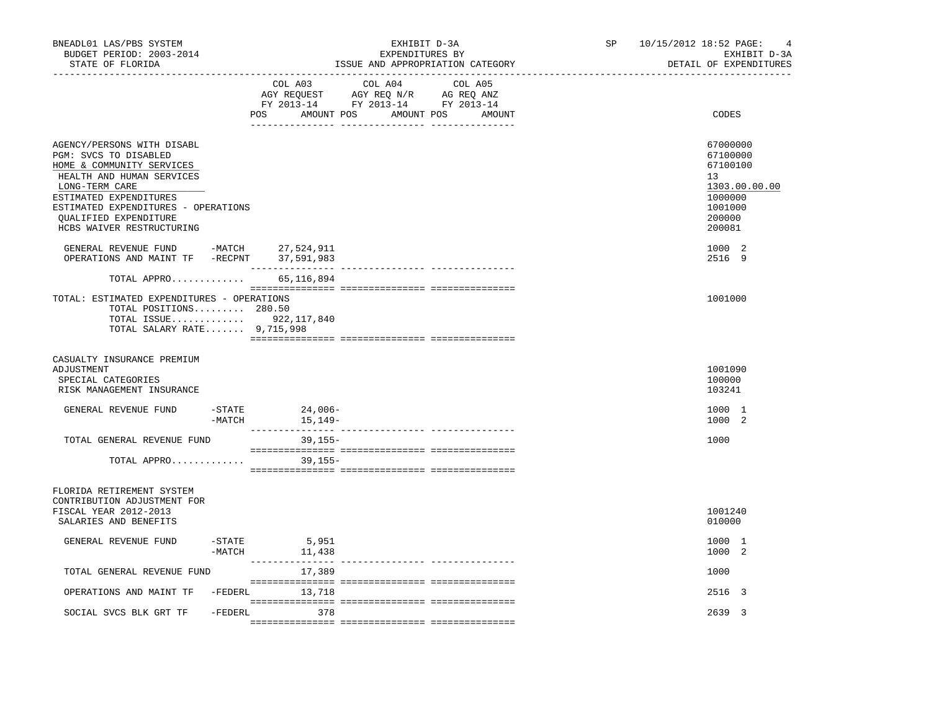| COL A03<br>COL A04<br>COL A05<br>$\begin{array}{ccccccccc}\n\text{AGY REQUEST} & & \text{GUT} & \text{AGY REQ} & \text{N/R} & & \text{GUE} & \text{AVZ} \\ \text{AGY REQUEST} & & \text{AGY REQ} & \text{ANZ} & & \text{AG REQ} & \text{ANZ} \\ \text{FY} & 2013-14 & & \text{FY} & 2013-14 & & \text{FY} & 2013-14\n\end{array}$<br>POS AMOUNT POS AMOUNT POS AMOUNT<br>CODES<br>AGENCY/PERSONS WITH DISABL<br>67000000<br>PGM: SVCS TO DISABLED<br>67100000<br>HOME & COMMUNITY SERVICES<br>67100100<br>HEALTH AND HUMAN SERVICES<br>13<br>LONG-TERM CARE<br>1303.00.00.00<br>ESTIMATED EXPENDITURES<br>1000000<br>ESTIMATED EXPENDITURES - OPERATIONS<br>1001000<br>200000<br><b>OUALIFIED EXPENDITURE</b><br>HCBS WAIVER RESTRUCTURING<br>200081<br>GENERAL REVENUE FUND -MATCH 27,524,911<br>OPERATIONS AND MAINT TF -RECPNT 37,591,983<br>1000 2<br>2516 9<br>TOTAL APPRO 65,116,894<br>TOTAL: ESTIMATED EXPENDITURES - OPERATIONS<br>1001000<br>TOTAL POSITIONS 280.50<br>TOTAL ISSUE 922, 117, 840<br>TOTAL SALARY RATE 9,715,998<br>CASUALTY INSURANCE PREMIUM<br>ADJUSTMENT<br>1001090<br>SPECIAL CATEGORIES<br>100000<br>RISK MANAGEMENT INSURANCE<br>103241<br>$-$ STATE 24,006 -<br>GENERAL REVENUE FUND<br>1000 1<br>1000 2<br>TOTAL GENERAL REVENUE FUND<br>39,155-<br>1000<br>TOTAL APPRO<br>39,155–<br>FLORIDA RETIREMENT SYSTEM<br>CONTRIBUTION ADJUSTMENT FOR<br>FISCAL YEAR 2012-2013<br>1001240<br>SALARIES AND BENEFITS<br>010000<br>GENERAL REVENUE FUND<br>$-$ STATE<br>5,951<br>1000 1<br>11,438<br>-MATCH<br>1000 2<br>TOTAL GENERAL REVENUE FUND<br>17,389<br>1000<br>OPERATIONS AND MAINT TF -FEDERL 13,718<br>2516 3<br>-FEDERL 378<br>2639 3<br>SOCIAL SVCS BLK GRT TF | BNEADL01 LAS/PBS SYSTEM<br>BUDGET PERIOD: 2003-2014<br>STATE OF FLORIDA |  | EXHIBIT D-3A<br>EXPENDITURES BY<br>ISSUE AND APPROPRIATION CATEGORY<br>-------------------- |  |  | SP. | 10/15/2012 18:52 PAGE:<br>4<br>EXHIBIT D-3A<br>DETAIL OF EXPENDITURES |
|------------------------------------------------------------------------------------------------------------------------------------------------------------------------------------------------------------------------------------------------------------------------------------------------------------------------------------------------------------------------------------------------------------------------------------------------------------------------------------------------------------------------------------------------------------------------------------------------------------------------------------------------------------------------------------------------------------------------------------------------------------------------------------------------------------------------------------------------------------------------------------------------------------------------------------------------------------------------------------------------------------------------------------------------------------------------------------------------------------------------------------------------------------------------------------------------------------------------------------------------------------------------------------------------------------------------------------------------------------------------------------------------------------------------------------------------------------------------------------------------------------------------------------------------------------------------------------------------------------------------------------------------------------------------------------------------------|-------------------------------------------------------------------------|--|---------------------------------------------------------------------------------------------|--|--|-----|-----------------------------------------------------------------------|
|                                                                                                                                                                                                                                                                                                                                                                                                                                                                                                                                                                                                                                                                                                                                                                                                                                                                                                                                                                                                                                                                                                                                                                                                                                                                                                                                                                                                                                                                                                                                                                                                                                                                                                      |                                                                         |  |                                                                                             |  |  |     |                                                                       |
|                                                                                                                                                                                                                                                                                                                                                                                                                                                                                                                                                                                                                                                                                                                                                                                                                                                                                                                                                                                                                                                                                                                                                                                                                                                                                                                                                                                                                                                                                                                                                                                                                                                                                                      |                                                                         |  |                                                                                             |  |  |     |                                                                       |
|                                                                                                                                                                                                                                                                                                                                                                                                                                                                                                                                                                                                                                                                                                                                                                                                                                                                                                                                                                                                                                                                                                                                                                                                                                                                                                                                                                                                                                                                                                                                                                                                                                                                                                      |                                                                         |  |                                                                                             |  |  |     |                                                                       |
|                                                                                                                                                                                                                                                                                                                                                                                                                                                                                                                                                                                                                                                                                                                                                                                                                                                                                                                                                                                                                                                                                                                                                                                                                                                                                                                                                                                                                                                                                                                                                                                                                                                                                                      |                                                                         |  |                                                                                             |  |  |     |                                                                       |
|                                                                                                                                                                                                                                                                                                                                                                                                                                                                                                                                                                                                                                                                                                                                                                                                                                                                                                                                                                                                                                                                                                                                                                                                                                                                                                                                                                                                                                                                                                                                                                                                                                                                                                      |                                                                         |  |                                                                                             |  |  |     |                                                                       |
|                                                                                                                                                                                                                                                                                                                                                                                                                                                                                                                                                                                                                                                                                                                                                                                                                                                                                                                                                                                                                                                                                                                                                                                                                                                                                                                                                                                                                                                                                                                                                                                                                                                                                                      |                                                                         |  |                                                                                             |  |  |     |                                                                       |
|                                                                                                                                                                                                                                                                                                                                                                                                                                                                                                                                                                                                                                                                                                                                                                                                                                                                                                                                                                                                                                                                                                                                                                                                                                                                                                                                                                                                                                                                                                                                                                                                                                                                                                      |                                                                         |  |                                                                                             |  |  |     |                                                                       |
|                                                                                                                                                                                                                                                                                                                                                                                                                                                                                                                                                                                                                                                                                                                                                                                                                                                                                                                                                                                                                                                                                                                                                                                                                                                                                                                                                                                                                                                                                                                                                                                                                                                                                                      |                                                                         |  |                                                                                             |  |  |     |                                                                       |
|                                                                                                                                                                                                                                                                                                                                                                                                                                                                                                                                                                                                                                                                                                                                                                                                                                                                                                                                                                                                                                                                                                                                                                                                                                                                                                                                                                                                                                                                                                                                                                                                                                                                                                      |                                                                         |  |                                                                                             |  |  |     |                                                                       |
|                                                                                                                                                                                                                                                                                                                                                                                                                                                                                                                                                                                                                                                                                                                                                                                                                                                                                                                                                                                                                                                                                                                                                                                                                                                                                                                                                                                                                                                                                                                                                                                                                                                                                                      |                                                                         |  |                                                                                             |  |  |     |                                                                       |
|                                                                                                                                                                                                                                                                                                                                                                                                                                                                                                                                                                                                                                                                                                                                                                                                                                                                                                                                                                                                                                                                                                                                                                                                                                                                                                                                                                                                                                                                                                                                                                                                                                                                                                      |                                                                         |  |                                                                                             |  |  |     |                                                                       |
|                                                                                                                                                                                                                                                                                                                                                                                                                                                                                                                                                                                                                                                                                                                                                                                                                                                                                                                                                                                                                                                                                                                                                                                                                                                                                                                                                                                                                                                                                                                                                                                                                                                                                                      |                                                                         |  |                                                                                             |  |  |     |                                                                       |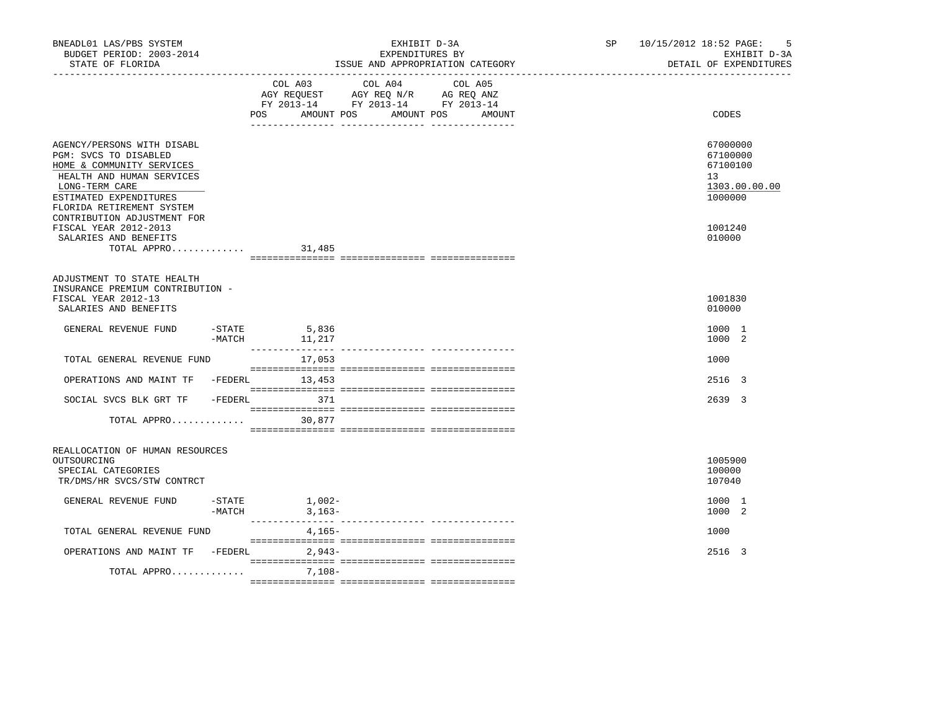| BNEADL01 LAS/PBS SYSTEM<br>BUDGET PERIOD: 2003-2014<br>STATE OF FLORIDA                                                                                                                |                              | EXHIBIT D-3A<br>EXPENDITURES BY<br>ISSUE AND APPROPRIATION CATEGORY                                                          | SP | 10/15/2012 18:52 PAGE:<br>-5<br>EXHIBIT D-3A<br>DETAIL OF EXPENDITURES |
|----------------------------------------------------------------------------------------------------------------------------------------------------------------------------------------|------------------------------|------------------------------------------------------------------------------------------------------------------------------|----|------------------------------------------------------------------------|
|                                                                                                                                                                                        | POS<br>AMOUNT POS            | COL A03 COL A04<br>COL A05<br>AGY REQUEST AGY REQ N/R AG REQ ANZ<br>FY 2013-14 FY 2013-14 FY 2013-14<br>AMOUNT POS<br>AMOUNT |    | CODES                                                                  |
| AGENCY/PERSONS WITH DISABL<br>PGM: SVCS TO DISABLED<br>HOME & COMMUNITY SERVICES<br>HEALTH AND HUMAN SERVICES<br>LONG-TERM CARE<br>ESTIMATED EXPENDITURES<br>FLORIDA RETIREMENT SYSTEM |                              |                                                                                                                              |    | 67000000<br>67100000<br>67100100<br>13<br>1303.00.00.00<br>1000000     |
| CONTRIBUTION ADJUSTMENT FOR<br>FISCAL YEAR 2012-2013<br>SALARIES AND BENEFITS<br>TOTAL APPRO                                                                                           | 31,485                       |                                                                                                                              |    | 1001240<br>010000                                                      |
| ADJUSTMENT TO STATE HEALTH<br>INSURANCE PREMIUM CONTRIBUTION -<br>FISCAL YEAR 2012-13<br>SALARIES AND BENEFITS                                                                         |                              |                                                                                                                              |    | 1001830<br>010000                                                      |
| GENERAL REVENUE FUND<br>$-MATCH$                                                                                                                                                       | $-$ STATE 5,836<br>11,217    |                                                                                                                              |    | 1000 1<br>1000 2                                                       |
| TOTAL GENERAL REVENUE FUND                                                                                                                                                             | 17,053                       |                                                                                                                              |    | 1000                                                                   |
| OPERATIONS AND MAINT TF -FEDERL 13,453                                                                                                                                                 |                              |                                                                                                                              |    | 2516 3                                                                 |
| SOCIAL SVCS BLK GRT TF - FEDERL 371                                                                                                                                                    |                              |                                                                                                                              |    | 2639 3                                                                 |
| TOTAL APPRO 30,877                                                                                                                                                                     |                              |                                                                                                                              |    |                                                                        |
| REALLOCATION OF HUMAN RESOURCES<br>OUTSOURCING<br>SPECIAL CATEGORIES<br>TR/DMS/HR SVCS/STW CONTRCT                                                                                     |                              |                                                                                                                              |    | 1005900<br>100000<br>107040                                            |
| GENERAL REVENUE FUND<br>$-MATCH$                                                                                                                                                       | $-$ STATE $1,002-$<br>3,163– |                                                                                                                              |    | 1000 1<br>1000 2                                                       |
| TOTAL GENERAL REVENUE FUND                                                                                                                                                             | 4,165-                       |                                                                                                                              |    | 1000                                                                   |
| OPERATIONS AND MAINT TF -FEDERL                                                                                                                                                        | 2,943-                       |                                                                                                                              |    | 2516 3                                                                 |
| TOTAL APPRO                                                                                                                                                                            | 7,108-                       |                                                                                                                              |    |                                                                        |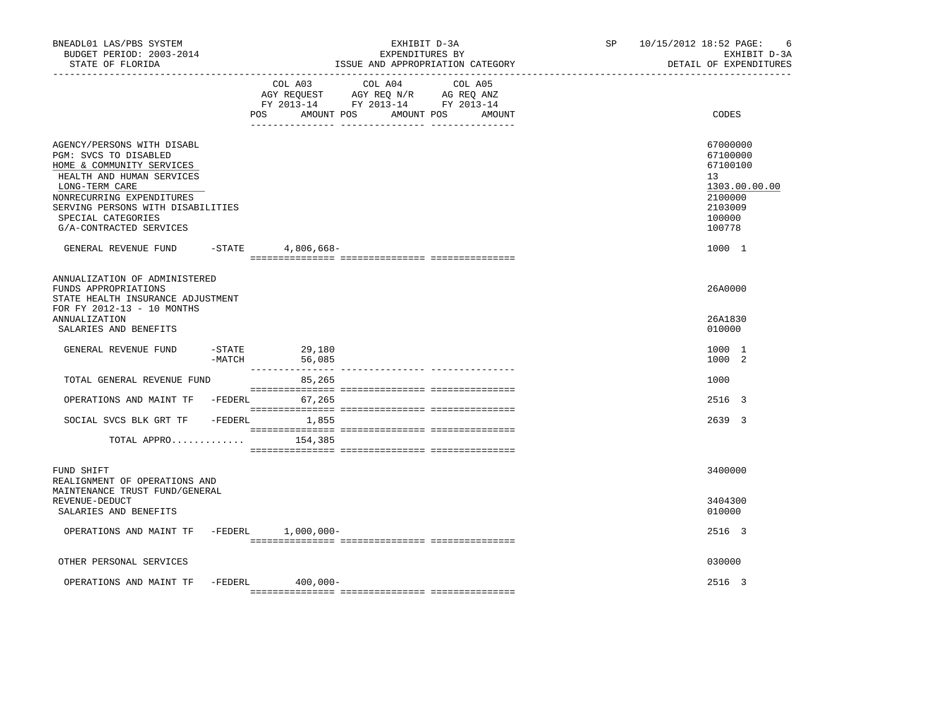| BUDGET PERIOD: 2003-2014<br>STATE OF FLORIDA                                                                                                                                                                                                                               |          |                            | EXHIBIT D-3A<br>EXPENDITURES BY<br>ISSUE AND APPROPRIATION CATEGORY                                                               | SP <sub>2</sub> | 10/15/2012 18:52 PAGE:<br>- 6<br>EXHIBIT D-3A<br>DETAIL OF EXPENDITURES                                     |
|----------------------------------------------------------------------------------------------------------------------------------------------------------------------------------------------------------------------------------------------------------------------------|----------|----------------------------|-----------------------------------------------------------------------------------------------------------------------------------|-----------------|-------------------------------------------------------------------------------------------------------------|
|                                                                                                                                                                                                                                                                            |          | POS                        | COL A03 COL A04 COL A05<br>AGY REQUEST AGY REQ N/R AG REQ ANZ<br>FY 2013-14 FY 2013-14 FY 2013-14<br>AMOUNT POS AMOUNT POS AMOUNT |                 | CODES                                                                                                       |
| AGENCY/PERSONS WITH DISABL<br>PGM: SVCS TO DISABLED<br>HOME & COMMUNITY SERVICES<br>HEALTH AND HUMAN SERVICES<br>LONG-TERM CARE<br>NONRECURRING EXPENDITURES<br>SERVING PERSONS WITH DISABILITIES<br>SPECIAL CATEGORIES<br>G/A-CONTRACTED SERVICES<br>GENERAL REVENUE FUND |          | -STATE 4,806,668-          |                                                                                                                                   |                 | 67000000<br>67100000<br>67100100<br>13<br>1303.00.00.00<br>2100000<br>2103009<br>100000<br>100778<br>1000 1 |
|                                                                                                                                                                                                                                                                            |          |                            |                                                                                                                                   |                 |                                                                                                             |
| ANNUALIZATION OF ADMINISTERED<br>FUNDS APPROPRIATIONS<br>STATE HEALTH INSURANCE ADJUSTMENT<br>FOR FY 2012-13 - 10 MONTHS<br>ANNUALIZATION                                                                                                                                  |          |                            |                                                                                                                                   |                 | 26A0000<br>26A1830                                                                                          |
| SALARIES AND BENEFITS                                                                                                                                                                                                                                                      |          |                            |                                                                                                                                   |                 | 010000                                                                                                      |
| GENERAL REVENUE FUND                                                                                                                                                                                                                                                       | $-MATCH$ | $-$ STATE 29,180<br>56,085 |                                                                                                                                   |                 | 1000 1<br>1000 2                                                                                            |
|                                                                                                                                                                                                                                                                            |          |                            |                                                                                                                                   |                 |                                                                                                             |
| TOTAL GENERAL REVENUE FUND                                                                                                                                                                                                                                                 |          | 85,265                     |                                                                                                                                   |                 | 1000                                                                                                        |
| OPERATIONS AND MAINT TF -FEDERL                                                                                                                                                                                                                                            |          | 67,265                     |                                                                                                                                   |                 | 2516 3                                                                                                      |
| SOCIAL SVCS BLK GRT TF                                                                                                                                                                                                                                                     |          | -FEDERL 1,855              |                                                                                                                                   |                 | 2639 3                                                                                                      |
| TOTAL APPRO $154,385$                                                                                                                                                                                                                                                      |          |                            |                                                                                                                                   |                 |                                                                                                             |
| FUND SHIFT<br>REALIGNMENT OF OPERATIONS AND<br>MAINTENANCE TRUST FUND/GENERAL                                                                                                                                                                                              |          |                            |                                                                                                                                   |                 | 3400000                                                                                                     |
| REVENUE-DEDUCT<br>SALARIES AND BENEFITS                                                                                                                                                                                                                                    |          |                            |                                                                                                                                   |                 | 3404300<br>010000                                                                                           |
| OPERATIONS AND MAINT TF -FEDERL 1,000,000-                                                                                                                                                                                                                                 |          |                            |                                                                                                                                   |                 | 2516 3                                                                                                      |
| OTHER PERSONAL SERVICES                                                                                                                                                                                                                                                    |          |                            |                                                                                                                                   |                 | 030000                                                                                                      |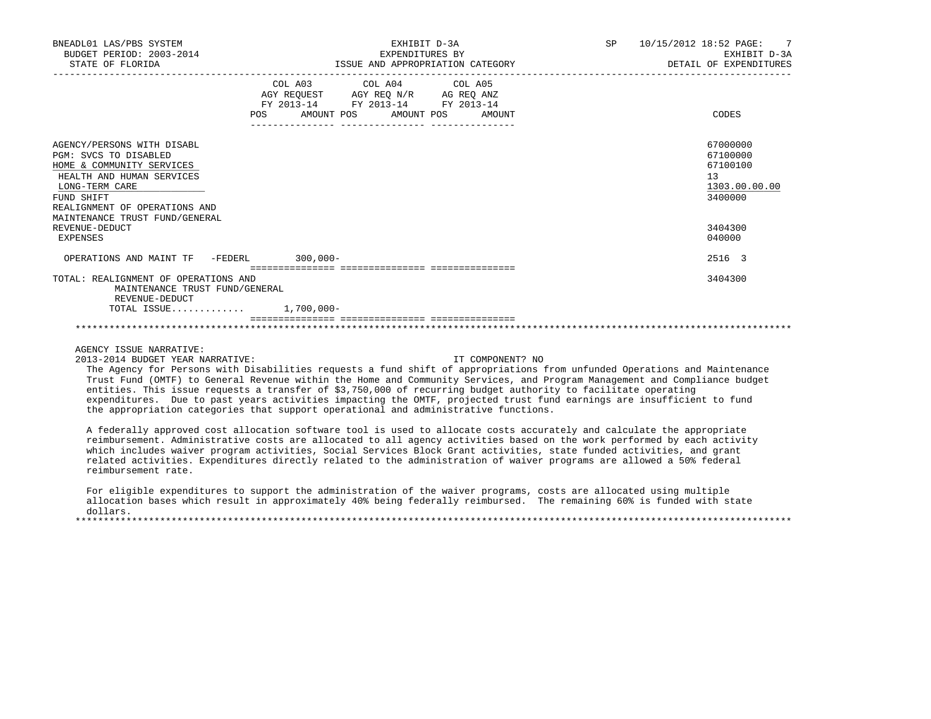| BNEADL01 LAS/PBS SYSTEM<br>BUDGET PERIOD: 2003-2014<br>STATE OF FLORIDA                                                                                                                                          | EXHIBIT D-3A<br>EXPENDITURES BY<br>ISSUE AND APPROPRIATION CATEGORY                                                                                                                  | SP<br>10/15/2012 18:52 PAGE: 7<br>EXHIBIT D-3A<br>DETAIL OF EXPENDITURES |
|------------------------------------------------------------------------------------------------------------------------------------------------------------------------------------------------------------------|--------------------------------------------------------------------------------------------------------------------------------------------------------------------------------------|--------------------------------------------------------------------------|
|                                                                                                                                                                                                                  | COL A03 COL A04 COL A05<br>AGY REQUEST AGY REQ N/R AG REQ ANZ<br>FY 2013-14 FY 2013-14 FY 2013-14<br>POS<br>AMOUNT POS<br>AMOUNT POS<br>AMOUNT<br>---------------- ----------------- | CODES                                                                    |
| AGENCY/PERSONS WITH DISABL<br>PGM: SVCS TO DISABLED<br>HOME & COMMUNITY SERVICES<br>HEALTH AND HUMAN SERVICES<br>LONG-TERM CARE<br>FUND SHIFT<br>REALIGNMENT OF OPERATIONS AND<br>MAINTENANCE TRUST FUND/GENERAL |                                                                                                                                                                                      | 67000000<br>67100000<br>67100100<br>13<br>1303.00.00.00<br>3400000       |
| REVENUE-DEDUCT<br>EXPENSES                                                                                                                                                                                       |                                                                                                                                                                                      | 3404300<br>040000                                                        |
| OPERATIONS AND MAINT TF -FEDERL 300,000-                                                                                                                                                                         |                                                                                                                                                                                      | 2516 3                                                                   |
| TOTAL: REALIGNMENT OF OPERATIONS AND<br>MAINTENANCE TRUST FUND/GENERAL<br>REVENUE-DEDUCT                                                                                                                         |                                                                                                                                                                                      | 3404300                                                                  |
| TOTAL ISSUE 1,700,000-                                                                                                                                                                                           | ___________________________________                                                                                                                                                  |                                                                          |

## AGENCY ISSUE NARRATIVE:

2013-2014 BUDGET YEAR NARRATIVE: IT COMPONENT? NO

 The Agency for Persons with Disabilities requests a fund shift of appropriations from unfunded Operations and Maintenance Trust Fund (OMTF) to General Revenue within the Home and Community Services, and Program Management and Compliance budget entities. This issue requests a transfer of \$3,750,000 of recurring budget authority to facilitate operating expenditures. Due to past years activities impacting the OMTF, projected trust fund earnings are insufficient to fund the appropriation categories that support operational and administrative functions.

 A federally approved cost allocation software tool is used to allocate costs accurately and calculate the appropriate reimbursement. Administrative costs are allocated to all agency activities based on the work performed by each activity which includes waiver program activities, Social Services Block Grant activities, state funded activities, and grant related activities. Expenditures directly related to the administration of waiver programs are allowed a 50% federal reimbursement rate.

 For eligible expenditures to support the administration of the waiver programs, costs are allocated using multiple allocation bases which result in approximately 40% being federally reimbursed. The remaining 60% is funded with state dollars. \*\*\*\*\*\*\*\*\*\*\*\*\*\*\*\*\*\*\*\*\*\*\*\*\*\*\*\*\*\*\*\*\*\*\*\*\*\*\*\*\*\*\*\*\*\*\*\*\*\*\*\*\*\*\*\*\*\*\*\*\*\*\*\*\*\*\*\*\*\*\*\*\*\*\*\*\*\*\*\*\*\*\*\*\*\*\*\*\*\*\*\*\*\*\*\*\*\*\*\*\*\*\*\*\*\*\*\*\*\*\*\*\*\*\*\*\*\*\*\*\*\*\*\*\*\*\*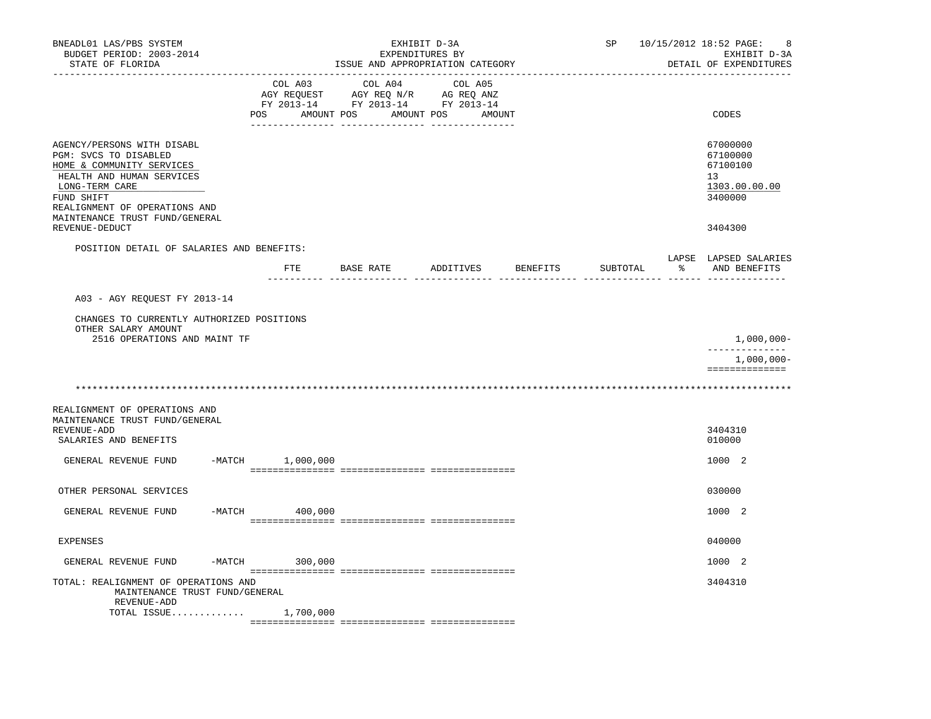| BNEADL01 LAS/PBS SYSTEM<br>BUDGET PERIOD: 2003-2014                                                                                                                                                              |                              | EXHIBIT D-3A<br>EXPENDITURES BY                                                                                                                                                                                                               |                   | SP       |     | 10/15/2012 18:52 PAGE:<br>8<br>EXHIBIT D-3A                        |
|------------------------------------------------------------------------------------------------------------------------------------------------------------------------------------------------------------------|------------------------------|-----------------------------------------------------------------------------------------------------------------------------------------------------------------------------------------------------------------------------------------------|-------------------|----------|-----|--------------------------------------------------------------------|
| STATE OF FLORIDA                                                                                                                                                                                                 |                              | ISSUE AND APPROPRIATION CATEGORY                                                                                                                                                                                                              |                   |          |     | DETAIL OF EXPENDITURES                                             |
|                                                                                                                                                                                                                  | COL A03<br>AMOUNT POS<br>POS | COL A04<br>$\begin{tabular}{lllllllllll} \bf{AGY} & \bf{REQUEST} & \bf{AGY} & \bf{REQ} & \bf{N/R} & \bf{AG} & \bf{REQ} & \bf{ANZ} \\ \bf{FY} & \bf{2013-14} & \bf{FY} & \bf{2013-14} & \bf{FY} & \bf{2013-14} \\ \end{tabular}$<br>AMOUNT POS | COL A05<br>AMOUNT |          |     | CODES                                                              |
| AGENCY/PERSONS WITH DISABL<br>PGM: SVCS TO DISABLED<br>HOME & COMMUNITY SERVICES<br>HEALTH AND HUMAN SERVICES<br>LONG-TERM CARE<br>FUND SHIFT<br>REALIGNMENT OF OPERATIONS AND<br>MAINTENANCE TRUST FUND/GENERAL |                              |                                                                                                                                                                                                                                               |                   |          |     | 67000000<br>67100000<br>67100100<br>13<br>1303.00.00.00<br>3400000 |
| REVENUE-DEDUCT                                                                                                                                                                                                   |                              |                                                                                                                                                                                                                                               |                   |          |     | 3404300                                                            |
| POSITION DETAIL OF SALARIES AND BENEFITS:                                                                                                                                                                        |                              |                                                                                                                                                                                                                                               |                   |          |     | LAPSE LAPSED SALARIES                                              |
|                                                                                                                                                                                                                  | FTE.                         | BASE RATE ADDITIVES BENEFITS                                                                                                                                                                                                                  |                   | SUBTOTAL | း ေ | AND BENEFITS                                                       |
| A03 - AGY REOUEST FY 2013-14                                                                                                                                                                                     |                              |                                                                                                                                                                                                                                               |                   |          |     |                                                                    |
| CHANGES TO CURRENTLY AUTHORIZED POSITIONS                                                                                                                                                                        |                              |                                                                                                                                                                                                                                               |                   |          |     |                                                                    |
| OTHER SALARY AMOUNT<br>2516 OPERATIONS AND MAINT TF                                                                                                                                                              |                              |                                                                                                                                                                                                                                               |                   |          |     | $1,000,000-$                                                       |
|                                                                                                                                                                                                                  |                              |                                                                                                                                                                                                                                               |                   |          |     | --------------<br>$1,000,000-$                                     |
|                                                                                                                                                                                                                  |                              |                                                                                                                                                                                                                                               |                   |          |     | ==============                                                     |
|                                                                                                                                                                                                                  |                              |                                                                                                                                                                                                                                               |                   |          |     |                                                                    |
| REALIGNMENT OF OPERATIONS AND<br>MAINTENANCE TRUST FUND/GENERAL<br>REVENUE-ADD<br>SALARIES AND BENEFITS                                                                                                          |                              |                                                                                                                                                                                                                                               |                   |          |     | 3404310<br>010000                                                  |
| GENERAL REVENUE FUND                                                                                                                                                                                             | $-MATCH$ 1,000,000           |                                                                                                                                                                                                                                               |                   |          |     | 1000 2                                                             |
|                                                                                                                                                                                                                  |                              |                                                                                                                                                                                                                                               |                   |          |     |                                                                    |
| OTHER PERSONAL SERVICES                                                                                                                                                                                          |                              |                                                                                                                                                                                                                                               |                   |          |     | 030000                                                             |
| GENERAL REVENUE FUND                                                                                                                                                                                             | $-MATCH$ 400,000             |                                                                                                                                                                                                                                               |                   |          |     | 1000 2                                                             |
| <b>EXPENSES</b>                                                                                                                                                                                                  |                              |                                                                                                                                                                                                                                               |                   |          |     | 040000                                                             |
| -MATCH<br>GENERAL REVENUE FUND                                                                                                                                                                                   | 300,000                      |                                                                                                                                                                                                                                               |                   |          |     | 1000 2                                                             |
| TOTAL: REALIGNMENT OF OPERATIONS AND<br>MAINTENANCE TRUST FUND/GENERAL                                                                                                                                           |                              |                                                                                                                                                                                                                                               |                   |          |     | 3404310                                                            |
| REVENUE-ADD<br>TOTAL ISSUE $1,700,000$                                                                                                                                                                           |                              |                                                                                                                                                                                                                                               |                   |          |     |                                                                    |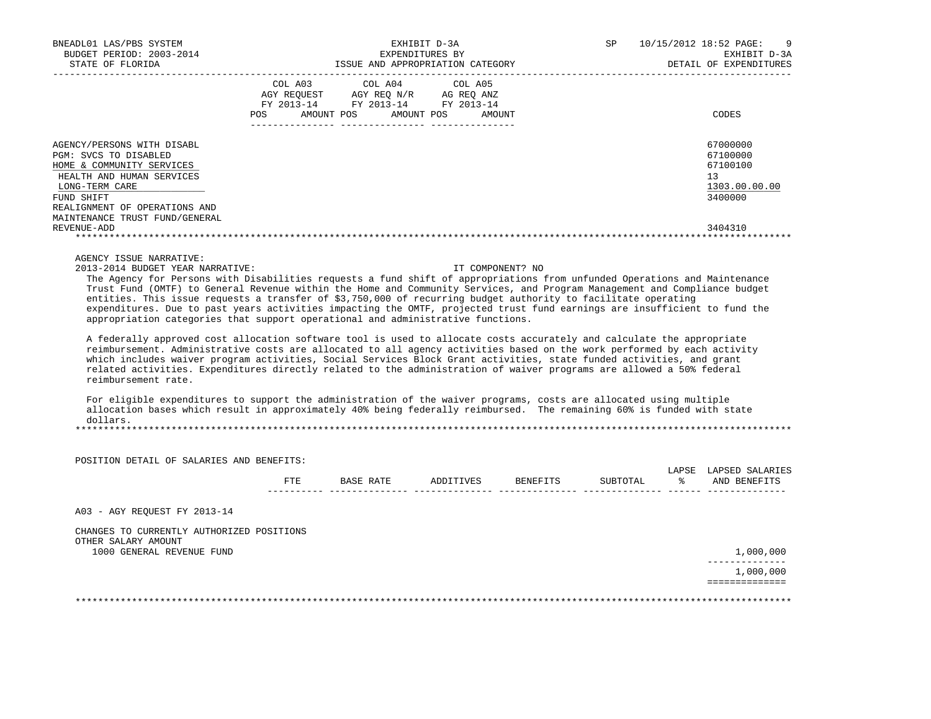| BNEADL01 LAS/PBS SYSTEM<br>BUDGET PERIOD: 2003-2014<br>STATE OF FLORIDA                                                                                                                                          |     | EXHIBIT D-3A<br>EXPENDITURES BY                                                                                                            | ISSUE AND APPROPRIATION CATEGORY | <b>SP</b> | 10/15/2012 18:52 PAGE: 9<br>EXHIBIT D-3A<br>DETAIL OF EXPENDITURES |
|------------------------------------------------------------------------------------------------------------------------------------------------------------------------------------------------------------------|-----|--------------------------------------------------------------------------------------------------------------------------------------------|----------------------------------|-----------|--------------------------------------------------------------------|
|                                                                                                                                                                                                                  | POS | COL A03 COL A04 COL A05<br>AGY REQUEST AGY REQ N/R AG REQ ANZ<br>FY 2013-14 FY 2013-14 FY 2013-14<br>AMOUNT POS AMOUNT POS<br>------------ | AMOUNT                           |           | CODES                                                              |
| AGENCY/PERSONS WITH DISABL<br>PGM: SVCS TO DISABLED<br>HOME & COMMUNITY SERVICES<br>HEALTH AND HUMAN SERVICES<br>LONG-TERM CARE<br>FUND SHIFT<br>REALIGNMENT OF OPERATIONS AND<br>MAINTENANCE TRUST FUND/GENERAL |     |                                                                                                                                            |                                  |           | 67000000<br>67100000<br>67100100<br>13<br>1303.00.00.00<br>3400000 |
| REVENUE-ADD                                                                                                                                                                                                      |     |                                                                                                                                            |                                  |           | 3404310                                                            |
| AGENCY ISSUE NARRATIVE:<br>2013-2014 BUDGET YEAR NARRATIVE:                                                                                                                                                      |     |                                                                                                                                            | IT COMPONENT? NO                 |           |                                                                    |

 The Agency for Persons with Disabilities requests a fund shift of appropriations from unfunded Operations and Maintenance Trust Fund (OMTF) to General Revenue within the Home and Community Services, and Program Management and Compliance budget entities. This issue requests a transfer of \$3,750,000 of recurring budget authority to facilitate operating expenditures. Due to past years activities impacting the OMTF, projected trust fund earnings are insufficient to fund the appropriation categories that support operational and administrative functions.

 A federally approved cost allocation software tool is used to allocate costs accurately and calculate the appropriate reimbursement. Administrative costs are allocated to all agency activities based on the work performed by each activity which includes waiver program activities, Social Services Block Grant activities, state funded activities, and grant related activities. Expenditures directly related to the administration of waiver programs are allowed a 50% federal reimbursement rate.

 For eligible expenditures to support the administration of the waiver programs, costs are allocated using multiple allocation bases which result in approximately 40% being federally reimbursed. The remaining 60% is funded with state dollars. \*\*\*\*\*\*\*\*\*\*\*\*\*\*\*\*\*\*\*\*\*\*\*\*\*\*\*\*\*\*\*\*\*\*\*\*\*\*\*\*\*\*\*\*\*\*\*\*\*\*\*\*\*\*\*\*\*\*\*\*\*\*\*\*\*\*\*\*\*\*\*\*\*\*\*\*\*\*\*\*\*\*\*\*\*\*\*\*\*\*\*\*\*\*\*\*\*\*\*\*\*\*\*\*\*\*\*\*\*\*\*\*\*\*\*\*\*\*\*\*\*\*\*\*\*\*\*

|                                           | FTE | BASE RATE | ADDITIVES | BENEFITS | SUBTOTAL | LAPSE<br>ዱ | LAPSED SALARIES<br>AND BENEFITS |
|-------------------------------------------|-----|-----------|-----------|----------|----------|------------|---------------------------------|
| A03 - AGY REOUEST FY 2013-14              |     |           |           |          |          |            |                                 |
| CHANGES TO CURRENTLY AUTHORIZED POSITIONS |     |           |           |          |          |            |                                 |
| OTHER SALARY AMOUNT                       |     |           |           |          |          |            | 1,000,000                       |
| 1000 GENERAL REVENUE FUND                 |     |           |           |          |          |            |                                 |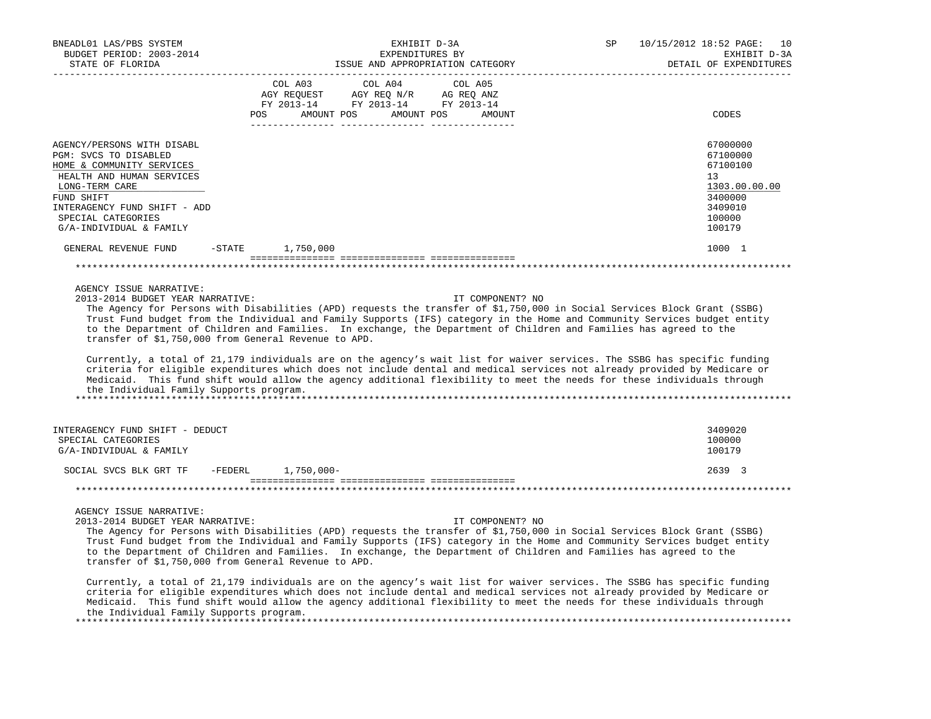| BNEADL01 LAS/PBS SYSTEM                                                                                                                                                    |                                                                                                                                                                                                                                                                                                                                                                                                                               | EXHIBIT D-3A    |                  | SP | 10/15/2012 18:52 PAGE:<br>10                                                                                                                                                                                                                         |
|----------------------------------------------------------------------------------------------------------------------------------------------------------------------------|-------------------------------------------------------------------------------------------------------------------------------------------------------------------------------------------------------------------------------------------------------------------------------------------------------------------------------------------------------------------------------------------------------------------------------|-----------------|------------------|----|------------------------------------------------------------------------------------------------------------------------------------------------------------------------------------------------------------------------------------------------------|
| BUDGET PERIOD: 2003-2014                                                                                                                                                   |                                                                                                                                                                                                                                                                                                                                                                                                                               | EXPENDITURES BY |                  |    | EXHIBIT D-3A                                                                                                                                                                                                                                         |
| STATE OF FLORIDA                                                                                                                                                           | -------------------                                                                                                                                                                                                                                                                                                                                                                                                           |                 |                  |    | DETAIL OF EXPENDITURES                                                                                                                                                                                                                               |
|                                                                                                                                                                            | COL A03 COL A04                                                                                                                                                                                                                                                                                                                                                                                                               | COL A05         |                  |    |                                                                                                                                                                                                                                                      |
|                                                                                                                                                                            | $\begin{tabular}{lllllll} \bf AGY \,\, & & & & & & & \\ \bf AGY \,\, & & & & & & & \\ \bf FY \,\, & & & & & & \\ \bf FY \,\, & & & & & & \\ \bf FY \,\, & & & & & & \\ \bf SY \,\, & & & & & \\ \bf SY \,\, & & & & & \\ \bf ZQ13-14 \,\, & & & & & & \\ \bf SY \,\, & & & & & \\ \bf ZQ13-14 \,\, & & & & & \\ \bf ZQ13-14 \,\, & & & & & \\ \bf ZQ13-14 \,\, & & & & & \\ \bf ZQ13-14 \,\, & & & & & \\ \bf ZQ13-14 \,\, &$ |                 |                  |    |                                                                                                                                                                                                                                                      |
|                                                                                                                                                                            |                                                                                                                                                                                                                                                                                                                                                                                                                               |                 |                  |    |                                                                                                                                                                                                                                                      |
|                                                                                                                                                                            | POS AMOUNT POS AMOUNT POS AMOUNT                                                                                                                                                                                                                                                                                                                                                                                              |                 |                  |    | CODES                                                                                                                                                                                                                                                |
|                                                                                                                                                                            |                                                                                                                                                                                                                                                                                                                                                                                                                               |                 |                  |    |                                                                                                                                                                                                                                                      |
| AGENCY/PERSONS WITH DISABL                                                                                                                                                 |                                                                                                                                                                                                                                                                                                                                                                                                                               |                 |                  |    | 67000000                                                                                                                                                                                                                                             |
| PGM: SVCS TO DISABLED                                                                                                                                                      |                                                                                                                                                                                                                                                                                                                                                                                                                               |                 |                  |    | 67100000                                                                                                                                                                                                                                             |
| HOME & COMMUNITY SERVICES                                                                                                                                                  |                                                                                                                                                                                                                                                                                                                                                                                                                               |                 |                  |    | 67100100                                                                                                                                                                                                                                             |
| HEALTH AND HUMAN SERVICES                                                                                                                                                  |                                                                                                                                                                                                                                                                                                                                                                                                                               |                 |                  |    | 13                                                                                                                                                                                                                                                   |
| LONG-TERM CARE                                                                                                                                                             |                                                                                                                                                                                                                                                                                                                                                                                                                               |                 |                  |    | 1303.00.00.00                                                                                                                                                                                                                                        |
| FUND SHIFT<br>INTERAGENCY FUND SHIFT - ADD                                                                                                                                 |                                                                                                                                                                                                                                                                                                                                                                                                                               |                 |                  |    | 3400000<br>3409010                                                                                                                                                                                                                                   |
| SPECIAL CATEGORIES                                                                                                                                                         |                                                                                                                                                                                                                                                                                                                                                                                                                               |                 |                  |    | 100000                                                                                                                                                                                                                                               |
| G/A-INDIVIDUAL & FAMILY                                                                                                                                                    |                                                                                                                                                                                                                                                                                                                                                                                                                               |                 |                  |    | 100179                                                                                                                                                                                                                                               |
|                                                                                                                                                                            |                                                                                                                                                                                                                                                                                                                                                                                                                               |                 |                  |    |                                                                                                                                                                                                                                                      |
| GENERAL REVENUE FUND -STATE 1,750,000                                                                                                                                      |                                                                                                                                                                                                                                                                                                                                                                                                                               |                 |                  |    | 1000 1                                                                                                                                                                                                                                               |
|                                                                                                                                                                            |                                                                                                                                                                                                                                                                                                                                                                                                                               |                 |                  |    |                                                                                                                                                                                                                                                      |
|                                                                                                                                                                            |                                                                                                                                                                                                                                                                                                                                                                                                                               |                 |                  |    |                                                                                                                                                                                                                                                      |
| AGENCY ISSUE NARRATIVE:                                                                                                                                                    |                                                                                                                                                                                                                                                                                                                                                                                                                               |                 |                  |    |                                                                                                                                                                                                                                                      |
| 2013-2014 BUDGET YEAR NARRATIVE:                                                                                                                                           |                                                                                                                                                                                                                                                                                                                                                                                                                               |                 | IT COMPONENT? NO |    |                                                                                                                                                                                                                                                      |
|                                                                                                                                                                            |                                                                                                                                                                                                                                                                                                                                                                                                                               |                 |                  |    | The Agency for Persons with Disabilities (APD) requests the transfer of \$1,750,000 in Social Services Block Grant (SSBG)                                                                                                                            |
|                                                                                                                                                                            |                                                                                                                                                                                                                                                                                                                                                                                                                               |                 |                  |    | Trust Fund budget from the Individual and Family Supports (IFS) category in the Home and Community Services budget entity                                                                                                                            |
| to the Department of Children and Families. In exchange, the Department of Children and Families has agreed to the<br>transfer of \$1,750,000 from General Revenue to APD. |                                                                                                                                                                                                                                                                                                                                                                                                                               |                 |                  |    |                                                                                                                                                                                                                                                      |
|                                                                                                                                                                            |                                                                                                                                                                                                                                                                                                                                                                                                                               |                 |                  |    |                                                                                                                                                                                                                                                      |
|                                                                                                                                                                            |                                                                                                                                                                                                                                                                                                                                                                                                                               |                 |                  |    | Currently, a total of 21,179 individuals are on the agency's wait list for waiver services. The SSBG has specific funding                                                                                                                            |
|                                                                                                                                                                            |                                                                                                                                                                                                                                                                                                                                                                                                                               |                 |                  |    | criteria for eligible expenditures which does not include dental and medical services not already provided by Medicare or                                                                                                                            |
|                                                                                                                                                                            |                                                                                                                                                                                                                                                                                                                                                                                                                               |                 |                  |    | Medicaid. This fund shift would allow the agency additional flexibility to meet the needs for these individuals through                                                                                                                              |
| the Individual Family Supports program.                                                                                                                                    |                                                                                                                                                                                                                                                                                                                                                                                                                               |                 |                  |    |                                                                                                                                                                                                                                                      |
|                                                                                                                                                                            |                                                                                                                                                                                                                                                                                                                                                                                                                               |                 |                  |    |                                                                                                                                                                                                                                                      |
|                                                                                                                                                                            |                                                                                                                                                                                                                                                                                                                                                                                                                               |                 |                  |    |                                                                                                                                                                                                                                                      |
| INTERAGENCY FUND SHIFT - DEDUCT                                                                                                                                            |                                                                                                                                                                                                                                                                                                                                                                                                                               |                 |                  |    | 3409020                                                                                                                                                                                                                                              |
| SPECIAL CATEGORIES                                                                                                                                                         |                                                                                                                                                                                                                                                                                                                                                                                                                               |                 |                  |    | 100000                                                                                                                                                                                                                                               |
| G/A-INDIVIDUAL & FAMILY                                                                                                                                                    |                                                                                                                                                                                                                                                                                                                                                                                                                               |                 |                  |    | 100179                                                                                                                                                                                                                                               |
| SOCIAL SVCS BLK GRT TF -FEDERL 1,750,000-                                                                                                                                  |                                                                                                                                                                                                                                                                                                                                                                                                                               |                 |                  |    | 2639 3                                                                                                                                                                                                                                               |
|                                                                                                                                                                            |                                                                                                                                                                                                                                                                                                                                                                                                                               |                 |                  |    |                                                                                                                                                                                                                                                      |
|                                                                                                                                                                            |                                                                                                                                                                                                                                                                                                                                                                                                                               |                 |                  |    |                                                                                                                                                                                                                                                      |
|                                                                                                                                                                            |                                                                                                                                                                                                                                                                                                                                                                                                                               |                 |                  |    |                                                                                                                                                                                                                                                      |
| AGENCY ISSUE NARRATIVE:                                                                                                                                                    |                                                                                                                                                                                                                                                                                                                                                                                                                               |                 |                  |    |                                                                                                                                                                                                                                                      |
| 2013-2014 BUDGET YEAR NARRATIVE:                                                                                                                                           |                                                                                                                                                                                                                                                                                                                                                                                                                               |                 | IT COMPONENT? NO |    | The Agency for Persons with Disabilities (APD) requests the transfer of \$1,750,000 in Social Services Block Grant (SSBG)                                                                                                                            |
|                                                                                                                                                                            |                                                                                                                                                                                                                                                                                                                                                                                                                               |                 |                  |    | Trust Fund budget from the Individual and Family Supports (IFS) category in the Home and Community Services budget entity                                                                                                                            |
| to the Department of Children and Families. In exchange, the Department of Children and Families has agreed to the                                                         |                                                                                                                                                                                                                                                                                                                                                                                                                               |                 |                  |    |                                                                                                                                                                                                                                                      |
| transfer of \$1,750,000 from General Revenue to APD.                                                                                                                       |                                                                                                                                                                                                                                                                                                                                                                                                                               |                 |                  |    |                                                                                                                                                                                                                                                      |
|                                                                                                                                                                            |                                                                                                                                                                                                                                                                                                                                                                                                                               |                 |                  |    |                                                                                                                                                                                                                                                      |
|                                                                                                                                                                            |                                                                                                                                                                                                                                                                                                                                                                                                                               |                 |                  |    | Currently, a total of 21,179 individuals are on the agency's wait list for waiver services. The SSBG has specific funding                                                                                                                            |
|                                                                                                                                                                            |                                                                                                                                                                                                                                                                                                                                                                                                                               |                 |                  |    | criteria for eligible expenditures which does not include dental and medical services not already provided by Medicare or<br>Medicaid. This fund shift would allow the agency additional flexibility to meet the needs for these individuals through |
| the Individual Family Supports program.                                                                                                                                    |                                                                                                                                                                                                                                                                                                                                                                                                                               |                 |                  |    |                                                                                                                                                                                                                                                      |
|                                                                                                                                                                            |                                                                                                                                                                                                                                                                                                                                                                                                                               |                 |                  |    |                                                                                                                                                                                                                                                      |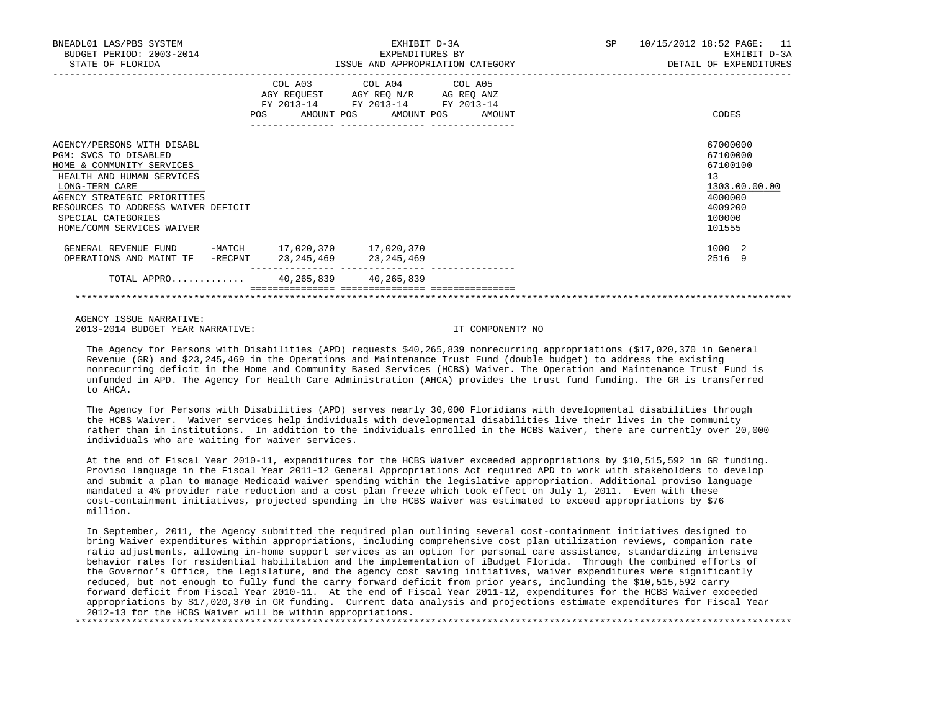| BNEADL01 LAS/PBS SYSTEM<br>BUDGET PERIOD: 2003-2014<br>STATE OF FLORIDA                                                                                                                                                                                  |         |                                                                        | EXHIBIT D-3A<br>EXPENDITURES BY | ISSUE AND APPROPRIATION CATEGORY | SP 10/15/2012 18:52 PAGE: 11<br>EXHIBIT D-3A<br>DETAIL OF EXPENDITURES                            |
|----------------------------------------------------------------------------------------------------------------------------------------------------------------------------------------------------------------------------------------------------------|---------|------------------------------------------------------------------------|---------------------------------|----------------------------------|---------------------------------------------------------------------------------------------------|
|                                                                                                                                                                                                                                                          |         | AGY REQUEST AGY REQ N/R AG REQ ANZ<br>FY 2013-14 FY 2013-14 FY 2013-14 | COL A03 COL A04 COL A05         | POS AMOUNT POS AMOUNT POS AMOUNT | CODES                                                                                             |
| AGENCY/PERSONS WITH DISABL<br>PGM: SVCS TO DISABLED<br>HOME & COMMUNITY SERVICES<br>HEALTH AND HUMAN SERVICES<br>LONG-TERM CARE<br>AGENCY STRATEGIC PRIORITIES<br>RESOURCES TO ADDRESS WAIVER DEFICIT<br>SPECIAL CATEGORIES<br>HOME/COMM SERVICES WAIVER |         |                                                                        |                                 |                                  | 67000000<br>67100000<br>67100100<br>13<br>1303.00.00.00<br>4000000<br>4009200<br>100000<br>101555 |
| GENERAL REVENUE FUND -MATCH 17,020,370 17,020,370<br>OPERATIONS AND MAINT TF                                                                                                                                                                             | -RECPNT | 23, 245, 469 23, 245, 469                                              |                                 |                                  | 1000 2<br>2516 9                                                                                  |
| TOTAL APPRO 40,265,839 40,265,839                                                                                                                                                                                                                        |         |                                                                        | __________ ________________     |                                  |                                                                                                   |

 AGENCY ISSUE NARRATIVE: 2013-2014 BUDGET YEAR NARRATIVE: IT COMPONENT? NO

 The Agency for Persons with Disabilities (APD) requests \$40,265,839 nonrecurring appropriations (\$17,020,370 in General Revenue (GR) and \$23,245,469 in the Operations and Maintenance Trust Fund (double budget) to address the existing nonrecurring deficit in the Home and Community Based Services (HCBS) Waiver. The Operation and Maintenance Trust Fund is unfunded in APD. The Agency for Health Care Administration (AHCA) provides the trust fund funding. The GR is transferred to AHCA.

 The Agency for Persons with Disabilities (APD) serves nearly 30,000 Floridians with developmental disabilities through the HCBS Waiver. Waiver services help individuals with developmental disabilities live their lives in the community rather than in institutions. In addition to the individuals enrolled in the HCBS Waiver, there are currently over 20,000 individuals who are waiting for waiver services.

 At the end of Fiscal Year 2010-11, expenditures for the HCBS Waiver exceeded appropriations by \$10,515,592 in GR funding. Proviso language in the Fiscal Year 2011-12 General Appropriations Act required APD to work with stakeholders to develop and submit a plan to manage Medicaid waiver spending within the legislative appropriation. Additional proviso language mandated a 4% provider rate reduction and a cost plan freeze which took effect on July 1, 2011. Even with these cost-containment initiatives, projected spending in the HCBS Waiver was estimated to exceed appropriations by \$76 million.

 In September, 2011, the Agency submitted the required plan outlining several cost-containment initiatives designed to bring Waiver expenditures within appropriations, including comprehensive cost plan utilization reviews, companion rate ratio adjustments, allowing in-home support services as an option for personal care assistance, standardizing intensive behavior rates for residential habilitation and the implementation of iBudget Florida. Through the combined efforts of the Governor's Office, the Legislature, and the agency cost saving initiatives, waiver expenditures were significantly reduced, but not enough to fully fund the carry forward deficit from prior years, inclunding the \$10,515,592 carry forward deficit from Fiscal Year 2010-11. At the end of Fiscal Year 2011-12, expenditures for the HCBS Waiver exceeded appropriations by \$17,020,370 in GR funding. Current data analysis and projections estimate expenditures for Fiscal Year 2012-13 for the HCBS Waiver will be within appropriations. \*\*\*\*\*\*\*\*\*\*\*\*\*\*\*\*\*\*\*\*\*\*\*\*\*\*\*\*\*\*\*\*\*\*\*\*\*\*\*\*\*\*\*\*\*\*\*\*\*\*\*\*\*\*\*\*\*\*\*\*\*\*\*\*\*\*\*\*\*\*\*\*\*\*\*\*\*\*\*\*\*\*\*\*\*\*\*\*\*\*\*\*\*\*\*\*\*\*\*\*\*\*\*\*\*\*\*\*\*\*\*\*\*\*\*\*\*\*\*\*\*\*\*\*\*\*\*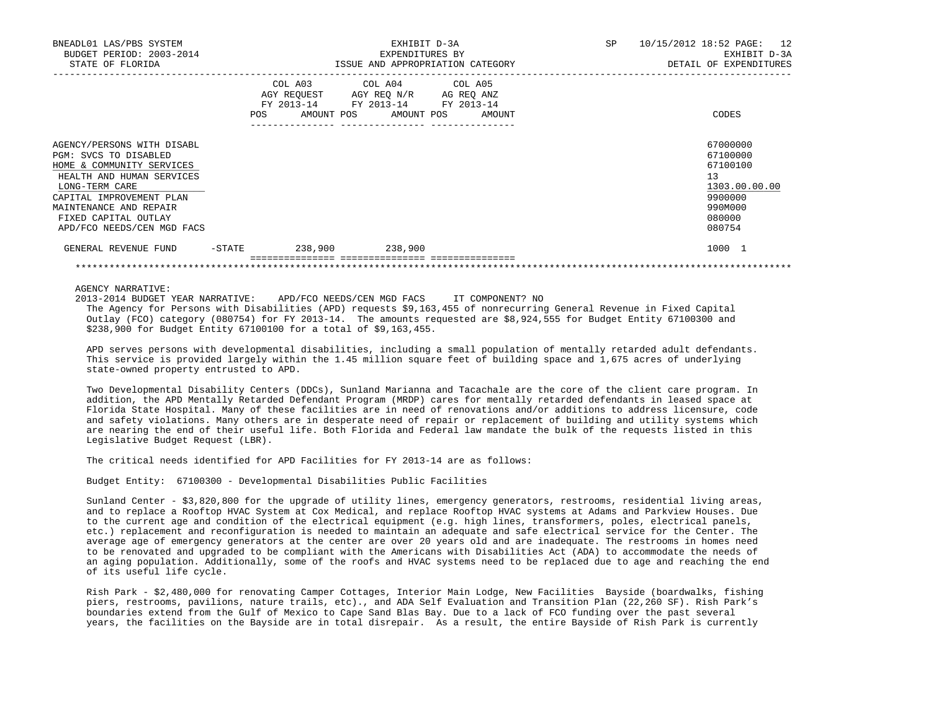| GENERAL REVENUE FUND                                                                                                                                                                                                                        | -STATE | 238,900 238,900                                                                                                                   |                                 |    | 1000 1                                                                                            |
|---------------------------------------------------------------------------------------------------------------------------------------------------------------------------------------------------------------------------------------------|--------|-----------------------------------------------------------------------------------------------------------------------------------|---------------------------------|----|---------------------------------------------------------------------------------------------------|
| AGENCY/PERSONS WITH DISABL<br>PGM: SVCS TO DISABLED<br>HOME & COMMUNITY SERVICES<br>HEALTH AND HUMAN SERVICES<br>LONG-TERM CARE<br>CAPITAL IMPROVEMENT PLAN<br>MAINTENANCE AND REPAIR<br>FIXED CAPITAL OUTLAY<br>APD/FCO NEEDS/CEN MGD FACS |        |                                                                                                                                   |                                 |    | 67000000<br>67100000<br>67100100<br>13<br>1303.00.00.00<br>9900000<br>990M000<br>080000<br>080754 |
|                                                                                                                                                                                                                                             | POS    | COL A03 COL A04 COL A05<br>AGY REQUEST AGY REQ N/R AG REQ ANZ<br>FY 2013-14 FY 2013-14 FY 2013-14<br>AMOUNT POS AMOUNT POS AMOUNT |                                 |    | CODES                                                                                             |
| BNEADL01 LAS/PBS SYSTEM<br>BUDGET PERIOD: 2003-2014<br>STATE OF FLORIDA                                                                                                                                                                     |        | ISSUE AND APPROPRIATION CATEGORY                                                                                                  | EXHIBIT D-3A<br>EXPENDITURES BY | SP | 10/15/2012 18:52 PAGE: 12<br>EXHIBIT D-3A<br>DETAIL OF EXPENDITURES                               |
|                                                                                                                                                                                                                                             |        |                                                                                                                                   |                                 |    |                                                                                                   |

AGENCY NARRATIVE:

 2013-2014 BUDGET YEAR NARRATIVE: APD/FCO NEEDS/CEN MGD FACS IT COMPONENT? NO The Agency for Persons with Disabilities (APD) requests \$9,163,455 of nonrecurring General Revenue in Fixed Capital Outlay (FCO) category (080754) for FY 2013-14. The amounts requested are \$8,924,555 for Budget Entity 67100300 and \$238,900 for Budget Entity 67100100 for a total of \$9,163,455.

\*\*\*\*\*\*\*\*\*\*\*\*\*\*\*\*\*\*\*\*\*\*\*\*\*\*\*\*\*\*\*\*\*\*\*\*\*\*\*\*\*\*\*\*\*\*\*\*\*\*\*\*\*\*\*\*\*\*\*\*\*\*\*\*\*\*\*\*\*\*\*\*\*\*\*\*\*\*\*\*\*\*\*\*\*\*\*\*\*\*\*\*\*\*\*\*\*\*\*\*\*\*\*\*\*\*\*\*\*\*\*\*\*\*\*\*\*\*\*\*\*\*\*\*\*\*\*

 APD serves persons with developmental disabilities, including a small population of mentally retarded adult defendants. This service is provided largely within the 1.45 million square feet of building space and 1,675 acres of underlying state-owned property entrusted to APD.

 Two Developmental Disability Centers (DDCs), Sunland Marianna and Tacachale are the core of the client care program. In addition, the APD Mentally Retarded Defendant Program (MRDP) cares for mentally retarded defendants in leased space at Florida State Hospital. Many of these facilities are in need of renovations and/or additions to address licensure, code and safety violations. Many others are in desperate need of repair or replacement of building and utility systems which are nearing the end of their useful life. Both Florida and Federal law mandate the bulk of the requests listed in this Legislative Budget Request (LBR).

The critical needs identified for APD Facilities for FY 2013-14 are as follows:

Budget Entity: 67100300 - Developmental Disabilities Public Facilities

 Sunland Center - \$3,820,800 for the upgrade of utility lines, emergency generators, restrooms, residential living areas, and to replace a Rooftop HVAC System at Cox Medical, and replace Rooftop HVAC systems at Adams and Parkview Houses. Due to the current age and condition of the electrical equipment (e.g. high lines, transformers, poles, electrical panels, etc.) replacement and reconfiguration is needed to maintain an adequate and safe electrical service for the Center. The average age of emergency generators at the center are over 20 years old and are inadequate. The restrooms in homes need to be renovated and upgraded to be compliant with the Americans with Disabilities Act (ADA) to accommodate the needs of an aging population. Additionally, some of the roofs and HVAC systems need to be replaced due to age and reaching the end of its useful life cycle.

 Rish Park - \$2,480,000 for renovating Camper Cottages, Interior Main Lodge, New Facilities Bayside (boardwalks, fishing piers, restrooms, pavilions, nature trails, etc)., and ADA Self Evaluation and Transition Plan (22,260 SF). Rish Park's boundaries extend from the Gulf of Mexico to Cape Sand Blas Bay. Due to a lack of FCO funding over the past several years, the facilities on the Bayside are in total disrepair. As a result, the entire Bayside of Rish Park is currently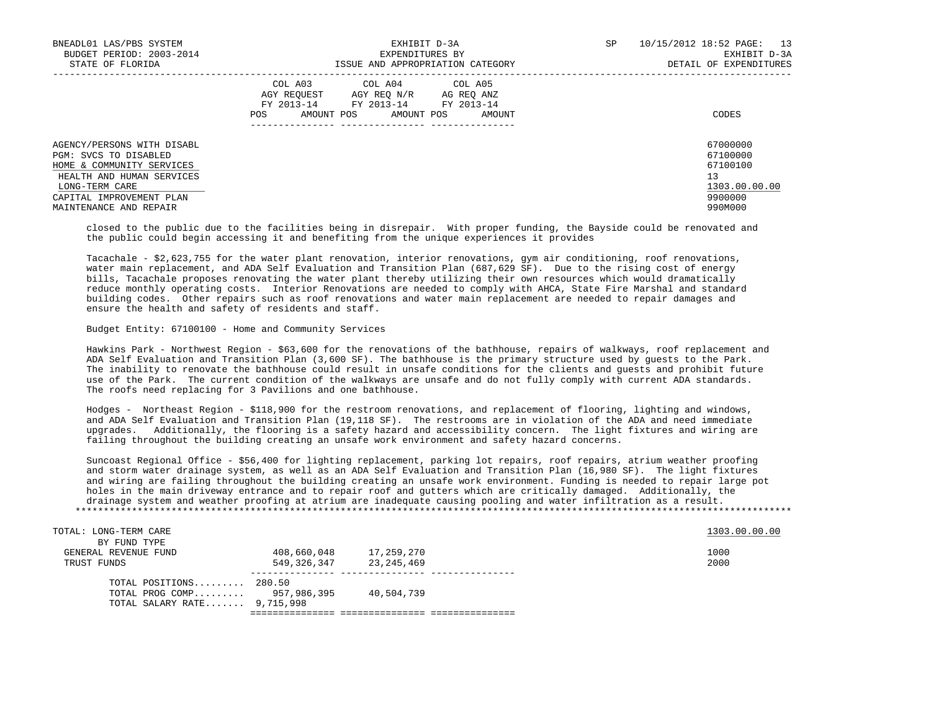| BNEADL01 LAS/PBS SYSTEM<br>BUDGET PERIOD: 2003-2014<br>STATE OF FLORIDA                                                                                                               | EXHIBIT D-3A<br>EXPENDITURES BY<br>ISSUE AND APPROPRIATION CATEGORY                                                                                     | SP<br>10/15/2012 18:52 PAGE:<br>13<br>EXHIBIT D-3A<br>DETAIL OF EXPENDITURES  |
|---------------------------------------------------------------------------------------------------------------------------------------------------------------------------------------|---------------------------------------------------------------------------------------------------------------------------------------------------------|-------------------------------------------------------------------------------|
|                                                                                                                                                                                       | COL A03<br>COL A04 COL A05<br>AGY REOUEST<br>AGY REQ N/R AG REQ ANZ<br>FY 2013-14<br>FY 2013-14 FY 2013-14<br>AMOUNT POS<br>AMOUNT POS<br>AMOUNT<br>POS | CODES                                                                         |
| AGENCY/PERSONS WITH DISABL<br>PGM: SVCS TO DISABLED<br>HOME & COMMUNITY SERVICES<br>HEALTH AND HUMAN SERVICES<br>LONG-TERM CARE<br>CAPITAL IMPROVEMENT PLAN<br>MAINTENANCE AND REPAIR |                                                                                                                                                         | 67000000<br>67100000<br>67100100<br>13<br>1303.00.00.00<br>9900000<br>990M000 |

 closed to the public due to the facilities being in disrepair. With proper funding, the Bayside could be renovated and the public could begin accessing it and benefiting from the unique experiences it provides

 Tacachale - \$2,623,755 for the water plant renovation, interior renovations, gym air conditioning, roof renovations, water main replacement, and ADA Self Evaluation and Transition Plan (687,629 SF). Due to the rising cost of energy bills, Tacachale proposes renovating the water plant thereby utilizing their own resources which would dramatically reduce monthly operating costs. Interior Renovations are needed to comply with AHCA, State Fire Marshal and standard building codes. Other repairs such as roof renovations and water main replacement are needed to repair damages and ensure the health and safety of residents and staff.

## Budget Entity: 67100100 - Home and Community Services

 Hawkins Park - Northwest Region - \$63,600 for the renovations of the bathhouse, repairs of walkways, roof replacement and ADA Self Evaluation and Transition Plan (3,600 SF). The bathhouse is the primary structure used by guests to the Park. The inability to renovate the bathhouse could result in unsafe conditions for the clients and guests and prohibit future use of the Park. The current condition of the walkways are unsafe and do not fully comply with current ADA standards. The roofs need replacing for 3 Pavilions and one bathhouse.

 Hodges - Northeast Region - \$118,900 for the restroom renovations, and replacement of flooring, lighting and windows, and ADA Self Evaluation and Transition Plan (19,118 SF). The restrooms are in violation of the ADA and need immediate upgrades. Additionally, the flooring is a safety hazard and accessibility concern. The light fixtures and wiring are failing throughout the building creating an unsafe work environment and safety hazard concerns.

 Suncoast Regional Office - \$56,400 for lighting replacement, parking lot repairs, roof repairs, atrium weather proofing and storm water drainage system, as well as an ADA Self Evaluation and Transition Plan (16,980 SF). The light fixtures and wiring are failing throughout the building creating an unsafe work environment. Funding is needed to repair large pot holes in the main driveway entrance and to repair roof and gutters which are critically damaged. Additionally, the drainage system and weather proofing at atrium are inadequate causing pooling and water infiltration as a result. \*\*\*\*\*\*\*\*\*\*\*\*\*\*\*\*\*\*\*\*\*\*\*\*\*\*\*\*\*\*\*\*\*\*\*\*\*\*\*\*\*\*\*\*\*\*\*\*\*\*\*\*\*\*\*\*\*\*\*\*\*\*\*\*\*\*\*\*\*\*\*\*\*\*\*\*\*\*\*\*\*\*\*\*\*\*\*\*\*\*\*\*\*\*\*\*\*\*\*\*\*\*\*\*\*\*\*\*\*\*\*\*\*\*\*\*\*\*\*\*\*\*\*\*\*\*\*

| TOTAL: LONG-TERM CARE       |             |            | 1303.00.00.00 |
|-----------------------------|-------------|------------|---------------|
| BY FUND TYPE                |             |            |               |
| GENERAL REVENUE FUND        | 408,660,048 | 17,259,270 | 1000          |
| TRUST FUNDS                 | 549,326,347 | 23,245,469 | 2000          |
| TOTAL POSITIONS $280.50$    |             |            |               |
| TOTAL PROG COMP 957,986,395 |             | 40,504,739 |               |
| TOTAL SALARY RATE 9,715,998 |             |            |               |
|                             |             |            |               |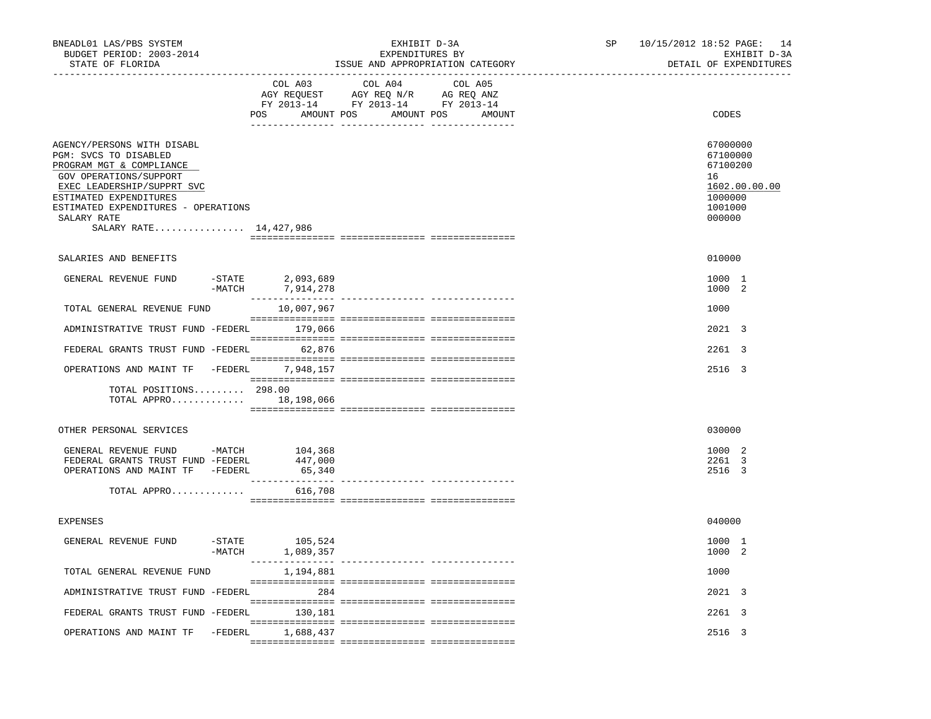| BNEADL01 LAS/PBS SYSTEM<br>BUDGET PERIOD: 2003-2014<br>STATE OF FLORIDA                                                                                                                                                                           |                                | EXHIBIT D-3A<br>EXPENDITURES BY<br>ISSUE AND APPROPRIATION CATEGORY                                                                                                                                                                                                            | SP | 10/15/2012 18:52 PAGE: 14<br>EXHIBIT D-3A<br>DETAIL OF EXPENDITURES                     |
|---------------------------------------------------------------------------------------------------------------------------------------------------------------------------------------------------------------------------------------------------|--------------------------------|--------------------------------------------------------------------------------------------------------------------------------------------------------------------------------------------------------------------------------------------------------------------------------|----|-----------------------------------------------------------------------------------------|
|                                                                                                                                                                                                                                                   | COL A03                        | COL A04<br>COL A05<br>$\begin{tabular}{lllllllllll} \bf{AGY} & \bf{REQUEST} & \bf{AGY} & \bf{REQ} & \bf{N/R} & \bf{AG} & \bf{REQ} & \bf{ANZ} \\ \bf{FY} & \bf{2013-14} & \bf{FY} & \bf{2013-14} & \bf{FY} & \bf{2013-14} \\ \end{tabular}$<br>POS AMOUNT POS AMOUNT POS AMOUNT |    | CODES                                                                                   |
| AGENCY/PERSONS WITH DISABL<br>PGM: SVCS TO DISABLED<br>PROGRAM MGT & COMPLIANCE<br>GOV OPERATIONS/SUPPORT<br>EXEC LEADERSHIP/SUPPRT SVC<br>ESTIMATED EXPENDITURES<br>ESTIMATED EXPENDITURES - OPERATIONS<br>SALARY RATE<br>SALARY RATE 14,427,986 |                                |                                                                                                                                                                                                                                                                                |    | 67000000<br>67100000<br>67100200<br>16<br>1602.00.00.00<br>1000000<br>1001000<br>000000 |
| SALARIES AND BENEFITS                                                                                                                                                                                                                             |                                |                                                                                                                                                                                                                                                                                |    | 010000                                                                                  |
| $-$ STATE<br>GENERAL REVENUE FUND<br>$-MATCH$                                                                                                                                                                                                     | 2,093,689<br>7,914,278         |                                                                                                                                                                                                                                                                                |    | 1000 1<br>1000 2                                                                        |
| TOTAL GENERAL REVENUE FUND                                                                                                                                                                                                                        | 10,007,967                     |                                                                                                                                                                                                                                                                                |    | 1000                                                                                    |
| ADMINISTRATIVE TRUST FUND -FEDERL 179,066                                                                                                                                                                                                         |                                |                                                                                                                                                                                                                                                                                |    | 2021 3                                                                                  |
| FEDERAL GRANTS TRUST FUND -FEDERL 62,876                                                                                                                                                                                                          |                                |                                                                                                                                                                                                                                                                                |    | 2261 3                                                                                  |
| OPERATIONS AND MAINT TF -FEDERL 7,948,157                                                                                                                                                                                                         |                                |                                                                                                                                                                                                                                                                                |    | 2516 3                                                                                  |
| TOTAL POSITIONS 298.00<br>TOTAL APPRO 18,198,066                                                                                                                                                                                                  |                                |                                                                                                                                                                                                                                                                                |    |                                                                                         |
| OTHER PERSONAL SERVICES                                                                                                                                                                                                                           |                                |                                                                                                                                                                                                                                                                                |    | 030000                                                                                  |
| GENERAL REVENUE FUND -MATCH 104,368<br>FEDERAL GRANTS TRUST FUND -FEDERL<br>OPERATIONS AND MAINT TF -FEDERL                                                                                                                                       | 447,000<br>65,340              |                                                                                                                                                                                                                                                                                |    | 1000 2<br>2261 3<br>2516 3                                                              |
| TOTAL APPRO                                                                                                                                                                                                                                       | 616,708                        |                                                                                                                                                                                                                                                                                |    |                                                                                         |
| <b>EXPENSES</b>                                                                                                                                                                                                                                   |                                |                                                                                                                                                                                                                                                                                |    | 040000                                                                                  |
| GENERAL REVENUE FUND<br>$-MATCH$                                                                                                                                                                                                                  | $-$ STATE 105,524<br>1,089,357 |                                                                                                                                                                                                                                                                                |    | 1000 1<br>1000 2                                                                        |
| TOTAL GENERAL REVENUE FUND                                                                                                                                                                                                                        | 1,194,881                      |                                                                                                                                                                                                                                                                                |    | 1000                                                                                    |
| ADMINISTRATIVE TRUST FUND -FEDERL 284                                                                                                                                                                                                             |                                |                                                                                                                                                                                                                                                                                |    | 2021 3                                                                                  |
| FEDERAL GRANTS TRUST FUND -FEDERL 130,181                                                                                                                                                                                                         |                                |                                                                                                                                                                                                                                                                                |    | 2261 3                                                                                  |
| OPERATIONS AND MAINT TF -FEDERL 1,688,437                                                                                                                                                                                                         |                                |                                                                                                                                                                                                                                                                                |    | 2516 3                                                                                  |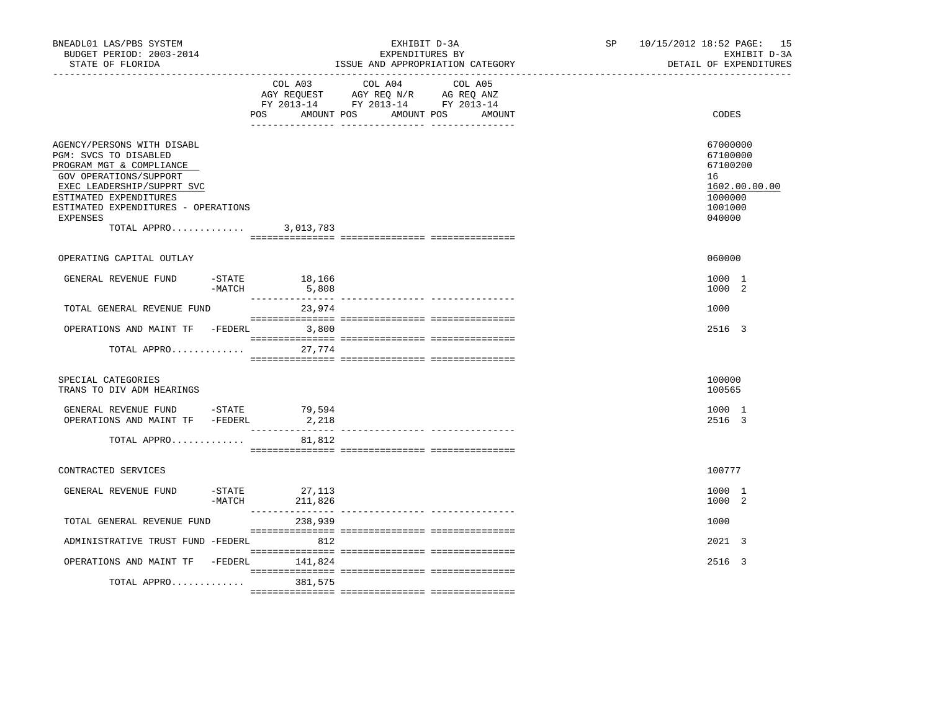| BNEADL01 LAS/PBS SYSTEM<br>BUDGET PERIOD: 2003-2014<br>STATE OF FLORIDA                                                                                                                                                                    |                       | EXHIBIT D-3A<br>EXPENDITURES BY<br>ISSUE AND APPROPRIATION CATEGORY                                                       |         |  | SP <sub>2</sub> |                                                                        | 10/15/2012 18:52 PAGE: 15<br>EXHIBIT D-3A<br>DETAIL OF EXPENDITURES |  |
|--------------------------------------------------------------------------------------------------------------------------------------------------------------------------------------------------------------------------------------------|-----------------------|---------------------------------------------------------------------------------------------------------------------------|---------|--|-----------------|------------------------------------------------------------------------|---------------------------------------------------------------------|--|
|                                                                                                                                                                                                                                            | POS                   | COL A03 COL A04<br>AGY REQUEST AGY REQ N/R AG REQ ANZ<br>FY 2013-14 FY 2013-14 FY 2013-14<br>AMOUNT POS AMOUNT POS AMOUNT | COL A05 |  | CODES           |                                                                        |                                                                     |  |
| AGENCY/PERSONS WITH DISABL<br>PGM: SVCS TO DISABLED<br>PROGRAM MGT & COMPLIANCE<br>GOV OPERATIONS/SUPPORT<br>EXEC LEADERSHIP/SUPPRT SVC<br>ESTIMATED EXPENDITURES<br>ESTIMATED EXPENDITURES - OPERATIONS<br><b>EXPENSES</b><br>TOTAL APPRO |                       | 3,013,783                                                                                                                 |         |  |                 | 67000000<br>67100000<br>67100200<br>16<br>1000000<br>1001000<br>040000 | 1602.00.00.00                                                       |  |
| OPERATING CAPITAL OUTLAY                                                                                                                                                                                                                   |                       |                                                                                                                           |         |  |                 | 060000                                                                 |                                                                     |  |
|                                                                                                                                                                                                                                            |                       |                                                                                                                           |         |  |                 |                                                                        |                                                                     |  |
| GENERAL REVENUE FUND                                                                                                                                                                                                                       | $-$ STATE<br>$-MATCH$ | 18,166<br>5,808                                                                                                           |         |  |                 | 1000 1<br>1000 2                                                       |                                                                     |  |
| TOTAL GENERAL REVENUE FUND                                                                                                                                                                                                                 |                       | 23,974                                                                                                                    |         |  |                 | 1000                                                                   |                                                                     |  |
| OPERATIONS AND MAINT TF -FEDERL 3,800                                                                                                                                                                                                      |                       |                                                                                                                           |         |  |                 | 2516 3                                                                 |                                                                     |  |
| TOTAL APPRO                                                                                                                                                                                                                                |                       | 27,774                                                                                                                    |         |  |                 |                                                                        |                                                                     |  |
| SPECIAL CATEGORIES<br>TRANS TO DIV ADM HEARINGS                                                                                                                                                                                            |                       |                                                                                                                           |         |  |                 | 100000<br>100565                                                       |                                                                     |  |
| GENERAL REVENUE FUND -STATE 79,594<br>OPERATIONS AND MAINT TF -FEDERL                                                                                                                                                                      |                       | 2,218                                                                                                                     |         |  |                 | 1000 1<br>2516 3                                                       |                                                                     |  |
| TOTAL APPRO                                                                                                                                                                                                                                |                       | 81,812                                                                                                                    |         |  |                 |                                                                        |                                                                     |  |
| CONTRACTED SERVICES                                                                                                                                                                                                                        |                       |                                                                                                                           |         |  |                 | 100777                                                                 |                                                                     |  |
| GENERAL REVENUE FUND                                                                                                                                                                                                                       | $-MATCH$              | $-$ STATE 27, 113<br>211,826                                                                                              |         |  |                 | 1000 1<br>1000 2                                                       |                                                                     |  |
| TOTAL GENERAL REVENUE FUND                                                                                                                                                                                                                 |                       | 238,939                                                                                                                   |         |  |                 | 1000                                                                   |                                                                     |  |
| ADMINISTRATIVE TRUST FUND -FEDERL                                                                                                                                                                                                          |                       | 812                                                                                                                       |         |  |                 | 2021 3                                                                 |                                                                     |  |
| OPERATIONS AND MAINT TF -FEDERL 141,824                                                                                                                                                                                                    |                       |                                                                                                                           |         |  |                 | 2516 3                                                                 |                                                                     |  |
| TOTAL APPRO 381,575                                                                                                                                                                                                                        |                       |                                                                                                                           |         |  |                 |                                                                        |                                                                     |  |
|                                                                                                                                                                                                                                            |                       |                                                                                                                           |         |  |                 |                                                                        |                                                                     |  |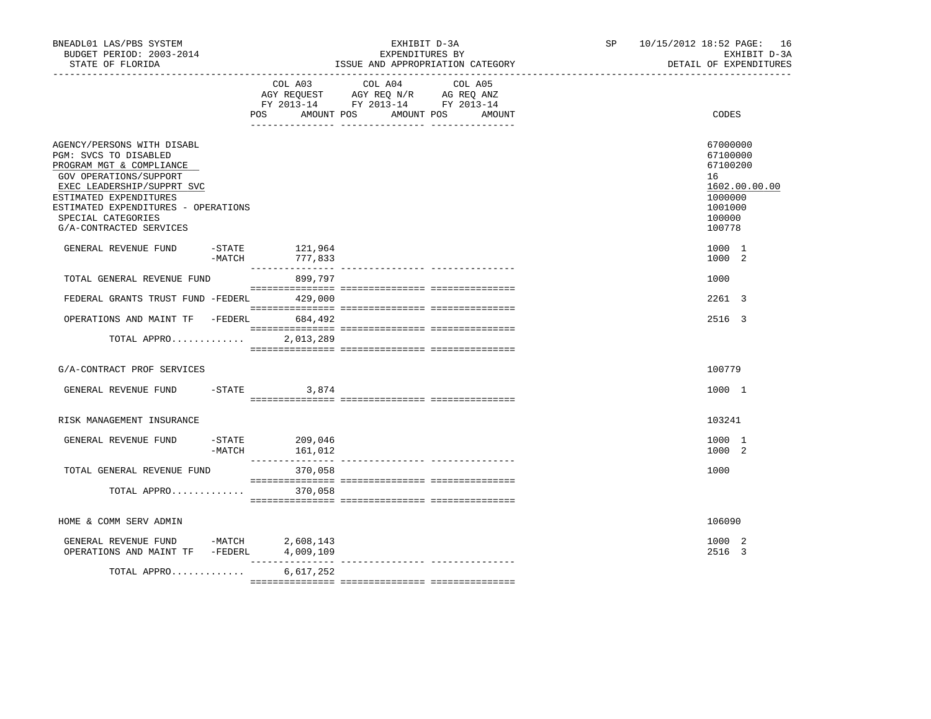| BNEADL01 LAS/PBS SYSTEM<br>BUDGET PERIOD: 2003-2014<br>STATE OF FLORIDA                                                                                                                                                                                   |                                             | EXHIBIT D-3A<br>EXPENDITURES BY<br>ISSUE AND APPROPRIATION CATEGORY                                                       | SP and the set of the set of the set of the set of the set of the set of the set of the set of the set of the set of the set of the set of the set of the set of the set of the set of the set of the set of the set of the se | 10/15/2012 18:52 PAGE: 16<br>EXHIBIT D-3A<br>DETAIL OF EXPENDITURES                               |  |
|-----------------------------------------------------------------------------------------------------------------------------------------------------------------------------------------------------------------------------------------------------------|---------------------------------------------|---------------------------------------------------------------------------------------------------------------------------|--------------------------------------------------------------------------------------------------------------------------------------------------------------------------------------------------------------------------------|---------------------------------------------------------------------------------------------------|--|
|                                                                                                                                                                                                                                                           | POS<br>AMOUNT POS                           | COL A03 COL A04 COL A05<br>AGY REQUEST AGY REQ N/R AG REQ ANZ<br>FY 2013-14 FY 2013-14 FY 2013-14<br>AMOUNT POS<br>AMOUNT |                                                                                                                                                                                                                                | CODES                                                                                             |  |
| AGENCY/PERSONS WITH DISABL<br>PGM: SVCS TO DISABLED<br>PROGRAM MGT & COMPLIANCE<br>GOV OPERATIONS/SUPPORT<br>EXEC LEADERSHIP/SUPPRT SVC<br>ESTIMATED EXPENDITURES<br>ESTIMATED EXPENDITURES - OPERATIONS<br>SPECIAL CATEGORIES<br>G/A-CONTRACTED SERVICES |                                             |                                                                                                                           |                                                                                                                                                                                                                                | 67000000<br>67100000<br>67100200<br>16<br>1602.00.00.00<br>1000000<br>1001000<br>100000<br>100778 |  |
| GENERAL REVENUE FUND                                                                                                                                                                                                                                      | $-$ STATE $121,964$<br>-MATCH<br>777,833    |                                                                                                                           |                                                                                                                                                                                                                                | 1000 1<br>1000 2                                                                                  |  |
| TOTAL GENERAL REVENUE FUND                                                                                                                                                                                                                                | 899,797                                     |                                                                                                                           |                                                                                                                                                                                                                                | 1000                                                                                              |  |
| FEDERAL GRANTS TRUST FUND -FEDERL 429,000                                                                                                                                                                                                                 |                                             |                                                                                                                           |                                                                                                                                                                                                                                | 2261 3                                                                                            |  |
| OPERATIONS AND MAINT TF -FEDERL 684,492                                                                                                                                                                                                                   |                                             |                                                                                                                           |                                                                                                                                                                                                                                | 2516 3                                                                                            |  |
| TOTAL APPRO                                                                                                                                                                                                                                               | 2,013,289                                   |                                                                                                                           |                                                                                                                                                                                                                                |                                                                                                   |  |
| G/A-CONTRACT PROF SERVICES                                                                                                                                                                                                                                |                                             |                                                                                                                           |                                                                                                                                                                                                                                | 100779                                                                                            |  |
| GENERAL REVENUE FUND                                                                                                                                                                                                                                      | $-$ STATE 3,874                             |                                                                                                                           |                                                                                                                                                                                                                                | 1000 1                                                                                            |  |
| RISK MANAGEMENT INSURANCE                                                                                                                                                                                                                                 |                                             |                                                                                                                           |                                                                                                                                                                                                                                | 103241                                                                                            |  |
| GENERAL REVENUE FUND                                                                                                                                                                                                                                      | $-$ STATE<br>209,046<br>$-MATCH$<br>161,012 |                                                                                                                           |                                                                                                                                                                                                                                | 1000 1<br>1000 2                                                                                  |  |
| TOTAL GENERAL REVENUE FUND                                                                                                                                                                                                                                | 370,058                                     |                                                                                                                           |                                                                                                                                                                                                                                | 1000                                                                                              |  |
| TOTAL APPRO                                                                                                                                                                                                                                               | 370,058                                     |                                                                                                                           |                                                                                                                                                                                                                                |                                                                                                   |  |
| HOME & COMM SERV ADMIN                                                                                                                                                                                                                                    |                                             |                                                                                                                           |                                                                                                                                                                                                                                | 106090                                                                                            |  |
| GENERAL REVENUE FUND -MATCH 2,608,143<br>OPERATIONS AND MAINT TF -FEDERL 4,009,109                                                                                                                                                                        |                                             |                                                                                                                           |                                                                                                                                                                                                                                | 1000 2<br>2516 3                                                                                  |  |
| TOTAL APPRO                                                                                                                                                                                                                                               | 6,617,252                                   |                                                                                                                           |                                                                                                                                                                                                                                |                                                                                                   |  |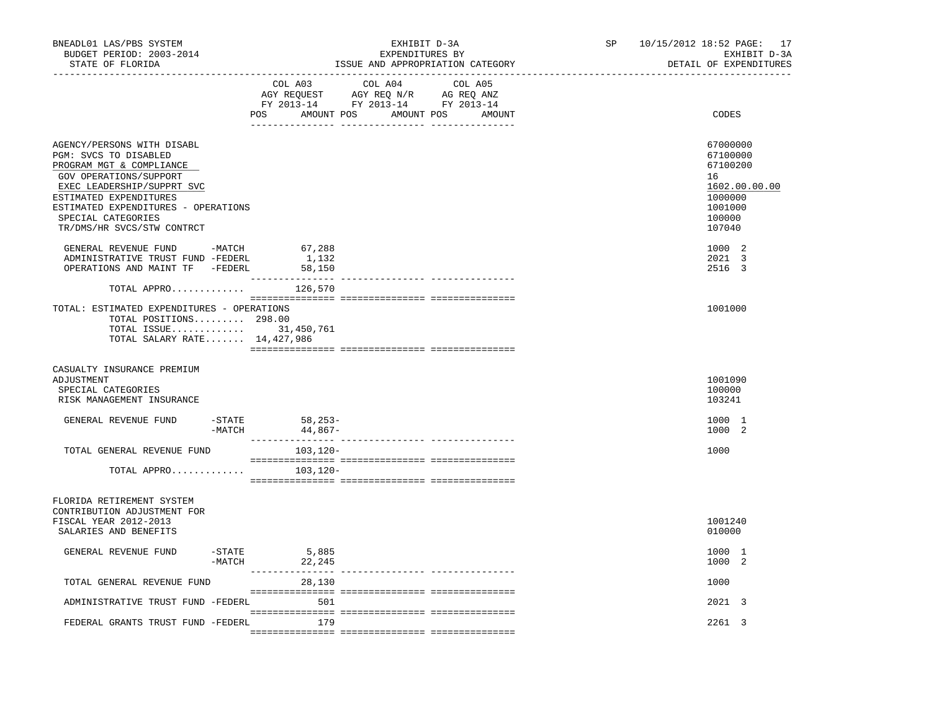| BNEADL01 LAS/PBS SYSTEM<br>BUDGET PERIOD: 2003-2014<br>STATE OF FLORIDA<br>----------------- <i>-</i>                                                                                                                                                        |                                               | EXHIBIT D-3A<br>EXPENDITURES BY<br>ISSUE AND APPROPRIATION CATEGORY                                                           | SP | 10/15/2012 18:52 PAGE: 17<br>EXHIBIT D-3A<br>DETAIL OF EXPENDITURES                               |
|--------------------------------------------------------------------------------------------------------------------------------------------------------------------------------------------------------------------------------------------------------------|-----------------------------------------------|-------------------------------------------------------------------------------------------------------------------------------|----|---------------------------------------------------------------------------------------------------|
|                                                                                                                                                                                                                                                              | COL A03                                       | COL A04 COL A05<br>AGY REQUEST AGY REQ N/R AG REQ ANZ<br>FY 2013-14 FY 2013-14 FY 2013-14<br>POS AMOUNT POS AMOUNT POS AMOUNT |    | CODES                                                                                             |
| AGENCY/PERSONS WITH DISABL<br>PGM: SVCS TO DISABLED<br>PROGRAM MGT & COMPLIANCE<br>GOV OPERATIONS/SUPPORT<br>EXEC LEADERSHIP/SUPPRT SVC<br>ESTIMATED EXPENDITURES<br>ESTIMATED EXPENDITURES - OPERATIONS<br>SPECIAL CATEGORIES<br>TR/DMS/HR SVCS/STW CONTRCT |                                               |                                                                                                                               |    | 67000000<br>67100000<br>67100200<br>16<br>1602.00.00.00<br>1000000<br>1001000<br>100000<br>107040 |
| GENERAL REVENUE FUND -MATCH<br>ADMINISTRATIVE TRUST FUND -FEDERL<br>OPERATIONS AND MAINT TF -FEDERL                                                                                                                                                          | 67,288<br>1,132<br>58,150                     |                                                                                                                               |    | 1000 2<br>2021 3<br>2516 3                                                                        |
| TOTAL APPRO<br>TOTAL: ESTIMATED EXPENDITURES - OPERATIONS<br>TOTAL POSITIONS 298.00<br>TOTAL ISSUE 31,450,761<br>TOTAL SALARY RATE 14,427,986                                                                                                                | 126,570                                       |                                                                                                                               |    | 1001000                                                                                           |
| CASUALTY INSURANCE PREMIUM<br>ADJUSTMENT<br>SPECIAL CATEGORIES<br>RISK MANAGEMENT INSURANCE                                                                                                                                                                  |                                               |                                                                                                                               |    | 1001090<br>100000<br>103241                                                                       |
| GENERAL REVENUE FUND                                                                                                                                                                                                                                         | -STATE 58,253-<br>-MATCH 44,867-<br>$-$ STATE |                                                                                                                               |    | 1000 1<br>1000 2                                                                                  |
| TOTAL GENERAL REVENUE FUND<br>TOTAL APPRO                                                                                                                                                                                                                    | 103,120-<br>103,120-                          |                                                                                                                               |    | 1000                                                                                              |
| FLORIDA RETIREMENT SYSTEM<br>CONTRIBUTION ADJUSTMENT FOR<br>FISCAL YEAR 2012-2013<br>SALARIES AND BENEFITS                                                                                                                                                   |                                               |                                                                                                                               |    | 1001240<br>010000                                                                                 |
| GENERAL REVENUE FUND                                                                                                                                                                                                                                         | 5,885<br>-STATE<br>$-MATCH$<br>22,245         |                                                                                                                               |    | 1000 1<br>1000 2                                                                                  |
| TOTAL GENERAL REVENUE FUND                                                                                                                                                                                                                                   | 28,130                                        |                                                                                                                               |    | 1000                                                                                              |
| ADMINISTRATIVE TRUST FUND -FEDERL 501                                                                                                                                                                                                                        |                                               |                                                                                                                               |    | 2021 3                                                                                            |
| FEDERAL GRANTS TRUST FUND -FEDERL                                                                                                                                                                                                                            | 179                                           |                                                                                                                               |    | 2261 3                                                                                            |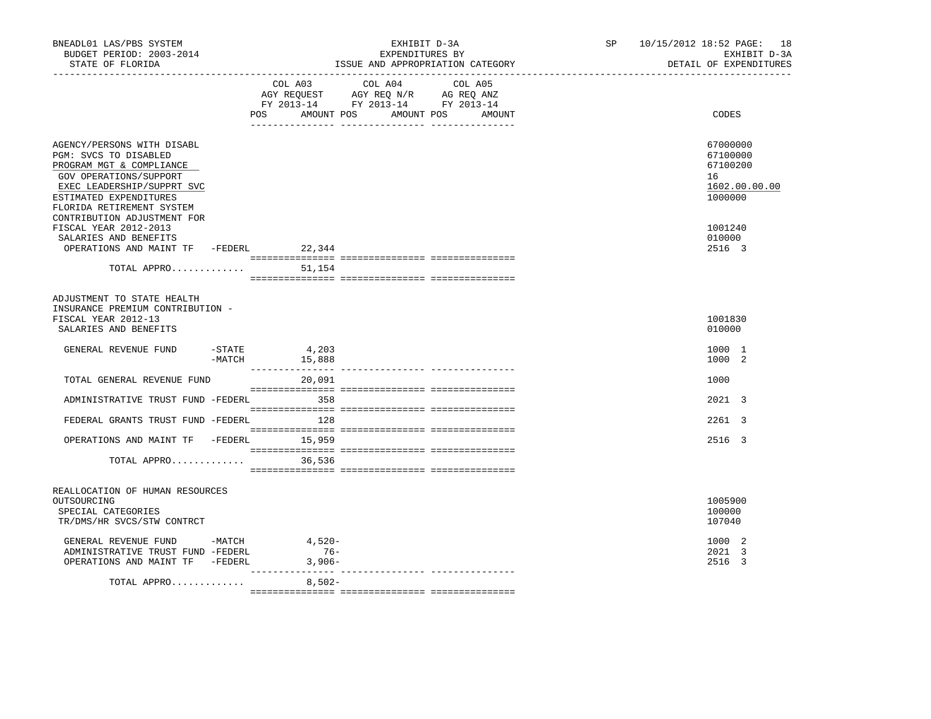| BNEADL01 LAS/PBS SYSTEM<br>BUDGET PERIOD: 2003-2014<br>STATE OF FLORIDA<br>------------------                                                                                                  | EXHIBIT D-3A<br>EXPENDITURES BY<br>ISSUE AND APPROPRIATION CATEGORY |                                |                                                                                                   |                      | SP <sub>2</sub> | 10/15/2012 18:52 PAGE: 18<br>EXHIBIT D-3A<br>DETAIL OF EXPENDITURES |
|------------------------------------------------------------------------------------------------------------------------------------------------------------------------------------------------|---------------------------------------------------------------------|--------------------------------|---------------------------------------------------------------------------------------------------|----------------------|-----------------|---------------------------------------------------------------------|
|                                                                                                                                                                                                |                                                                     | AMOUNT POS<br>POS              | COL A03 COL A04 COL A05<br>AGY REQUEST AGY REQ N/R AG REQ ANZ<br>FY 2013-14 FY 2013-14 FY 2013-14 | AMOUNT POS<br>AMOUNT |                 | CODES                                                               |
| AGENCY/PERSONS WITH DISABL<br>PGM: SVCS TO DISABLED<br>PROGRAM MGT & COMPLIANCE<br>GOV OPERATIONS/SUPPORT<br>EXEC LEADERSHIP/SUPPRT SVC<br>ESTIMATED EXPENDITURES<br>FLORIDA RETIREMENT SYSTEM |                                                                     |                                |                                                                                                   |                      |                 | 67000000<br>67100000<br>67100200<br>16<br>1602.00.00.00<br>1000000  |
| CONTRIBUTION ADJUSTMENT FOR<br>FISCAL YEAR 2012-2013<br>SALARIES AND BENEFITS<br>OPERATIONS AND MAINT TF -FEDERL 22,344                                                                        |                                                                     |                                |                                                                                                   |                      |                 | 1001240<br>010000<br>2516 3                                         |
| TOTAL APPRO                                                                                                                                                                                    |                                                                     | 51,154                         |                                                                                                   |                      |                 |                                                                     |
| ADJUSTMENT TO STATE HEALTH<br>INSURANCE PREMIUM CONTRIBUTION -<br>FISCAL YEAR 2012-13<br>SALARIES AND BENEFITS<br>GENERAL REVENUE FUND                                                         |                                                                     | $-$ STATE 4, 203               |                                                                                                   |                      |                 | 1001830<br>010000<br>1000 1                                         |
| TOTAL GENERAL REVENUE FUND                                                                                                                                                                     | $-MATCH$                                                            | 15,888<br>20,091               |                                                                                                   |                      |                 | 1000 2<br>1000                                                      |
| ADMINISTRATIVE TRUST FUND -FEDERL 358                                                                                                                                                          |                                                                     |                                |                                                                                                   |                      |                 | 2021 3                                                              |
| FEDERAL GRANTS TRUST FUND -FEDERL                                                                                                                                                              |                                                                     | 128                            |                                                                                                   |                      |                 | 2261 3                                                              |
| OPERATIONS AND MAINT TF -FEDERL 15,959<br>TOTAL APPRO                                                                                                                                          |                                                                     | 36,536                         |                                                                                                   |                      |                 | 2516 3                                                              |
| REALLOCATION OF HUMAN RESOURCES<br>OUTSOURCING<br>SPECIAL CATEGORIES<br>TR/DMS/HR SVCS/STW CONTRCT                                                                                             |                                                                     |                                |                                                                                                   |                      |                 | 1005900<br>100000<br>107040                                         |
| GENERAL REVENUE FUND -MATCH<br>ADMINISTRATIVE TRUST FUND -FEDERL<br>OPERATIONS AND MAINT TF -FEDERL                                                                                            |                                                                     | $4.520 -$<br>$76-$<br>$3,906-$ |                                                                                                   |                      |                 | 1000 2<br>2021 3<br>2516 3                                          |
| TOTAL APPRO                                                                                                                                                                                    |                                                                     | $8,502-$                       |                                                                                                   |                      |                 |                                                                     |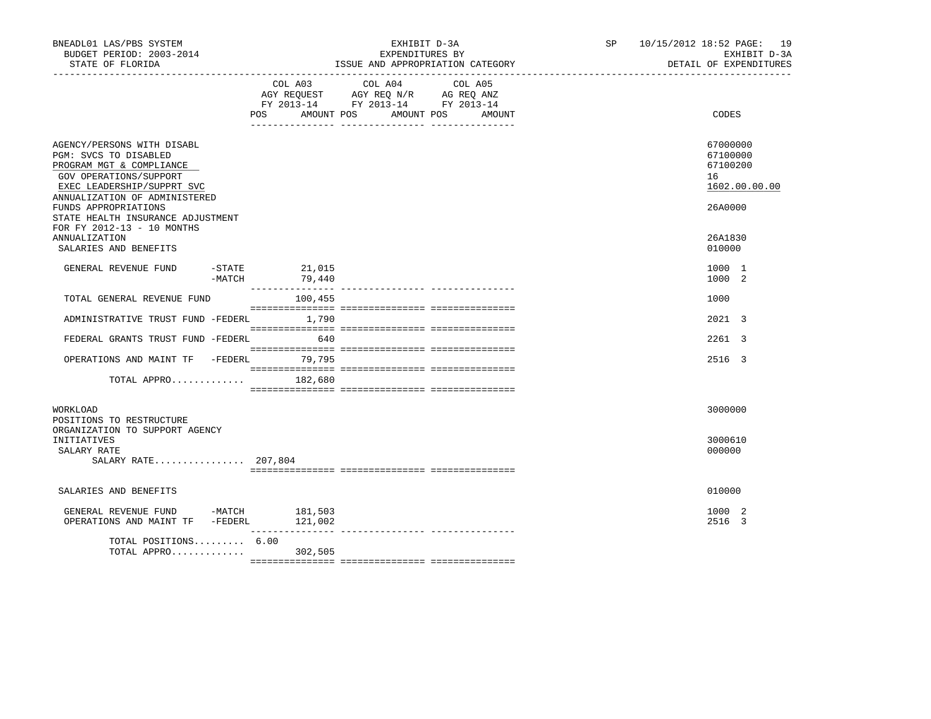| BNEADL01 LAS/PBS SYSTEM<br>BUDGET PERIOD: 2003-2014<br>STATE OF FLORIDA<br>___________________                                                                            |                            | EXHIBIT D-3A<br>EXPENDITURES BY<br>ISSUE AND APPROPRIATION CATEGORY                                                                      | SP 10/15/2012 18:52 PAGE: 19<br>EXHIBIT D-3A<br>DETAIL OF EXPENDITURES |
|---------------------------------------------------------------------------------------------------------------------------------------------------------------------------|----------------------------|------------------------------------------------------------------------------------------------------------------------------------------|------------------------------------------------------------------------|
|                                                                                                                                                                           |                            | COL A03 COL A04 COL A05<br>AGY REQUEST AGY REQ N/R AG REQ ANZ<br>FY 2013-14 FY 2013-14 FY 2013-14<br>POS AMOUNT POS AMOUNT POS<br>AMOUNT | CODES                                                                  |
| AGENCY/PERSONS WITH DISABL<br>PGM: SVCS TO DISABLED<br>PROGRAM MGT & COMPLIANCE<br>GOV OPERATIONS/SUPPORT<br>EXEC LEADERSHIP/SUPPRT SVC                                   |                            |                                                                                                                                          | 67000000<br>67100000<br>67100200<br>16<br>1602.00.00.00                |
| ANNUALIZATION OF ADMINISTERED<br>FUNDS APPROPRIATIONS<br>STATE HEALTH INSURANCE ADJUSTMENT<br>FOR FY 2012-13 - 10 MONTHS<br><b>ANNUALIZATION</b><br>SALARIES AND BENEFITS |                            |                                                                                                                                          | 26A0000<br>26A1830<br>010000                                           |
| GENERAL REVENUE FUND<br>-MATCH                                                                                                                                            | $-$ STATE 21,015<br>79,440 |                                                                                                                                          | 1000 1<br>1000 2                                                       |
| TOTAL GENERAL REVENUE FUND                                                                                                                                                | 100,455                    |                                                                                                                                          | 1000                                                                   |
| ADMINISTRATIVE TRUST FUND -FEDERL 1,790                                                                                                                                   |                            |                                                                                                                                          | 2021 3                                                                 |
| FEDERAL GRANTS TRUST FUND -FEDERL 640                                                                                                                                     |                            |                                                                                                                                          | 2261 3                                                                 |
| OPERATIONS AND MAINT TF -FEDERL 79,795                                                                                                                                    |                            |                                                                                                                                          | 2516 3                                                                 |
| TOTAL APPRO $\ldots \ldots \ldots \ldots$ 182,680                                                                                                                         |                            |                                                                                                                                          |                                                                        |
| WORKLOAD<br>POSITIONS TO RESTRUCTURE                                                                                                                                      |                            |                                                                                                                                          | 3000000                                                                |
| ORGANIZATION TO SUPPORT AGENCY<br>INITIATIVES<br>SALARY RATE<br>SALARY RATE 207,804                                                                                       |                            |                                                                                                                                          | 3000610<br>000000                                                      |
| SALARIES AND BENEFITS                                                                                                                                                     |                            |                                                                                                                                          | 010000                                                                 |
| GENERAL REVENUE FUND -MATCH 181,503<br>OPERATIONS AND MAINT TF -FEDERL 121,002                                                                                            |                            |                                                                                                                                          | 1000 2<br>2516 3                                                       |
| TOTAL POSITIONS 6.00<br>TOTAL APPRO 302,505                                                                                                                               |                            |                                                                                                                                          |                                                                        |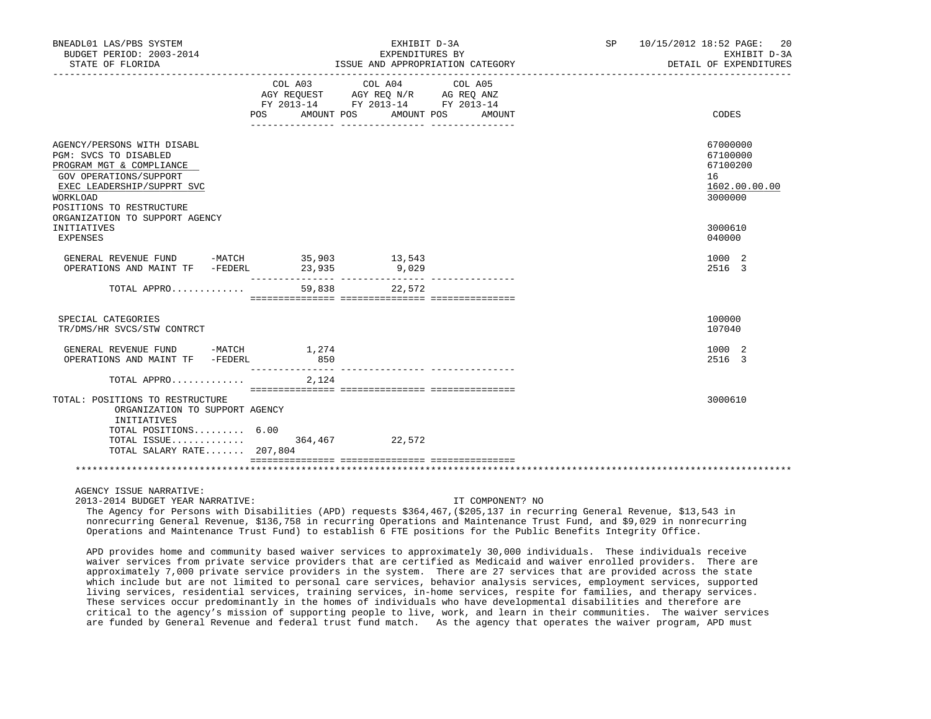| BNEADL01 LAS/PBS SYSTEM<br>BUDGET PERIOD: 2003-2014<br>STATE OF FLORIDA                                                                                                                                                          |        | EXHIBIT D-3A<br>EXPENDITURES BY<br>ISSUE AND APPROPRIATION CATEGORY                                                        | SP 10/15/2012 18:52 PAGE: 20<br>EXHIBIT D-3A<br>DETAIL OF EXPENDITURES |                                                                               |
|----------------------------------------------------------------------------------------------------------------------------------------------------------------------------------------------------------------------------------|--------|----------------------------------------------------------------------------------------------------------------------------|------------------------------------------------------------------------|-------------------------------------------------------------------------------|
|                                                                                                                                                                                                                                  | POS    | COL A03 COL A04 COL A05<br>AGY REQUEST AGY REQ N/R AG REQ ANZ<br>FY 2013-14 FY 2013-14 FY 2013-14<br>AMOUNT POS AMOUNT POS | AMOUNT                                                                 | CODES                                                                         |
| AGENCY/PERSONS WITH DISABL<br>PGM: SVCS TO DISABLED<br>PROGRAM MGT & COMPLIANCE<br>GOV OPERATIONS/SUPPORT<br>EXEC LEADERSHIP/SUPPRT SVC<br>WORKLOAD<br>POSITIONS TO RESTRUCTURE<br>ORGANIZATION TO SUPPORT AGENCY<br>INITIATIVES |        |                                                                                                                            |                                                                        | 67000000<br>67100000<br>67100200<br>16<br>1602.00.00.00<br>3000000<br>3000610 |
| <b>EXPENSES</b>                                                                                                                                                                                                                  |        |                                                                                                                            |                                                                        | 040000                                                                        |
| $\begin{tabular}{lcccccc} \texttt{GENERAL} & \texttt{REVENUE} & \texttt{FUND} & & -\texttt{MATCH} & & 35,903 & & 13,543 \\ \texttt{OPERATIONS AND MAINT TF} & & -\texttt{FEDERL} & & 23,935 & & 9,029 \\ \end{tabular}$          |        |                                                                                                                            |                                                                        | 1000 2<br>2516 3                                                              |
| TOTAL APPRO                                                                                                                                                                                                                      | 59,838 | 22,572                                                                                                                     |                                                                        |                                                                               |
| SPECIAL CATEGORIES<br>TR/DMS/HR SVCS/STW CONTRCT                                                                                                                                                                                 |        |                                                                                                                            |                                                                        | 100000<br>107040                                                              |
| GENERAL REVENUE FUND -MATCH 1,274<br>OPERATIONS AND MAINT TF -FEDERL                                                                                                                                                             | 850    |                                                                                                                            |                                                                        | 1000 2<br>2516 3                                                              |
| TOTAL APPRO                                                                                                                                                                                                                      | 2,124  |                                                                                                                            |                                                                        |                                                                               |
| TOTAL: POSITIONS TO RESTRUCTURE<br>ORGANIZATION TO SUPPORT AGENCY<br>INITIATIVES<br>TOTAL POSITIONS 6.00<br>TOTAL ISSUE 364,467 22,572<br>TOTAL SALARY RATE 207,804                                                              |        |                                                                                                                            |                                                                        | 3000610                                                                       |
|                                                                                                                                                                                                                                  |        |                                                                                                                            |                                                                        |                                                                               |
| AGENCY ISSUE NARRATIVE:<br>2013-2014 BUDGET YEAR NARRATIVE:                                                                                                                                                                      |        |                                                                                                                            | IT COMPONENT? NO                                                       |                                                                               |

 The Agency for Persons with Disabilities (APD) requests \$364,467,(\$205,137 in recurring General Revenue, \$13,543 in nonrecurring General Revenue, \$136,758 in recurring Operations and Maintenance Trust Fund, and \$9,029 in nonrecurring Operations and Maintenance Trust Fund) to establish 6 FTE positions for the Public Benefits Integrity Office.

 APD provides home and community based waiver services to approximately 30,000 individuals. These individuals receive waiver services from private service providers that are certified as Medicaid and waiver enrolled providers. There are approximately 7,000 private service providers in the system. There are 27 services that are provided across the state which include but are not limited to personal care services, behavior analysis services, employment services, supported living services, residential services, training services, in-home services, respite for families, and therapy services. These services occur predominantly in the homes of individuals who have developmental disabilities and therefore are critical to the agency's mission of supporting people to live, work, and learn in their communities. The waiver services are funded by General Revenue and federal trust fund match. As the agency that operates the waiver program, APD must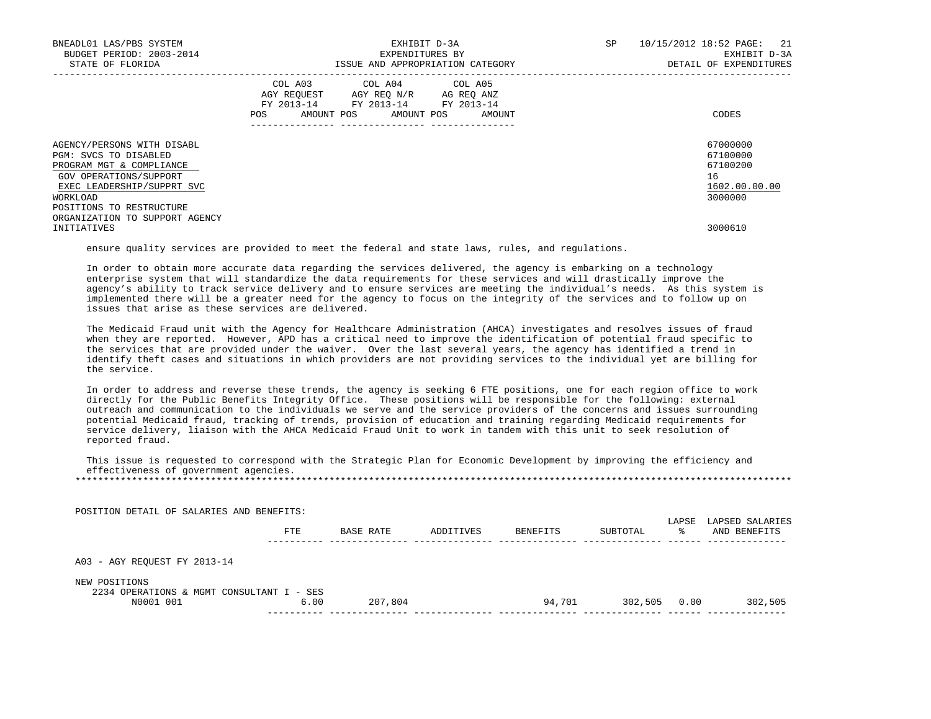| BNEADL01 LAS/PBS SYSTEM<br>BUDGET PERIOD: 2003-2014<br>STATE OF FLORIDA                                                                                                         | EXHIBIT D-3A<br>EXPENDITURES BY<br>ISSUE AND APPROPRIATION CATEGORY                                                                         | 10/15/2012 18:52 PAGE: 21<br>SP<br>EXHIBIT D-3A<br>DETAIL OF EXPENDITURES |
|---------------------------------------------------------------------------------------------------------------------------------------------------------------------------------|---------------------------------------------------------------------------------------------------------------------------------------------|---------------------------------------------------------------------------|
|                                                                                                                                                                                 | COL A03 COL A04 COL A05<br>AGY REQUEST AGY REQ N/R AG REQ ANZ<br>FY 2013-14 FY 2013-14 FY 2013-14<br>AMOUNT POS AMOUNT POS<br>AMOUNT<br>POS | CODES                                                                     |
| AGENCY/PERSONS WITH DISABL<br>PGM: SVCS TO DISABLED<br>PROGRAM MGT & COMPLIANCE<br>GOV OPERATIONS/SUPPORT<br>EXEC LEADERSHIP/SUPPRT SVC<br>WORKLOAD<br>POSITIONS TO RESTRUCTURE |                                                                                                                                             | 67000000<br>67100000<br>67100200<br>16<br>1602.00.00.00<br>3000000        |
| ORGANIZATION TO SUPPORT AGENCY<br>INITIATIVES                                                                                                                                   |                                                                                                                                             | 3000610                                                                   |

ensure quality services are provided to meet the federal and state laws, rules, and regulations.

 In order to obtain more accurate data regarding the services delivered, the agency is embarking on a technology enterprise system that will standardize the data requirements for these services and will drastically improve the agency's ability to track service delivery and to ensure services are meeting the individual's needs. As this system is implemented there will be a greater need for the agency to focus on the integrity of the services and to follow up on issues that arise as these services are delivered.

 The Medicaid Fraud unit with the Agency for Healthcare Administration (AHCA) investigates and resolves issues of fraud when they are reported. However, APD has a critical need to improve the identification of potential fraud specific to the services that are provided under the waiver. Over the last several years, the agency has identified a trend in identify theft cases and situations in which providers are not providing services to the individual yet are billing for the service.

 In order to address and reverse these trends, the agency is seeking 6 FTE positions, one for each region office to work directly for the Public Benefits Integrity Office. These positions will be responsible for the following: external outreach and communication to the individuals we serve and the service providers of the concerns and issues surrounding potential Medicaid fraud, tracking of trends, provision of education and training regarding Medicaid requirements for service delivery, liaison with the AHCA Medicaid Fraud Unit to work in tandem with this unit to seek resolution of reported fraud.

 This issue is requested to correspond with the Strategic Plan for Economic Development by improving the efficiency and effectiveness of government agencies. \*\*\*\*\*\*\*\*\*\*\*\*\*\*\*\*\*\*\*\*\*\*\*\*\*\*\*\*\*\*\*\*\*\*\*\*\*\*\*\*\*\*\*\*\*\*\*\*\*\*\*\*\*\*\*\*\*\*\*\*\*\*\*\*\*\*\*\*\*\*\*\*\*\*\*\*\*\*\*\*\*\*\*\*\*\*\*\*\*\*\*\*\*\*\*\*\*\*\*\*\*\*\*\*\*\*\*\*\*\*\*\*\*\*\*\*\*\*\*\*\*\*\*\*\*\*\*

| POSITION DETAIL OF SALARIES AND BENEFITS:                  |      |           |           |          |          |             |                                 |
|------------------------------------------------------------|------|-----------|-----------|----------|----------|-------------|---------------------------------|
|                                                            | FTE  | BASE RATE | ADDITIVES | BENEFITS | SUBTOTAL | LAPSE<br>°≈ | LAPSED SALARIES<br>AND BENEFITS |
| A03 - AGY REQUEST FY 2013-14                               |      |           |           |          |          |             |                                 |
| NEW POSITIONS<br>2234 OPERATIONS & MGMT CONSULTANT I - SES |      |           |           |          |          |             |                                 |
| N0001 001                                                  | 6.00 | 207,804   |           | 94,701   | 302,505  | 0.00        | 302,505                         |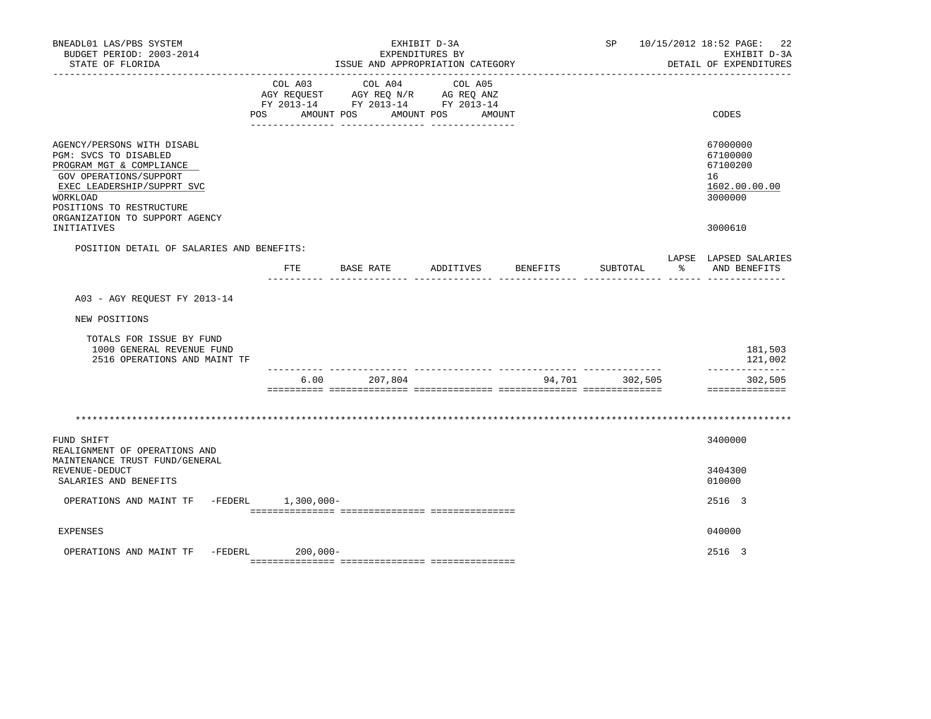| BNEADL01 LAS/PBS SYSTEM<br>BUDGET PERIOD: 2003-2014<br>STATE OF FLORIDA                                                                                                                                           |                           | ISSUE AND APPROPRIATION CATEGORY                                                                | EXHIBIT D-3A<br>EXPENDITURES BY |          |          |   | SP 10/15/2012 18:52 PAGE: 22<br>EXHIBIT D-3A<br>DETAIL OF EXPENDITURES |
|-------------------------------------------------------------------------------------------------------------------------------------------------------------------------------------------------------------------|---------------------------|-------------------------------------------------------------------------------------------------|---------------------------------|----------|----------|---|------------------------------------------------------------------------|
|                                                                                                                                                                                                                   | COL A03<br>POS AMOUNT POS | COL A04<br>AGY REQUEST AGY REQ N/R AG REQ ANZ<br>FY 2013-14 FY 2013-14 FY 2013-14<br>AMOUNT POS | COL A05<br>AMOUNT               |          |          |   | CODES                                                                  |
| AGENCY/PERSONS WITH DISABL<br>PGM: SVCS TO DISABLED<br>PROGRAM MGT & COMPLIANCE<br>GOV OPERATIONS/SUPPORT<br>EXEC LEADERSHIP/SUPPRT SVC<br>WORKLOAD<br>POSITIONS TO RESTRUCTURE<br>ORGANIZATION TO SUPPORT AGENCY |                           |                                                                                                 |                                 |          |          |   | 67000000<br>67100000<br>67100200<br>16<br>1602.00.00.00<br>3000000     |
| INITIATIVES                                                                                                                                                                                                       |                           |                                                                                                 |                                 |          |          |   | 3000610                                                                |
| POSITION DETAIL OF SALARIES AND BENEFITS:                                                                                                                                                                         | ETE                       | BASE RATE                                                                                       | ADDITIVES                       | BENEFITS | SUBTOTAL | ႜ | LAPSE LAPSED SALARIES<br>AND BENEFITS                                  |
| A03 - AGY REQUEST FY 2013-14                                                                                                                                                                                      |                           |                                                                                                 |                                 |          |          |   |                                                                        |
| NEW POSITIONS                                                                                                                                                                                                     |                           |                                                                                                 |                                 |          |          |   |                                                                        |
| TOTALS FOR ISSUE BY FUND<br>1000 GENERAL REVENUE FUND<br>2516 OPERATIONS AND MAINT TF                                                                                                                             |                           |                                                                                                 |                                 |          |          |   | 181,503<br>121,002                                                     |
|                                                                                                                                                                                                                   | 6.00                      | 207,804                                                                                         |                                 | 94,701   | 302,505  |   | ______________<br>302,505<br>==============                            |
|                                                                                                                                                                                                                   |                           |                                                                                                 |                                 |          |          |   |                                                                        |
| FUND SHIFT<br>REALIGNMENT OF OPERATIONS AND<br>MAINTENANCE TRUST FUND/GENERAL<br>REVENUE-DEDUCT                                                                                                                   |                           |                                                                                                 |                                 |          |          |   | 3400000<br>3404300                                                     |
| SALARIES AND BENEFITS                                                                                                                                                                                             |                           |                                                                                                 |                                 |          |          |   | 010000                                                                 |
| OPERATIONS AND MAINT TF                                                                                                                                                                                           | -FEDERL 1,300,000-        |                                                                                                 |                                 |          |          |   | 2516 3                                                                 |
| <b>EXPENSES</b>                                                                                                                                                                                                   |                           |                                                                                                 |                                 |          |          |   | 040000                                                                 |
| OPERATIONS AND MAINT TF -FEDERL                                                                                                                                                                                   | $200,000 -$               |                                                                                                 |                                 |          |          |   | 2516 3                                                                 |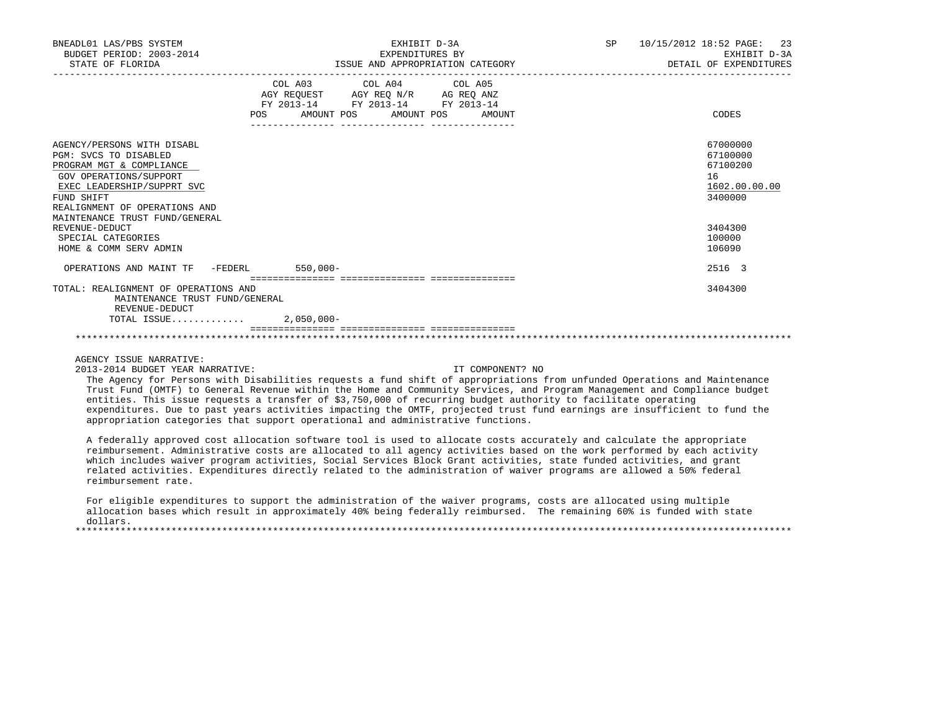| BNEADL01 LAS/PBS SYSTEM<br>BUDGET PERIOD: 2003-2014<br>STATE OF FLORIDA                                                                                                                                                                                          | EXHIBIT D-3A<br>EXPENDITURES BY<br>ISSUE AND APPROPRIATION CATEGORY                                                                                                                                             | SP 10/15/2012 18:52 PAGE: 23<br>EXHIBIT D-3A<br>DETAIL OF EXPENDITURES                  |
|------------------------------------------------------------------------------------------------------------------------------------------------------------------------------------------------------------------------------------------------------------------|-----------------------------------------------------------------------------------------------------------------------------------------------------------------------------------------------------------------|-----------------------------------------------------------------------------------------|
|                                                                                                                                                                                                                                                                  | COL A03 COL A04 COL A05<br>$\begin{tabular}{lllllll} AGY & \texttt{REQUEST} & \texttt{AGY REQ N/R} & \texttt{AG REQ ANZ} \end{tabular}$<br>FY 2013-14 FY 2013-14 FY 2013-14<br>POS AMOUNT POS AMOUNT POS AMOUNT | CODES                                                                                   |
| AGENCY/PERSONS WITH DISABL<br>PGM: SVCS TO DISABLED<br>PROGRAM MGT & COMPLIANCE<br>GOV OPERATIONS/SUPPORT<br>EXEC LEADERSHIP/SUPPRT SVC<br>FUND SHIFT<br>REALIGNMENT OF OPERATIONS AND<br>MAINTENANCE TRUST FUND/GENERAL<br>REVENUE-DEDUCT<br>SPECIAL CATEGORIES |                                                                                                                                                                                                                 | 67000000<br>67100000<br>67100200<br>16<br>1602.00.00.00<br>3400000<br>3404300<br>100000 |
| HOME & COMM SERV ADMIN                                                                                                                                                                                                                                           |                                                                                                                                                                                                                 | 106090                                                                                  |
| OPERATIONS AND MAINT TF -FEDERL 550,000-                                                                                                                                                                                                                         |                                                                                                                                                                                                                 | 2516 3                                                                                  |
| TOTAL: REALIGNMENT OF OPERATIONS AND<br>MAINTENANCE TRUST FUND/GENERAL<br>REVENUE-DEDUCT                                                                                                                                                                         |                                                                                                                                                                                                                 | 3404300                                                                                 |
| TOTAL ISSUE 2,050,000-                                                                                                                                                                                                                                           |                                                                                                                                                                                                                 |                                                                                         |
|                                                                                                                                                                                                                                                                  |                                                                                                                                                                                                                 |                                                                                         |

AGENCY ISSUE NARRATIVE:

2013-2014 BUDGET YEAR NARRATIVE: IT COMPONENT? NO

 The Agency for Persons with Disabilities requests a fund shift of appropriations from unfunded Operations and Maintenance Trust Fund (OMTF) to General Revenue within the Home and Community Services, and Program Management and Compliance budget entities. This issue requests a transfer of \$3,750,000 of recurring budget authority to facilitate operating expenditures. Due to past years activities impacting the OMTF, projected trust fund earnings are insufficient to fund the appropriation categories that support operational and administrative functions.

 A federally approved cost allocation software tool is used to allocate costs accurately and calculate the appropriate reimbursement. Administrative costs are allocated to all agency activities based on the work performed by each activity which includes waiver program activities, Social Services Block Grant activities, state funded activities, and grant related activities. Expenditures directly related to the administration of waiver programs are allowed a 50% federal reimbursement rate.

 For eligible expenditures to support the administration of the waiver programs, costs are allocated using multiple allocation bases which result in approximately 40% being federally reimbursed. The remaining 60% is funded with state dollars. \*\*\*\*\*\*\*\*\*\*\*\*\*\*\*\*\*\*\*\*\*\*\*\*\*\*\*\*\*\*\*\*\*\*\*\*\*\*\*\*\*\*\*\*\*\*\*\*\*\*\*\*\*\*\*\*\*\*\*\*\*\*\*\*\*\*\*\*\*\*\*\*\*\*\*\*\*\*\*\*\*\*\*\*\*\*\*\*\*\*\*\*\*\*\*\*\*\*\*\*\*\*\*\*\*\*\*\*\*\*\*\*\*\*\*\*\*\*\*\*\*\*\*\*\*\*\*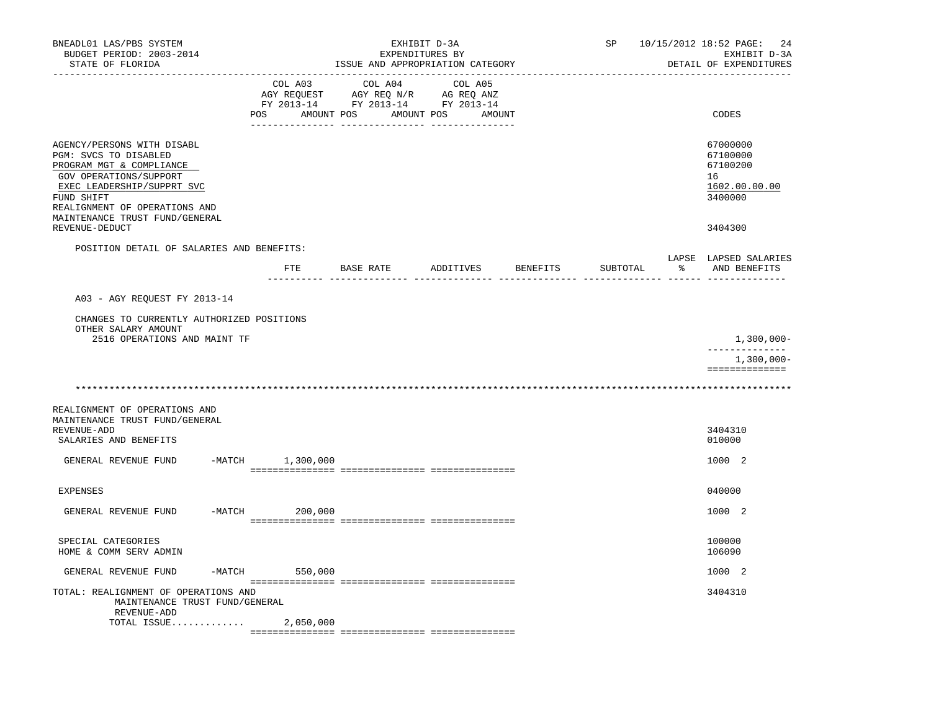| BNEADL01 LAS/PBS SYSTEM<br>BUDGET PERIOD: 2003-2014<br>STATE OF FLORIDA                                                                                                                                                                    |                           | EXHIBIT D-3A<br>EXPENDITURES BY<br>ISSUE AND APPROPRIATION CATEGORY                                                                                                                                                                     |                              | SP       | 10/15/2012 18:52 PAGE: 24<br>EXHIBIT D-3A<br>DETAIL OF EXPENDITURES |                                                                               |
|--------------------------------------------------------------------------------------------------------------------------------------------------------------------------------------------------------------------------------------------|---------------------------|-----------------------------------------------------------------------------------------------------------------------------------------------------------------------------------------------------------------------------------------|------------------------------|----------|---------------------------------------------------------------------|-------------------------------------------------------------------------------|
|                                                                                                                                                                                                                                            | COL A03<br>POS AMOUNT POS | COL A04<br>$\begin{array}{ccccccccc}\n\text{AGY} & \text{REQUEST} & & \text{AGY} & \text{REQ} & \text{N/R} & & \text{AG} & \text{REQ} & \text{ANZ} \\ \text{RY} & 2013-14 & & \text{FY} & 2013-14 & & \text{FY} & 2013-14\n\end{array}$ | COL A05<br>AMOUNT POS AMOUNT |          |                                                                     | CODES                                                                         |
| AGENCY/PERSONS WITH DISABL<br>PGM: SVCS TO DISABLED<br>PROGRAM MGT & COMPLIANCE<br>GOV OPERATIONS/SUPPORT<br>EXEC LEADERSHIP/SUPPRT SVC<br>FUND SHIFT<br>REALIGNMENT OF OPERATIONS AND<br>MAINTENANCE TRUST FUND/GENERAL<br>REVENUE-DEDUCT |                           |                                                                                                                                                                                                                                         |                              |          |                                                                     | 67000000<br>67100000<br>67100200<br>16<br>1602.00.00.00<br>3400000<br>3404300 |
| POSITION DETAIL OF SALARIES AND BENEFITS:                                                                                                                                                                                                  |                           |                                                                                                                                                                                                                                         |                              |          |                                                                     |                                                                               |
|                                                                                                                                                                                                                                            | ETE                       | BASE RATE                                                                                                                                                                                                                               | ADDITIVES                    | BENEFITS | SUBTOTAL                                                            | LAPSE LAPSED SALARIES<br>AND BENEFITS                                         |
|                                                                                                                                                                                                                                            |                           |                                                                                                                                                                                                                                         |                              |          |                                                                     |                                                                               |
| A03 - AGY REQUEST FY 2013-14                                                                                                                                                                                                               |                           |                                                                                                                                                                                                                                         |                              |          |                                                                     |                                                                               |
| CHANGES TO CURRENTLY AUTHORIZED POSITIONS<br>OTHER SALARY AMOUNT<br>2516 OPERATIONS AND MAINT TF                                                                                                                                           |                           |                                                                                                                                                                                                                                         |                              |          |                                                                     | $1,300,000 -$                                                                 |
|                                                                                                                                                                                                                                            |                           |                                                                                                                                                                                                                                         |                              |          |                                                                     | ______________                                                                |
|                                                                                                                                                                                                                                            |                           |                                                                                                                                                                                                                                         |                              |          |                                                                     | 1,300,000-<br>==============                                                  |
|                                                                                                                                                                                                                                            |                           |                                                                                                                                                                                                                                         |                              |          |                                                                     |                                                                               |
| REALIGNMENT OF OPERATIONS AND<br>MAINTENANCE TRUST FUND/GENERAL<br>REVENUE-ADD<br>SALARIES AND BENEFITS                                                                                                                                    |                           |                                                                                                                                                                                                                                         |                              |          |                                                                     | 3404310<br>010000                                                             |
| GENERAL REVENUE FUND                                                                                                                                                                                                                       | $-MATCH$ 1,300,000        |                                                                                                                                                                                                                                         |                              |          |                                                                     | 1000 2                                                                        |
| <b>EXPENSES</b>                                                                                                                                                                                                                            |                           |                                                                                                                                                                                                                                         |                              |          |                                                                     | 040000                                                                        |
| $-MATCH$<br>GENERAL REVENUE FUND                                                                                                                                                                                                           | 200,000                   |                                                                                                                                                                                                                                         |                              |          |                                                                     | 1000 2                                                                        |
| SPECIAL CATEGORIES<br>HOME & COMM SERV ADMIN                                                                                                                                                                                               |                           |                                                                                                                                                                                                                                         |                              |          |                                                                     | 100000<br>106090                                                              |
| GENERAL REVENUE FUND                                                                                                                                                                                                                       | $-MATCH$ 550,000          |                                                                                                                                                                                                                                         |                              |          |                                                                     | 1000 2                                                                        |
| TOTAL: REALIGNMENT OF OPERATIONS AND<br>MAINTENANCE TRUST FUND/GENERAL<br>REVENUE-ADD                                                                                                                                                      |                           |                                                                                                                                                                                                                                         |                              |          |                                                                     | 3404310                                                                       |
| TOTAL ISSUE $2,050,000$                                                                                                                                                                                                                    |                           |                                                                                                                                                                                                                                         |                              |          |                                                                     |                                                                               |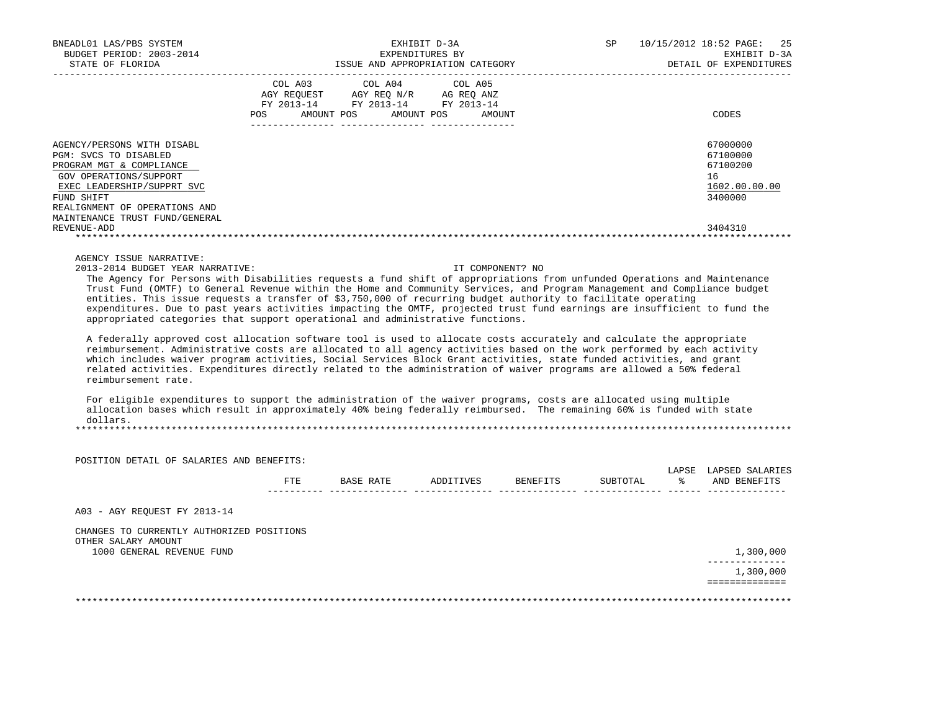| BNEADL01 LAS/PBS SYSTEM<br>BUDGET PERIOD: 2003-2014<br>STATE OF FLORIDA                                                 |     | EXHIBIT D-3A<br>EXPENDITURES BY<br>ISSUE AND APPROPRIATION CATEGORY                                                        |  |  |                  |  | 10/15/2012 18:52 PAGE: 25<br>EXHIBIT D-3A<br>DETAIL OF EXPENDITURES |
|-------------------------------------------------------------------------------------------------------------------------|-----|----------------------------------------------------------------------------------------------------------------------------|--|--|------------------|--|---------------------------------------------------------------------|
|                                                                                                                         | POS | COL A03 COL A04 COL A05<br>AGY REQUEST AGY REQ N/R AG REQ ANZ<br>FY 2013-14 FY 2013-14 FY 2013-14<br>AMOUNT POS AMOUNT POS |  |  | AMOUNT           |  | CODES                                                               |
| AGENCY/PERSONS WITH DISABL                                                                                              |     |                                                                                                                            |  |  |                  |  | 67000000<br>67100000                                                |
| PGM: SVCS TO DISABLED<br>PROGRAM MGT & COMPLIANCE                                                                       |     |                                                                                                                            |  |  |                  |  | 67100200                                                            |
| GOV OPERATIONS/SUPPORT                                                                                                  |     |                                                                                                                            |  |  |                  |  | 16                                                                  |
| EXEC LEADERSHIP/SUPPRT SVC                                                                                              |     |                                                                                                                            |  |  |                  |  | 1602.00.00.00                                                       |
| FUND SHIFT                                                                                                              |     |                                                                                                                            |  |  |                  |  | 3400000                                                             |
| REALIGNMENT OF OPERATIONS AND                                                                                           |     |                                                                                                                            |  |  |                  |  |                                                                     |
| MAINTENANCE TRUST FUND/GENERAL                                                                                          |     |                                                                                                                            |  |  |                  |  |                                                                     |
| REVENUE-ADD                                                                                                             |     |                                                                                                                            |  |  |                  |  | 3404310                                                             |
|                                                                                                                         |     |                                                                                                                            |  |  |                  |  |                                                                     |
| AGENCY ISSUE NARRATIVE:                                                                                                 |     |                                                                                                                            |  |  |                  |  |                                                                     |
| 2013-2014 BUDGET YEAR NARRATIVE:                                                                                        |     |                                                                                                                            |  |  | IT COMPONENT? NO |  |                                                                     |
| The leaner for Demann with Disobilities remeate a fund chift of enpressiptions from unfunded Operations and Meintenance |     |                                                                                                                            |  |  |                  |  |                                                                     |

 The Agency for Persons with Disabilities requests a fund shift of appropriations from unfunded Operations and Maintenance Trust Fund (OMTF) to General Revenue within the Home and Community Services, and Program Management and Compliance budget entities. This issue requests a transfer of \$3,750,000 of recurring budget authority to facilitate operating expenditures. Due to past years activities impacting the OMTF, projected trust fund earnings are insufficient to fund the appropriated categories that support operational and administrative functions.

 A federally approved cost allocation software tool is used to allocate costs accurately and calculate the appropriate reimbursement. Administrative costs are allocated to all agency activities based on the work performed by each activity which includes waiver program activities, Social Services Block Grant activities, state funded activities, and grant related activities. Expenditures directly related to the administration of waiver programs are allowed a 50% federal reimbursement rate.

 For eligible expenditures to support the administration of the waiver programs, costs are allocated using multiple allocation bases which result in approximately 40% being federally reimbursed. The remaining 60% is funded with state dollars.

|                                                                  | <b>FTE</b> | BASE RATE | ADDITIVES | BENEFITS | SUBTOTAL | LAPSE<br>° | LAPSED SALARIES<br>AND BENEFITS |
|------------------------------------------------------------------|------------|-----------|-----------|----------|----------|------------|---------------------------------|
| A03 - AGY REOUEST FY 2013-14                                     |            |           |           |          |          |            |                                 |
| CHANGES TO CURRENTLY AUTHORIZED POSITIONS<br>OTHER SALARY AMOUNT |            |           |           |          |          |            |                                 |
| 1000 GENERAL REVENUE FUND                                        |            |           |           |          |          |            | 1,300,000<br>------------       |
|                                                                  |            |           |           |          |          |            | 1,300,000                       |
|                                                                  |            |           |           |          |          |            |                                 |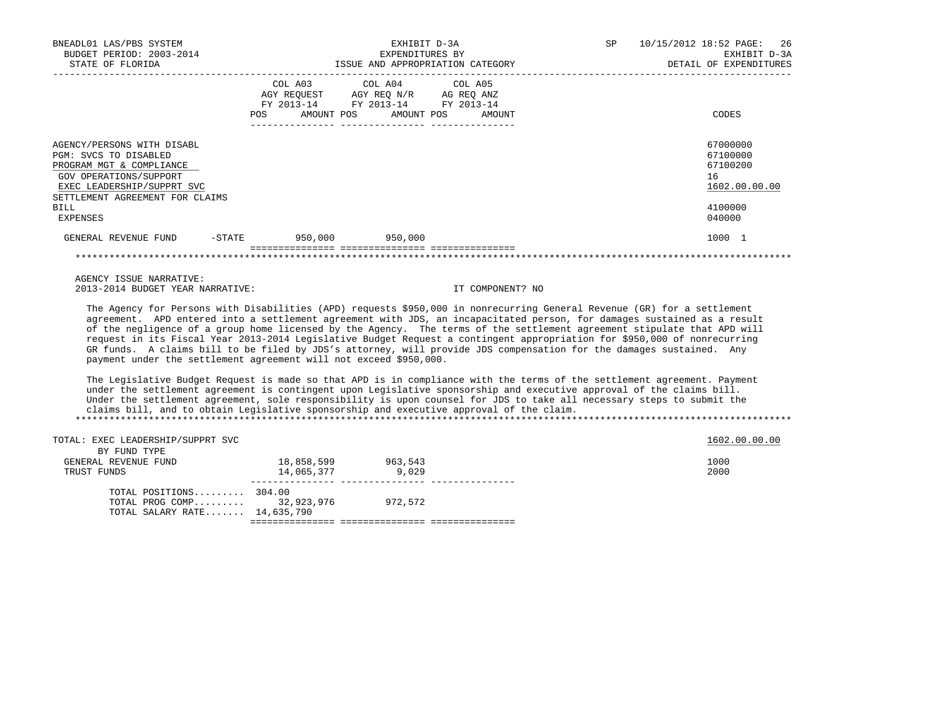| BNEADL01 LAS/PBS SYSTEM<br>BUDGET PERIOD: 2003-2014<br>STATE OF FLORIDA                                                                                                                        |                                 | EXHIBIT D-3A<br>EXPENDITURES BY<br>ISSUE AND APPROPRIATION CATEGORY                                  |        | <b>SP</b> | 10/15/2012 18:52 PAGE:<br>26<br>EXHIBIT D-3A<br>DETAIL OF EXPENDITURES       |
|------------------------------------------------------------------------------------------------------------------------------------------------------------------------------------------------|---------------------------------|------------------------------------------------------------------------------------------------------|--------|-----------|------------------------------------------------------------------------------|
|                                                                                                                                                                                                | FY 2013-14<br>AMOUNT POS<br>POS | COL A03 COL A04 COL A05<br>AGY REQUEST AGY REQ N/R AG REQ ANZ<br>FY 2013-14 FY 2013-14<br>AMOUNT POS | AMOUNT |           | CODES                                                                        |
| AGENCY/PERSONS WITH DISABL<br>PGM: SVCS TO DISABLED<br>PROGRAM MGT & COMPLIANCE<br>GOV OPERATIONS/SUPPORT<br>EXEC LEADERSHIP/SUPPRT SVC<br>SETTLEMENT AGREEMENT FOR CLAIMS<br>BILL<br>EXPENSES |                                 |                                                                                                      |        |           | 67000000<br>67100000<br>67100200<br>16<br>1602.00.00.00<br>4100000<br>040000 |
| $-$ STATE<br>GENERAL REVENUE FUND                                                                                                                                                              |                                 | $950,000$ 950,000                                                                                    |        |           | 1000 1                                                                       |
|                                                                                                                                                                                                |                                 |                                                                                                      |        |           |                                                                              |

 AGENCY ISSUE NARRATIVE: 2013-2014 BUDGET YEAR NARRATIVE: IT COMPONENT? NO

 The Agency for Persons with Disabilities (APD) requests \$950,000 in nonrecurring General Revenue (GR) for a settlement agreement. APD entered into a settlement agreement with JDS, an incapacitated person, for damages sustained as a result of the negligence of a group home licensed by the Agency. The terms of the settlement agreement stipulate that APD will request in its Fiscal Year 2013-2014 Legislative Budget Request a contingent appropriation for \$950,000 of nonrecurring GR funds. A claims bill to be filed by JDS's attorney, will provide JDS compensation for the damages sustained. Any payment under the settlement agreement will not exceed \$950,000.

 The Legislative Budget Request is made so that APD is in compliance with the terms of the settlement agreement. Payment under the settlement agreement is contingent upon Legislative sponsorship and executive approval of the claims bill. Under the settlement agreement, sole responsibility is upon counsel for JDS to take all necessary steps to submit the claims bill, and to obtain Legislative sponsorship and executive approval of the claim. \*\*\*\*\*\*\*\*\*\*\*\*\*\*\*\*\*\*\*\*\*\*\*\*\*\*\*\*\*\*\*\*\*\*\*\*\*\*\*\*\*\*\*\*\*\*\*\*\*\*\*\*\*\*\*\*\*\*\*\*\*\*\*\*\*\*\*\*\*\*\*\*\*\*\*\*\*\*\*\*\*\*\*\*\*\*\*\*\*\*\*\*\*\*\*\*\*\*\*\*\*\*\*\*\*\*\*\*\*\*\*\*\*\*\*\*\*\*\*\*\*\*\*\*\*\*\*

TOTAL: EXEC LEADERSHIP/SUPPRT SVC 1602.00.00 CONTROLLER SUCTION OF THE SUPPORT SUCTION OF THE SUPPORT SUCTION OF THE SUPPORT SUCTION OF THE SUPPORT SUCTION OF THE SUPPORT SUCTION OF THE SUPPORT SUCTION OF THE SUPPORT SUCH BY FUND TYPE CENERAL REVENUE FUND 111.<br>GENERAL REVENUE FUND 18,858,599 963,543 1000 14.065.377 9.029 1000 14.065.377 9.029 1000 14.065.377 9.029 1000 14,065,377 9,029 --------------- --------------- --------------- TOTAL POSITIONS......... 304.00 TOTAL PROG COMP......... 32,923,976 972,572 TOTAL SALARY RATE....... 14,635,790 =============== =============== ===============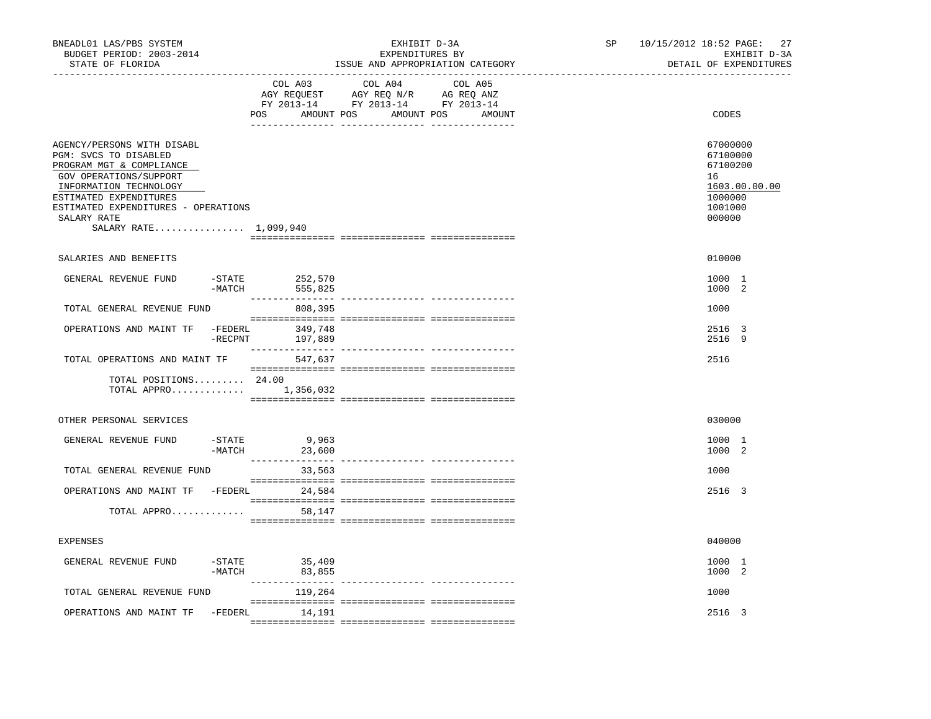| BNEADL01 LAS/PBS SYSTEM<br>BUDGET PERIOD: 2003-2014<br>STATE OF FLORIDA                                                                                                                                                                      |                       |                                                                                                                | EXHIBIT D-3A<br>EXPENDITURES BY<br>ISSUE AND APPROPRIATION CATEGORY |  | SP and the set of the set of the set of the set of the set of the set of the set of the set of the set of the set of the set of the set of the set of the set of the set of the set of the set of the set of the set of the se | 10/15/2012 18:52 PAGE:<br>DETAIL OF EXPENDITURES                       | 27<br>EXHIBIT D-3A |
|----------------------------------------------------------------------------------------------------------------------------------------------------------------------------------------------------------------------------------------------|-----------------------|----------------------------------------------------------------------------------------------------------------|---------------------------------------------------------------------|--|--------------------------------------------------------------------------------------------------------------------------------------------------------------------------------------------------------------------------------|------------------------------------------------------------------------|--------------------|
|                                                                                                                                                                                                                                              | COL A03               | COL A04<br>AGY REQUEST AGY REQ N/R AG REQ ANZ<br>FY 2013-14 FY 2013-14 FY 2013-14<br>POS AMOUNT POS AMOUNT POS | COL A05<br>AMOUNT                                                   |  | CODES                                                                                                                                                                                                                          |                                                                        |                    |
| AGENCY/PERSONS WITH DISABL<br>PGM: SVCS TO DISABLED<br>PROGRAM MGT & COMPLIANCE<br>GOV OPERATIONS/SUPPORT<br>INFORMATION TECHNOLOGY<br>ESTIMATED EXPENDITURES<br>ESTIMATED EXPENDITURES - OPERATIONS<br>SALARY RATE<br>SALARY RATE 1,099,940 |                       |                                                                                                                |                                                                     |  |                                                                                                                                                                                                                                | 67000000<br>67100000<br>67100200<br>16<br>1000000<br>1001000<br>000000 | 1603.00.00.00      |
| SALARIES AND BENEFITS                                                                                                                                                                                                                        |                       |                                                                                                                |                                                                     |  |                                                                                                                                                                                                                                | 010000                                                                 |                    |
| GENERAL REVENUE FUND                                                                                                                                                                                                                         | $-MATCH$              | -STATE 252,570<br>555,825                                                                                      |                                                                     |  |                                                                                                                                                                                                                                | 1000 1<br>1000 2                                                       |                    |
| TOTAL GENERAL REVENUE FUND                                                                                                                                                                                                                   |                       | 808,395                                                                                                        |                                                                     |  |                                                                                                                                                                                                                                | 1000                                                                   |                    |
| OPERATIONS AND MAINT TF                                                                                                                                                                                                                      | -FEDERL<br>$-$ RECPNT | 349,748<br>197,889                                                                                             |                                                                     |  |                                                                                                                                                                                                                                | 2516 3<br>2516 9                                                       |                    |
| TOTAL OPERATIONS AND MAINT TF                                                                                                                                                                                                                |                       | 547,637                                                                                                        |                                                                     |  |                                                                                                                                                                                                                                | 2516                                                                   |                    |
| TOTAL POSITIONS 24.00<br>TOTAL APPRO $1,356,032$                                                                                                                                                                                             |                       |                                                                                                                |                                                                     |  |                                                                                                                                                                                                                                |                                                                        |                    |
| OTHER PERSONAL SERVICES                                                                                                                                                                                                                      |                       |                                                                                                                |                                                                     |  |                                                                                                                                                                                                                                | 030000                                                                 |                    |
| GENERAL REVENUE FUND                                                                                                                                                                                                                         | -STATE<br>-MATCH      | 9,963<br>23,600<br>________________                                                                            |                                                                     |  |                                                                                                                                                                                                                                | 1000 1<br>1000 2                                                       |                    |
| TOTAL GENERAL REVENUE FUND                                                                                                                                                                                                                   |                       | 33,563                                                                                                         |                                                                     |  |                                                                                                                                                                                                                                | 1000                                                                   |                    |
| OPERATIONS AND MAINT TF -FEDERL 24,584                                                                                                                                                                                                       |                       |                                                                                                                |                                                                     |  |                                                                                                                                                                                                                                | 2516 3                                                                 |                    |
| TOTAL APPRO                                                                                                                                                                                                                                  |                       | 58,147                                                                                                         |                                                                     |  |                                                                                                                                                                                                                                |                                                                        |                    |
| <b>EXPENSES</b>                                                                                                                                                                                                                              |                       |                                                                                                                |                                                                     |  |                                                                                                                                                                                                                                | 040000                                                                 |                    |
| GENERAL REVENUE FUND                                                                                                                                                                                                                         | $-$ STATE<br>$-MATCH$ | 35,409<br>83,855                                                                                               |                                                                     |  |                                                                                                                                                                                                                                | 1000 1<br>1000 2                                                       |                    |
| TOTAL GENERAL REVENUE FUND                                                                                                                                                                                                                   |                       | 119,264                                                                                                        |                                                                     |  |                                                                                                                                                                                                                                | 1000                                                                   |                    |
| OPERATIONS AND MAINT TF                                                                                                                                                                                                                      |                       | -FEDERL 14,191                                                                                                 |                                                                     |  |                                                                                                                                                                                                                                | 2516 3                                                                 |                    |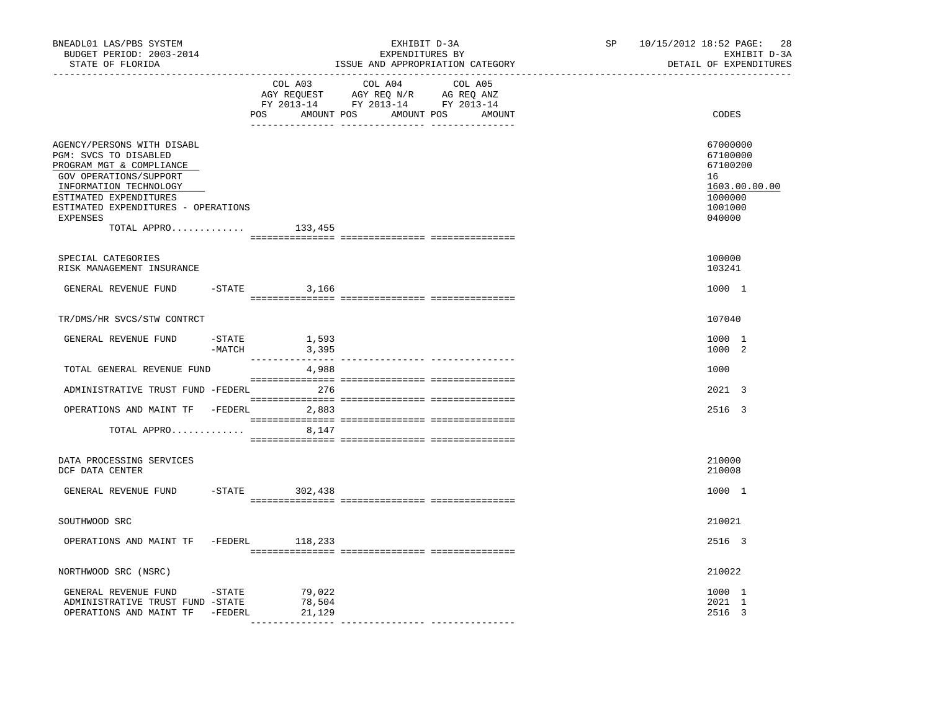| BNEADL01 LAS/PBS SYSTEM<br>BUDGET PERIOD: 2003-2014<br>STATE OF FLORIDA                                                                                                                                                                   |        |                            | EXHIBIT D-3A<br>EXPENDITURES BY<br>ISSUE AND APPROPRIATION CATEGORY                                                              | SP 10/15/2012 18:52 PAGE: 28<br>EXHIBIT D-3A<br>DETAIL OF EXPENDITURES                  |
|-------------------------------------------------------------------------------------------------------------------------------------------------------------------------------------------------------------------------------------------|--------|----------------------------|----------------------------------------------------------------------------------------------------------------------------------|-----------------------------------------------------------------------------------------|
| -----------------                                                                                                                                                                                                                         |        | COL A03                    | COL A04<br>COL A05<br>AGY REQUEST AGY REQ N/R AG REQ ANZ<br>FY 2013-14 FY 2013-14 FY 2013-14<br>POS AMOUNT POS AMOUNT POS AMOUNT | CODES                                                                                   |
| AGENCY/PERSONS WITH DISABL<br>PGM: SVCS TO DISABLED<br>PROGRAM MGT & COMPLIANCE<br>GOV OPERATIONS/SUPPORT<br>INFORMATION TECHNOLOGY<br>ESTIMATED EXPENDITURES<br>ESTIMATED EXPENDITURES - OPERATIONS<br>EXPENSES<br>TOTAL APPRO $133,455$ |        |                            |                                                                                                                                  | 67000000<br>67100000<br>67100200<br>16<br>1603.00.00.00<br>1000000<br>1001000<br>040000 |
|                                                                                                                                                                                                                                           |        |                            |                                                                                                                                  |                                                                                         |
| SPECIAL CATEGORIES<br>RISK MANAGEMENT INSURANCE                                                                                                                                                                                           |        |                            |                                                                                                                                  | 100000<br>103241                                                                        |
| GENERAL REVENUE FUND                                                                                                                                                                                                                      |        | $-STATE$ 3,166             |                                                                                                                                  | 1000 1                                                                                  |
| TR/DMS/HR SVCS/STW CONTRCT                                                                                                                                                                                                                |        |                            |                                                                                                                                  | 107040                                                                                  |
| GENERAL REVENUE FUND                                                                                                                                                                                                                      | -MATCH | $-STATE$ 1,593<br>3,395    |                                                                                                                                  | 1000 1<br>1000 2                                                                        |
| TOTAL GENERAL REVENUE FUND                                                                                                                                                                                                                |        | 4,988                      |                                                                                                                                  | 1000                                                                                    |
| ADMINISTRATIVE TRUST FUND -FEDERL 276                                                                                                                                                                                                     |        |                            |                                                                                                                                  | 2021 3                                                                                  |
| OPERATIONS AND MAINT TF -FEDERL 2,883                                                                                                                                                                                                     |        |                            |                                                                                                                                  | 2516 3                                                                                  |
| TOTAL APPRO                                                                                                                                                                                                                               |        | 8,147                      |                                                                                                                                  |                                                                                         |
| DATA PROCESSING SERVICES<br>DCF DATA CENTER                                                                                                                                                                                               |        |                            |                                                                                                                                  | 210000<br>210008                                                                        |
| GENERAL REVENUE FUND -STATE 302,438                                                                                                                                                                                                       |        |                            |                                                                                                                                  | 1000 1                                                                                  |
| SOUTHWOOD SRC                                                                                                                                                                                                                             |        |                            |                                                                                                                                  | 210021                                                                                  |
| OPERATIONS AND MAINT TF -FEDERL 118,233                                                                                                                                                                                                   |        |                            |                                                                                                                                  | 2516 3                                                                                  |
| NORTHWOOD SRC (NSRC)                                                                                                                                                                                                                      |        |                            |                                                                                                                                  | 210022                                                                                  |
| GENERAL REVENUE FUND -STATE<br>ADMINISTRATIVE TRUST FUND -STATE<br>OPERATIONS AND MAINT TF -FEDERL                                                                                                                                        |        | 79,022<br>78,504<br>21,129 |                                                                                                                                  | 1000 1<br>2021 1<br>2516 3                                                              |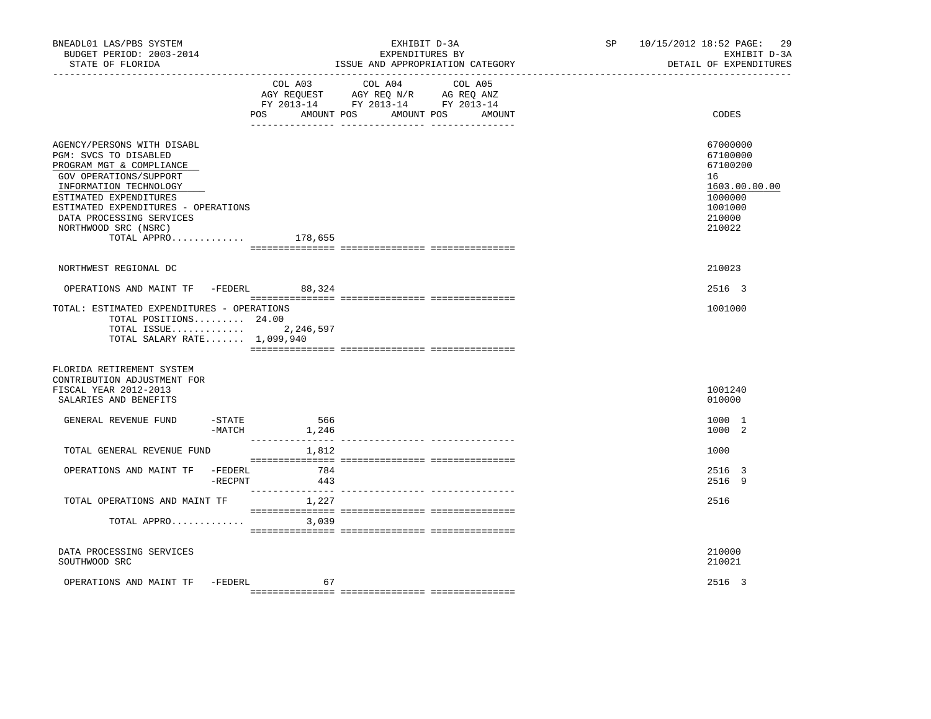| BNEADL01 LAS/PBS SYSTEM<br>BUDGET PERIOD: 2003-2014<br>STATE OF FLORIDA                                                                                                                                                                                                           |                            | EXHIBIT D-3A<br>EXPENDITURES BY<br>ISSUE AND APPROPRIATION CATEGORY |                                                                             |         |  | SP | 10/15/2012 18:52 PAGE:<br>-29<br>EXHIBIT D-3A<br>DETAIL OF EXPENDITURES                           |  |
|-----------------------------------------------------------------------------------------------------------------------------------------------------------------------------------------------------------------------------------------------------------------------------------|----------------------------|---------------------------------------------------------------------|-----------------------------------------------------------------------------|---------|--|----|---------------------------------------------------------------------------------------------------|--|
|                                                                                                                                                                                                                                                                                   | POS                        | COL A03                                                             | COL A04<br>FY 2013-14 FY 2013-14 FY 2013-14<br>AMOUNT POS AMOUNT POS AMOUNT | COL A05 |  |    | CODES                                                                                             |  |
| AGENCY/PERSONS WITH DISABL<br>PGM: SVCS TO DISABLED<br>PROGRAM MGT & COMPLIANCE<br>GOV OPERATIONS/SUPPORT<br>INFORMATION TECHNOLOGY<br>ESTIMATED EXPENDITURES<br>ESTIMATED EXPENDITURES - OPERATIONS<br>DATA PROCESSING SERVICES<br>NORTHWOOD SRC (NSRC)<br>TOTAL APPRO $178,655$ |                            |                                                                     |                                                                             |         |  |    | 67000000<br>67100000<br>67100200<br>16<br>1603.00.00.00<br>1000000<br>1001000<br>210000<br>210022 |  |
| NORTHWEST REGIONAL DC                                                                                                                                                                                                                                                             |                            |                                                                     |                                                                             |         |  |    | 210023                                                                                            |  |
| OPERATIONS AND MAINT TF -FEDERL 88,324                                                                                                                                                                                                                                            |                            |                                                                     |                                                                             |         |  |    | 2516 3                                                                                            |  |
| TOTAL: ESTIMATED EXPENDITURES - OPERATIONS<br>TOTAL POSITIONS $24.00$<br>TOTAL SALARY RATE $1,099,940$                                                                                                                                                                            |                            |                                                                     |                                                                             |         |  |    | 1001000                                                                                           |  |
| FLORIDA RETIREMENT SYSTEM<br>CONTRIBUTION ADJUSTMENT FOR<br>FISCAL YEAR 2012-2013<br>SALARIES AND BENEFITS                                                                                                                                                                        |                            |                                                                     |                                                                             |         |  |    | 1001240<br>010000                                                                                 |  |
| GENERAL REVENUE FUND                                                                                                                                                                                                                                                              | $-STATE$ 566<br>$-MATCH$   | 1,246                                                               |                                                                             |         |  |    | 1000 1<br>1000 2                                                                                  |  |
| TOTAL GENERAL REVENUE FUND                                                                                                                                                                                                                                                        |                            | ________________<br>1,812                                           |                                                                             |         |  |    | 1000                                                                                              |  |
| OPERATIONS AND MAINT TF                                                                                                                                                                                                                                                           | -FEDERL<br>$-{\rm RECPNT}$ | 784<br>443                                                          |                                                                             |         |  |    | 2516 3<br>2516 9                                                                                  |  |
| TOTAL OPERATIONS AND MAINT TF                                                                                                                                                                                                                                                     |                            | 1,227                                                               |                                                                             |         |  |    | 2516                                                                                              |  |
| TOTAL APPRO                                                                                                                                                                                                                                                                       |                            | 3,039                                                               |                                                                             |         |  |    |                                                                                                   |  |
| DATA PROCESSING SERVICES<br>SOUTHWOOD SRC                                                                                                                                                                                                                                         |                            |                                                                     |                                                                             |         |  |    | 210000<br>210021                                                                                  |  |
| OPERATIONS AND MAINT TF                                                                                                                                                                                                                                                           | -FEDERL                    | 67                                                                  |                                                                             |         |  |    | 2516 3                                                                                            |  |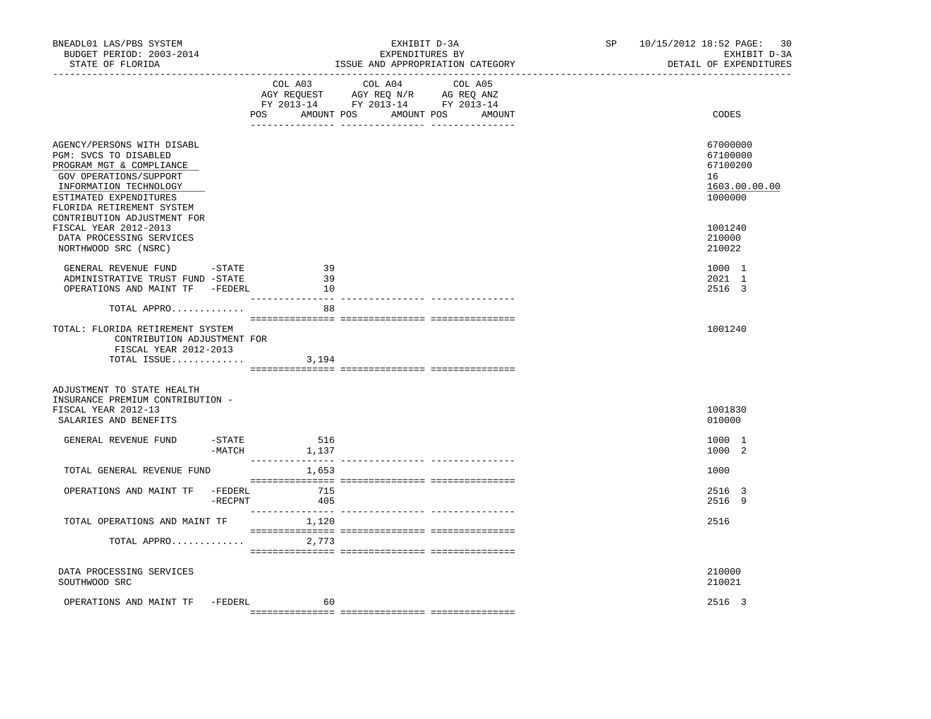| BNEADL01 LAS/PBS SYSTEM<br>BUDGET PERIOD: 2003-2014<br>STATE OF FLORIDA                                                                                                                    | _____________________________ | EXHIBIT D-3A<br>EXPENDITURES BY<br>ISSUE AND APPROPRIATION CATEGORY                                                                                                                                                                                        | SP | 10/15/2012 18:52 PAGE: 30<br>EXHIBIT D-3A<br>DETAIL OF EXPENDITURES |
|--------------------------------------------------------------------------------------------------------------------------------------------------------------------------------------------|-------------------------------|------------------------------------------------------------------------------------------------------------------------------------------------------------------------------------------------------------------------------------------------------------|----|---------------------------------------------------------------------|
|                                                                                                                                                                                            | COL A03<br>POS                | COL A04<br>COL A05<br>$\begin{tabular}{lllllllll} \bf AGY & \bf REQUEST & \bf AGY & \bf REQ & \bf N/R & \bf AG & \bf REQ & \bf ANZ \\ \bf FY & \tt 2013-14 & \bf FY & \tt 2013-14 & \bf FY & \tt 2013-14 \\ \end{tabular}$<br>AMOUNT POS AMOUNT POS AMOUNT |    | CODES                                                               |
|                                                                                                                                                                                            |                               |                                                                                                                                                                                                                                                            |    |                                                                     |
| AGENCY/PERSONS WITH DISABL<br>PGM: SVCS TO DISABLED<br>PROGRAM MGT & COMPLIANCE<br>GOV OPERATIONS/SUPPORT<br>INFORMATION TECHNOLOGY<br>ESTIMATED EXPENDITURES<br>FLORIDA RETIREMENT SYSTEM |                               |                                                                                                                                                                                                                                                            |    | 67000000<br>67100000<br>67100200<br>16<br>1603.00.00.00<br>1000000  |
| CONTRIBUTION ADJUSTMENT FOR                                                                                                                                                                |                               |                                                                                                                                                                                                                                                            |    |                                                                     |
| FISCAL YEAR 2012-2013<br>DATA PROCESSING SERVICES<br>NORTHWOOD SRC (NSRC)                                                                                                                  |                               |                                                                                                                                                                                                                                                            |    | 1001240<br>210000<br>210022                                         |
| GENERAL REVENUE FUND - STATE<br>ADMINISTRATIVE TRUST FUND -STATE<br>OPERATIONS AND MAINT TF -FEDERL                                                                                        | 39<br>39<br>10                |                                                                                                                                                                                                                                                            |    | 1000 1<br>2021 1<br>2516 3                                          |
| TOTAL APPRO                                                                                                                                                                                | $- - - -$<br>88               |                                                                                                                                                                                                                                                            |    |                                                                     |
| TOTAL: FLORIDA RETIREMENT SYSTEM<br>CONTRIBUTION ADJUSTMENT FOR<br>FISCAL YEAR 2012-2013                                                                                                   |                               |                                                                                                                                                                                                                                                            |    | 1001240                                                             |
| TOTAL ISSUE                                                                                                                                                                                | 3,194                         |                                                                                                                                                                                                                                                            |    |                                                                     |
| ADJUSTMENT TO STATE HEALTH<br>INSURANCE PREMIUM CONTRIBUTION -<br>FISCAL YEAR 2012-13<br>SALARIES AND BENEFITS                                                                             |                               |                                                                                                                                                                                                                                                            |    | 1001830<br>010000                                                   |
| GENERAL REVENUE FUND<br>$-$ STATE                                                                                                                                                          | 516<br>$-MATCH$ 1, 137        |                                                                                                                                                                                                                                                            |    | 1000 1<br>1000 2                                                    |
| TOTAL GENERAL REVENUE FUND                                                                                                                                                                 | 1,653                         |                                                                                                                                                                                                                                                            |    | 1000                                                                |
| OPERATIONS AND MAINT TF<br>-FEDERL<br>$-$ RECPNT                                                                                                                                           | 715<br>405                    |                                                                                                                                                                                                                                                            |    | 2516 3<br>2516 9                                                    |
| TOTAL OPERATIONS AND MAINT TF                                                                                                                                                              | 1,120                         |                                                                                                                                                                                                                                                            |    | 2516                                                                |
| TOTAL APPRO                                                                                                                                                                                | 2,773                         |                                                                                                                                                                                                                                                            |    |                                                                     |
| DATA PROCESSING SERVICES<br>SOUTHWOOD SRC                                                                                                                                                  |                               |                                                                                                                                                                                                                                                            |    | 210000<br>210021                                                    |
| OPERATIONS AND MAINT TF<br>-FEDERL                                                                                                                                                         | 60                            |                                                                                                                                                                                                                                                            |    | 2516 3                                                              |
|                                                                                                                                                                                            |                               |                                                                                                                                                                                                                                                            |    |                                                                     |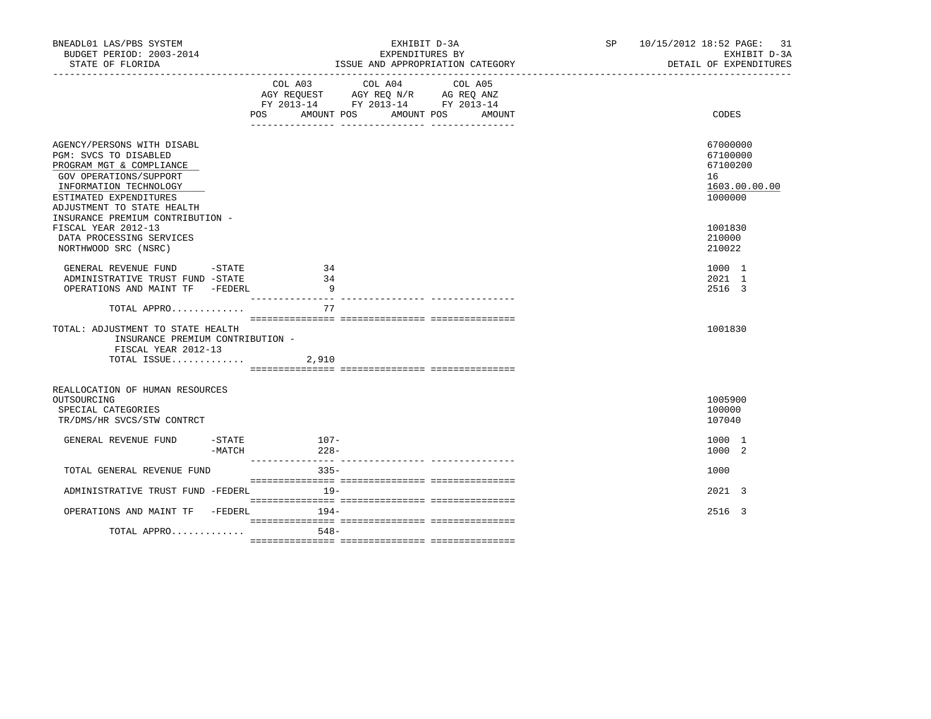| BNEADL01 LAS/PBS SYSTEM<br>BUDGET PERIOD: 2003-2014<br>STATE OF FLORIDA                                                                                                                     | EXHIBIT D-3A<br>EXPENDITURES BY<br>ISSUE AND APPROPRIATION CATEGORY                                                                         | SP 10/15/2012 18:52 PAGE: 31<br>EXHIBIT D-3A<br>DETAIL OF EXPENDITURES |
|---------------------------------------------------------------------------------------------------------------------------------------------------------------------------------------------|---------------------------------------------------------------------------------------------------------------------------------------------|------------------------------------------------------------------------|
|                                                                                                                                                                                             | COL A03 COL A04<br>COL A05<br>AGY REQUEST AGY REQ N/R AG REQ ANZ<br>FY 2013-14 FY 2013-14 FY 2013-14<br>POS AMOUNT POS AMOUNT POS<br>AMOUNT | CODES                                                                  |
| AGENCY/PERSONS WITH DISABL<br>PGM: SVCS TO DISABLED<br>PROGRAM MGT & COMPLIANCE<br>GOV OPERATIONS/SUPPORT<br>INFORMATION TECHNOLOGY<br>ESTIMATED EXPENDITURES<br>ADJUSTMENT TO STATE HEALTH |                                                                                                                                             | 67000000<br>67100000<br>67100200<br>16<br>1603.00.00.00<br>1000000     |
| INSURANCE PREMIUM CONTRIBUTION -<br>FISCAL YEAR 2012-13<br>DATA PROCESSING SERVICES<br>NORTHWOOD SRC (NSRC)                                                                                 |                                                                                                                                             | 1001830<br>210000<br>210022                                            |
| GENERAL REVENUE FUND -STATE<br>ADMINISTRATIVE TRUST FUND -STATE<br>OPERATIONS AND MAINT TF -FEDERL                                                                                          | 34<br>34<br>$\overline{9}$                                                                                                                  | 1000 1<br>2021 1<br>2516 3                                             |
| TOTAL APPRO<br>TOTAL: ADJUSTMENT TO STATE HEALTH                                                                                                                                            | 77                                                                                                                                          | 1001830                                                                |
| INSURANCE PREMIUM CONTRIBUTION -<br>FISCAL YEAR 2012-13<br>TOTAL ISSUE                                                                                                                      | 2,910                                                                                                                                       |                                                                        |
|                                                                                                                                                                                             |                                                                                                                                             |                                                                        |
| REALLOCATION OF HUMAN RESOURCES<br>OUTSOURCING<br>SPECIAL CATEGORIES<br>TR/DMS/HR SVCS/STW CONTRCT                                                                                          |                                                                                                                                             | 1005900<br>100000<br>107040                                            |
| GENERAL REVENUE FUND<br>$-\mathtt{STATE}$<br>-MATCH                                                                                                                                         | $107 -$<br>$228-$                                                                                                                           | 1000 1<br>1000 2                                                       |
| TOTAL GENERAL REVENUE FUND                                                                                                                                                                  | $335-$                                                                                                                                      | 1000                                                                   |
| ADMINISTRATIVE TRUST FUND -FEDERL                                                                                                                                                           | $19-$                                                                                                                                       | 2021 3                                                                 |
| OPERATIONS AND MAINT TF -FEDERL 194-                                                                                                                                                        |                                                                                                                                             | 2516 3                                                                 |
| TOTAL APPRO                                                                                                                                                                                 | $548-$                                                                                                                                      |                                                                        |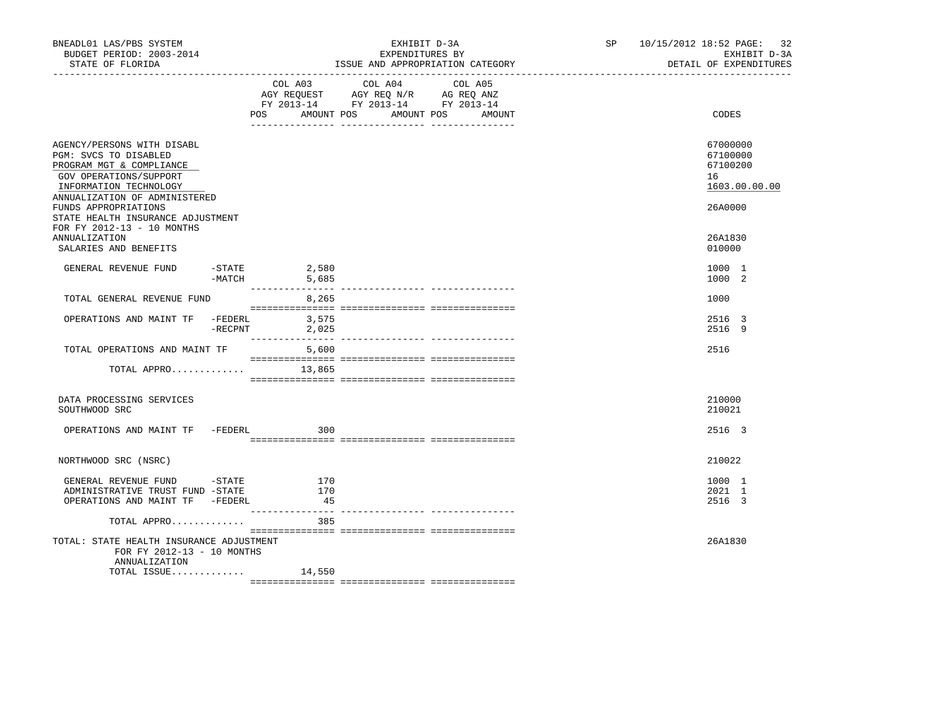| BNEADL01 LAS/PBS SYSTEM<br>BUDGET PERIOD: 2003-2014<br>STATE OF FLORIDA                                                                                                                      | EXHIBIT D-3A<br>EXPENDITURES BY<br>ISSUE AND APPROPRIATION CATEGORY | SP and the set of the set of the set of the set of the set of the set of the set of the set of the set of the set of the set of the set of the set of the set of the set of the set of the set of the set of the set of the se | 10/15/2012 18:52 PAGE: 32<br>EXHIBIT D-3A<br>DETAIL OF EXPENDITURES |                                                                    |
|----------------------------------------------------------------------------------------------------------------------------------------------------------------------------------------------|---------------------------------------------------------------------|--------------------------------------------------------------------------------------------------------------------------------------------------------------------------------------------------------------------------------|---------------------------------------------------------------------|--------------------------------------------------------------------|
|                                                                                                                                                                                              | POS AMOUNT POS                                                      | COL A03 COL A04 COL A05<br>AGY REQUEST AGY REQ N/R AG REQ ANZ<br>FY 2013-14 FY 2013-14 FY 2013-14<br>AMOUNT POS<br>AMOUNT                                                                                                      |                                                                     | CODES                                                              |
| AGENCY/PERSONS WITH DISABL<br>PGM: SVCS TO DISABLED<br>PROGRAM MGT & COMPLIANCE<br>GOV OPERATIONS/SUPPORT<br>INFORMATION TECHNOLOGY<br>ANNUALIZATION OF ADMINISTERED<br>FUNDS APPROPRIATIONS |                                                                     |                                                                                                                                                                                                                                |                                                                     | 67000000<br>67100000<br>67100200<br>16<br>1603.00.00.00<br>26A0000 |
| STATE HEALTH INSURANCE ADJUSTMENT<br>FOR FY 2012-13 - 10 MONTHS<br>ANNUALIZATION<br>SALARIES AND BENEFITS                                                                                    |                                                                     |                                                                                                                                                                                                                                |                                                                     | 26A1830<br>010000                                                  |
| GENERAL REVENUE FUND<br>$-MATCH$                                                                                                                                                             | $-$ STATE 2,580<br>5,685                                            |                                                                                                                                                                                                                                |                                                                     | 1000 1<br>1000 2                                                   |
| TOTAL GENERAL REVENUE FUND                                                                                                                                                                   | 8,265                                                               |                                                                                                                                                                                                                                |                                                                     | 1000                                                               |
| OPERATIONS AND MAINT TF -FEDERL 3,575<br>$-$ RECPNT                                                                                                                                          | 2,025                                                               |                                                                                                                                                                                                                                |                                                                     | 2516 3<br>2516 9                                                   |
| TOTAL OPERATIONS AND MAINT TF<br>TOTAL APPRO                                                                                                                                                 | 5,600<br>13,865                                                     |                                                                                                                                                                                                                                |                                                                     | 2516                                                               |
| DATA PROCESSING SERVICES<br>SOUTHWOOD SRC                                                                                                                                                    |                                                                     |                                                                                                                                                                                                                                |                                                                     | 210000<br>210021                                                   |
| OPERATIONS AND MAINT TF -FEDERL 300                                                                                                                                                          |                                                                     |                                                                                                                                                                                                                                |                                                                     | 2516 3                                                             |
| NORTHWOOD SRC (NSRC)                                                                                                                                                                         |                                                                     |                                                                                                                                                                                                                                |                                                                     | 210022                                                             |
| GENERAL REVENUE FUND -STATE 170<br>ADMINISTRATIVE TRUST FUND -STATE<br>OPERATIONS AND MAINT TF -FEDERL                                                                                       | 170<br>45                                                           |                                                                                                                                                                                                                                |                                                                     | 1000 1<br>2021 1<br>2516 3                                         |
| TOTAL APPRO<br>TOTAL: STATE HEALTH INSURANCE ADJUSTMENT<br>FOR FY 2012-13 - 10 MONTHS<br>ANNUALIZATION                                                                                       | 385                                                                 |                                                                                                                                                                                                                                |                                                                     | 26A1830                                                            |
| TOTAL ISSUE                                                                                                                                                                                  | 14,550                                                              |                                                                                                                                                                                                                                |                                                                     |                                                                    |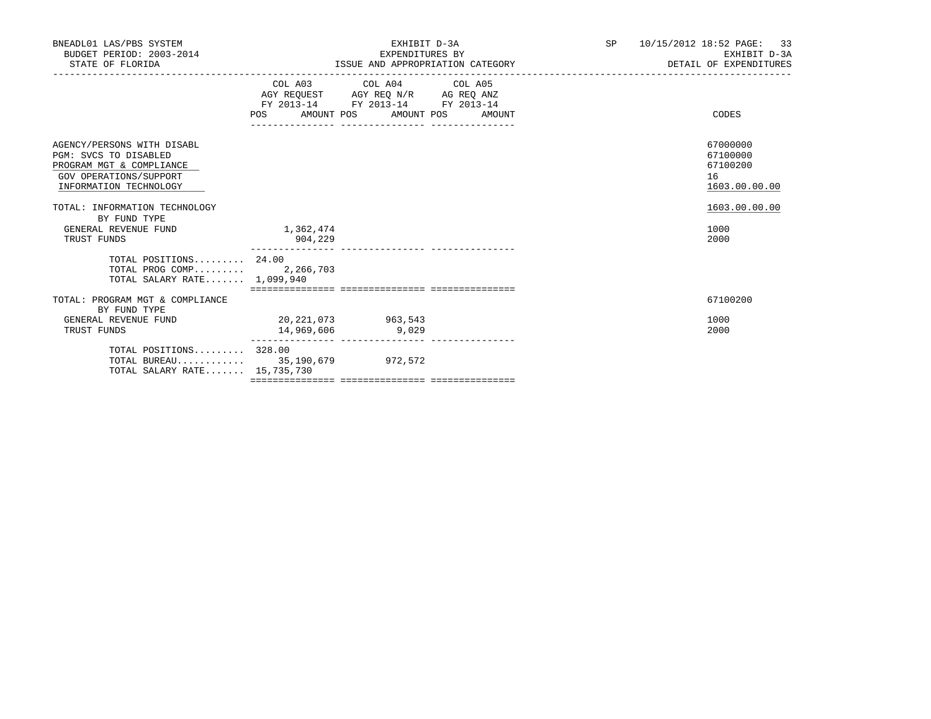| BNEADL01 LAS/PBS SYSTEM<br>BUDGET PERIOD: 2003-2014<br>STATE OF FLORIDA                                                             |                                     | EXHIBIT D-3A<br>EXPENDITURES BY                               |        | SP and the set of the set of the set of the set of the set of the set of the set of the set of the set of the set of the set of the set of the set of the set of the set of the set of the set of the set of the set of the se | 10/15/2012 18:52 PAGE: 33<br>EXHIBIT D-3A<br>ISSUE AND APPROPRIATION CATEGORY <b>Experiment SECTAL SECTAL SECTAL OF EXPENDITURES</b> |
|-------------------------------------------------------------------------------------------------------------------------------------|-------------------------------------|---------------------------------------------------------------|--------|--------------------------------------------------------------------------------------------------------------------------------------------------------------------------------------------------------------------------------|--------------------------------------------------------------------------------------------------------------------------------------|
|                                                                                                                                     |                                     | FY 2013-14 FY 2013-14 FY 2013-14<br>POS AMOUNT POS AMOUNT POS | AMOUNT |                                                                                                                                                                                                                                | CODES                                                                                                                                |
| AGENCY/PERSONS WITH DISABL<br>PGM: SVCS TO DISABLED<br>PROGRAM MGT & COMPLIANCE<br>GOV OPERATIONS/SUPPORT<br>INFORMATION TECHNOLOGY |                                     |                                                               |        |                                                                                                                                                                                                                                | 67000000<br>67100000<br>67100200<br>16<br>1603.00.00.00                                                                              |
| TOTAL: INFORMATION TECHNOLOGY<br>BY FUND TYPE<br>GENERAL REVENUE FUND<br>TRUST FUNDS                                                | 1,362,474<br>904,229                |                                                               |        |                                                                                                                                                                                                                                | 1603.00.00.00<br>1000<br>2000                                                                                                        |
| TOTAL POSITIONS 24.00<br>TOTAL PROG COMP 2,266,703<br>TOTAL SALARY RATE 1,099,940                                                   |                                     |                                                               |        |                                                                                                                                                                                                                                |                                                                                                                                      |
| TOTAL: PROGRAM MGT & COMPLIANCE                                                                                                     |                                     |                                                               |        |                                                                                                                                                                                                                                | 67100200                                                                                                                             |
| BY FUND TYPE<br>GENERAL REVENUE FUND<br>TRUST FUNDS                                                                                 | 20, 221, 073 963, 543<br>14,969,606 | 9,029                                                         |        |                                                                                                                                                                                                                                | 1000<br>2000                                                                                                                         |
| TOTAL POSITIONS 328.00<br>TOTAL BUREAU 35,190,679 972,572<br>TOTAL SALARY RATE 15,735,730                                           |                                     |                                                               |        |                                                                                                                                                                                                                                |                                                                                                                                      |
|                                                                                                                                     |                                     |                                                               |        |                                                                                                                                                                                                                                |                                                                                                                                      |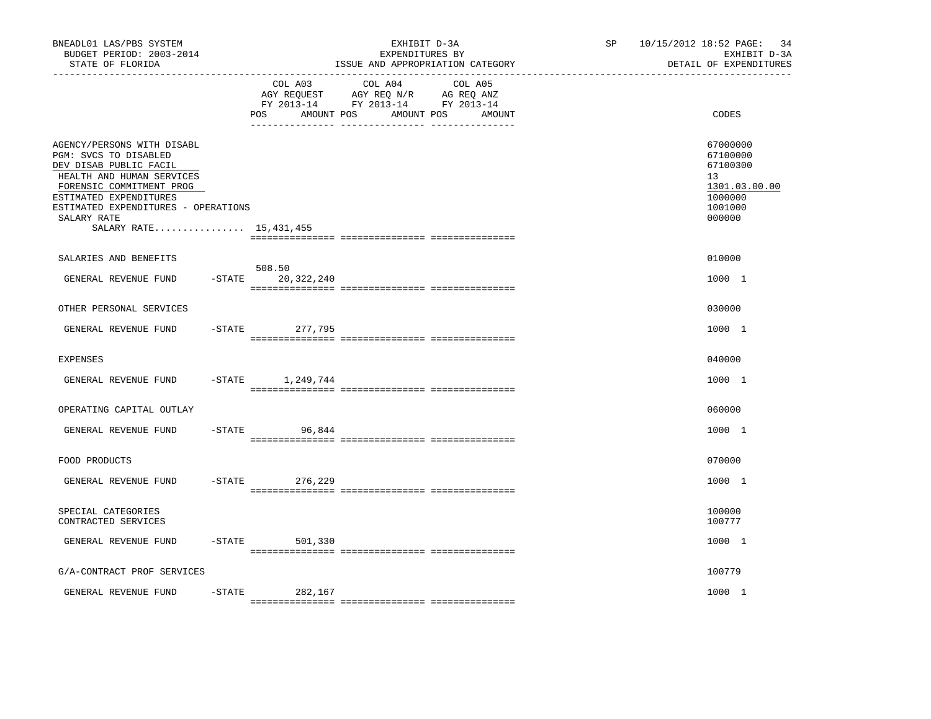| BNEADL01 LAS/PBS SYSTEM<br>BUDGET PERIOD: 2003-2014<br>STATE OF FLORIDA                                                                                                                                                                            | EXHIBIT D-3A<br>EXPENDITURES BY<br>ISSUE AND APPROPRIATION CATEGORY |                                  |                                                                                                                      |  | 10/15/2012 18:52 PAGE: 34<br>EXHIBIT D-3A<br>DETAIL OF EXPENDITURES                     |
|----------------------------------------------------------------------------------------------------------------------------------------------------------------------------------------------------------------------------------------------------|---------------------------------------------------------------------|----------------------------------|----------------------------------------------------------------------------------------------------------------------|--|-----------------------------------------------------------------------------------------|
|                                                                                                                                                                                                                                                    |                                                                     | COL A03<br>AMOUNT POS<br>POS.    | COL A04<br>COL A05<br>AGY REQUEST AGY REQ N/R AG REQ ANZ<br>FY 2013-14 FY 2013-14 FY 2013-14<br>AMOUNT POS<br>AMOUNT |  | CODES                                                                                   |
| AGENCY/PERSONS WITH DISABL<br>PGM: SVCS TO DISABLED<br>DEV DISAB PUBLIC FACIL<br>HEALTH AND HUMAN SERVICES<br>FORENSIC COMMITMENT PROG<br>ESTIMATED EXPENDITURES<br>ESTIMATED EXPENDITURES - OPERATIONS<br>SALARY RATE<br>SALARY RATE 15, 431, 455 |                                                                     |                                  |                                                                                                                      |  | 67000000<br>67100000<br>67100300<br>13<br>1301.03.00.00<br>1000000<br>1001000<br>000000 |
| SALARIES AND BENEFITS                                                                                                                                                                                                                              |                                                                     |                                  |                                                                                                                      |  | 010000                                                                                  |
| GENERAL REVENUE FUND                                                                                                                                                                                                                               |                                                                     | 508.50<br>$-$ STATE 20, 322, 240 |                                                                                                                      |  | 1000 1                                                                                  |
| OTHER PERSONAL SERVICES                                                                                                                                                                                                                            |                                                                     |                                  |                                                                                                                      |  | 030000                                                                                  |
| GENERAL REVENUE FUND                                                                                                                                                                                                                               |                                                                     | $-STATE$<br>277,795              |                                                                                                                      |  | 1000 1                                                                                  |
| <b>EXPENSES</b>                                                                                                                                                                                                                                    |                                                                     |                                  |                                                                                                                      |  | 040000                                                                                  |
| GENERAL REVENUE FUND                                                                                                                                                                                                                               |                                                                     | $-$ STATE $1, 249, 744$          |                                                                                                                      |  | 1000 1                                                                                  |
| OPERATING CAPITAL OUTLAY                                                                                                                                                                                                                           |                                                                     |                                  |                                                                                                                      |  | 060000                                                                                  |
| GENERAL REVENUE FUND                                                                                                                                                                                                                               |                                                                     | $-$ STATE<br>96,844              |                                                                                                                      |  | 1000 1                                                                                  |
| FOOD PRODUCTS                                                                                                                                                                                                                                      |                                                                     |                                  |                                                                                                                      |  | 070000                                                                                  |
| GENERAL REVENUE FUND                                                                                                                                                                                                                               |                                                                     | $-STATE$<br>276,229              |                                                                                                                      |  | 1000 1                                                                                  |
| SPECIAL CATEGORIES<br>CONTRACTED SERVICES                                                                                                                                                                                                          |                                                                     |                                  |                                                                                                                      |  | 100000<br>100777                                                                        |
| GENERAL REVENUE FUND                                                                                                                                                                                                                               |                                                                     | $-STATE$<br>501,330              |                                                                                                                      |  | 1000 1                                                                                  |
| G/A-CONTRACT PROF SERVICES                                                                                                                                                                                                                         |                                                                     |                                  |                                                                                                                      |  | 100779                                                                                  |
| GENERAL REVENUE FUND                                                                                                                                                                                                                               | $-$ STATE                                                           | 282,167                          |                                                                                                                      |  | 1000 1                                                                                  |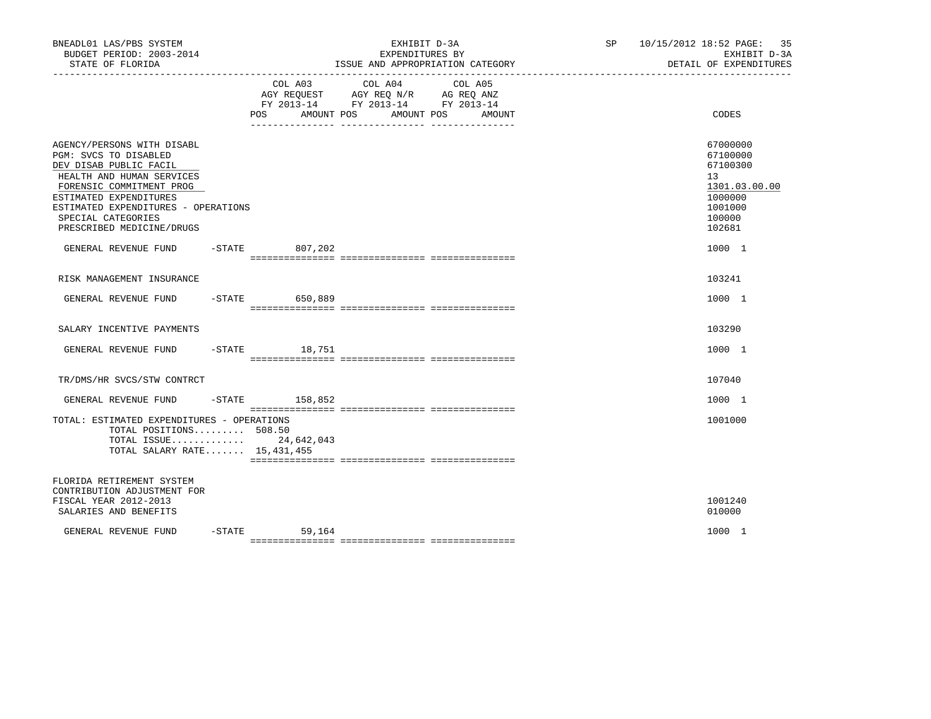| BNEADL01 LAS/PBS SYSTEM<br>BUDGET PERIOD: 2003-2014<br>STATE OF FLORIDA                                                                                                                                                                                    | EXHIBIT D-3A<br>EXPENDITURES BY<br>ISSUE AND APPROPRIATION CATEGORY |                    |                                                                                        |    | 10/15/2012 18:52 PAGE: 35<br>EXHIBIT D-3A<br>DETAIL OF EXPENDITURES                         |
|------------------------------------------------------------------------------------------------------------------------------------------------------------------------------------------------------------------------------------------------------------|---------------------------------------------------------------------|--------------------|----------------------------------------------------------------------------------------|----|---------------------------------------------------------------------------------------------|
|                                                                                                                                                                                                                                                            |                                                                     | AMOUNT POS<br>POS  | COL A03 COL A04<br>COL A05<br>AMOUNT POS<br>AMOUNT<br>____ _______________ ___________ |    | CODES                                                                                       |
| AGENCY/PERSONS WITH DISABL<br>PGM: SVCS TO DISABLED<br>DEV DISAB PUBLIC FACIL<br>HEALTH AND HUMAN SERVICES<br>FORENSIC COMMITMENT PROG<br>ESTIMATED EXPENDITURES<br>ESTIMATED EXPENDITURES - OPERATIONS<br>SPECIAL CATEGORIES<br>PRESCRIBED MEDICINE/DRUGS |                                                                     |                    |                                                                                        | 13 | 67000000<br>67100000<br>67100300<br>1301.03.00.00<br>1000000<br>1001000<br>100000<br>102681 |
| GENERAL REVENUE FUND -STATE 807,202                                                                                                                                                                                                                        |                                                                     |                    |                                                                                        |    | 1000 1                                                                                      |
| RISK MANAGEMENT INSURANCE                                                                                                                                                                                                                                  |                                                                     |                    |                                                                                        |    | 103241                                                                                      |
| GENERAL REVENUE FUND                                                                                                                                                                                                                                       |                                                                     | $-STATE$ 650,889   |                                                                                        |    | 1000 1                                                                                      |
| SALARY INCENTIVE PAYMENTS                                                                                                                                                                                                                                  |                                                                     |                    |                                                                                        |    | 103290                                                                                      |
| GENERAL REVENUE FUND -STATE 18,751                                                                                                                                                                                                                         |                                                                     |                    |                                                                                        |    | 1000 1                                                                                      |
| TR/DMS/HR SVCS/STW CONTRCT                                                                                                                                                                                                                                 |                                                                     |                    |                                                                                        |    | 107040                                                                                      |
| GENERAL REVENUE FUND                                                                                                                                                                                                                                       |                                                                     | $-$ STATE 158,852  |                                                                                        |    | 1000 1                                                                                      |
| TOTAL: ESTIMATED EXPENDITURES - OPERATIONS<br>TOTAL POSITIONS $508.50$<br>TOTAL ISSUE 24,642,043<br>TOTAL SALARY RATE 15, 431, 455                                                                                                                         |                                                                     |                    |                                                                                        |    | 1001000                                                                                     |
| FLORIDA RETIREMENT SYSTEM<br>CONTRIBUTION ADJUSTMENT FOR<br>FISCAL YEAR 2012-2013<br>SALARIES AND BENEFITS                                                                                                                                                 |                                                                     |                    |                                                                                        |    | 1001240<br>010000                                                                           |
| GENERAL REVENUE FUND                                                                                                                                                                                                                                       |                                                                     | $-STATE$<br>59,164 |                                                                                        |    | 1000 1                                                                                      |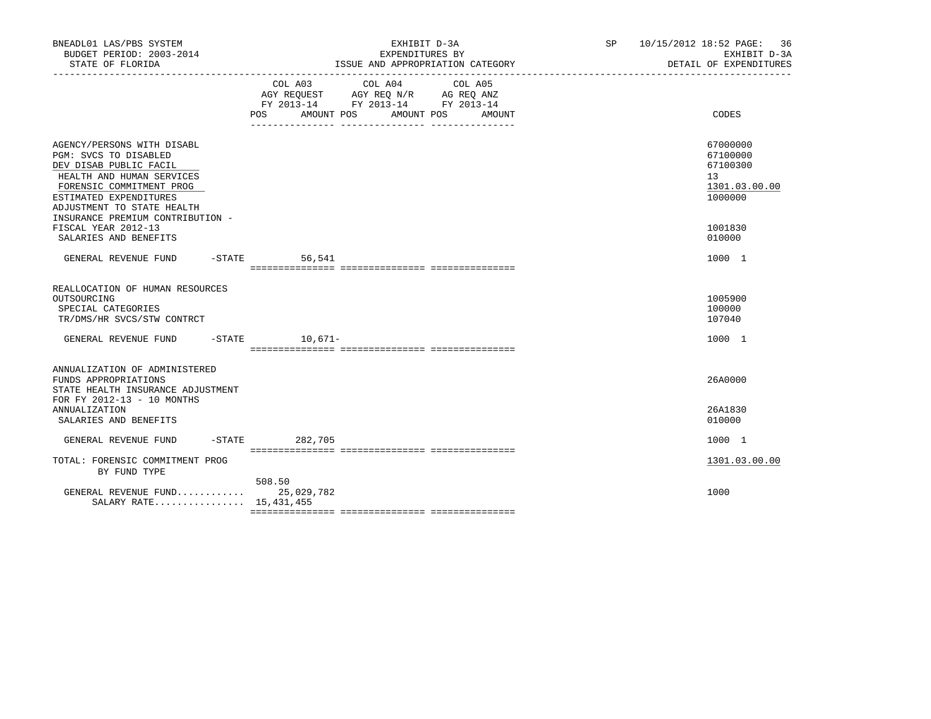| EXHIBIT D-3A<br>EXPENDITURES BY |                                                                                                                                                                       | SP 10/15/2012 18:52 PAGE: 36<br>EXHIBIT D-3A<br>DETAIL OF EXPENDITURES                     |
|---------------------------------|-----------------------------------------------------------------------------------------------------------------------------------------------------------------------|--------------------------------------------------------------------------------------------|
|                                 |                                                                                                                                                                       | CODES                                                                                      |
|                                 |                                                                                                                                                                       | 67000000<br>67100000<br>67100300<br>13 <sup>7</sup><br>1301.03.00.00<br>1000000<br>1001830 |
|                                 |                                                                                                                                                                       | 010000<br>1000 1                                                                           |
|                                 |                                                                                                                                                                       | 1005900<br>100000<br>107040                                                                |
|                                 |                                                                                                                                                                       | 1000 1                                                                                     |
|                                 |                                                                                                                                                                       | 26A0000                                                                                    |
|                                 |                                                                                                                                                                       | 26A1830<br>010000                                                                          |
|                                 |                                                                                                                                                                       | 1000 1                                                                                     |
|                                 |                                                                                                                                                                       | 1301.03.00.00                                                                              |
|                                 |                                                                                                                                                                       | 1000                                                                                       |
|                                 | ISSUE AND APPROPRIATION CATEGORY<br>COL A03 COL A04 COL A05<br>AGY REQUEST AGY REQ N/R AG REQ ANZ<br>FY 2013-14 FY 2013-14 FY 2013-14<br>AMOUNT POS AMOUNT POS AMOUNT |                                                                                            |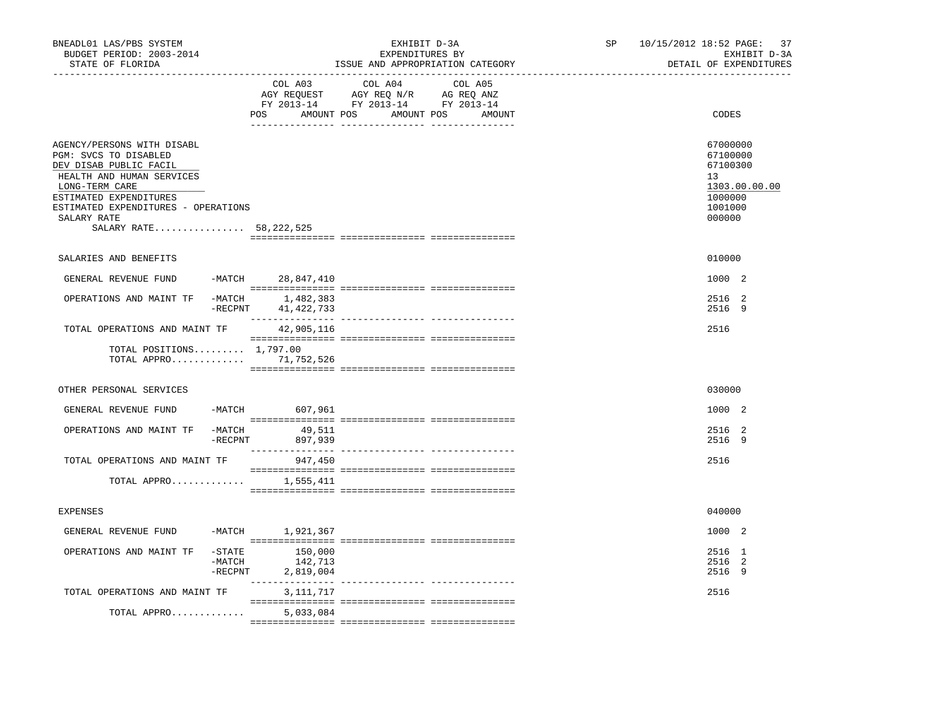| BNEADL01 LAS/PBS SYSTEM<br>BUDGET PERIOD: 2003-2014<br>STATE OF FLORIDA                                                                                                                                                                  | EXHIBIT D-3A<br>EXPENDITURES BY<br>ISSUE AND APPROPRIATION CATEGORY |                                          |                                                                                   |                                             | SP - | 10/15/2012 18:52 PAGE: 37<br>EXHIBIT D-3A<br>DETAIL OF EXPENDITURES                     |
|------------------------------------------------------------------------------------------------------------------------------------------------------------------------------------------------------------------------------------------|---------------------------------------------------------------------|------------------------------------------|-----------------------------------------------------------------------------------|---------------------------------------------|------|-----------------------------------------------------------------------------------------|
|                                                                                                                                                                                                                                          |                                                                     | COL A03                                  | COL A04<br>AGY REQUEST AGY REQ N/R AG REQ ANZ<br>FY 2013-14 FY 2013-14 FY 2013-14 | COL A05<br>POS AMOUNT POS AMOUNT POS AMOUNT |      | CODES                                                                                   |
| AGENCY/PERSONS WITH DISABL<br>PGM: SVCS TO DISABLED<br>DEV DISAB PUBLIC FACIL<br>HEALTH AND HUMAN SERVICES<br>LONG-TERM CARE<br>ESTIMATED EXPENDITURES<br>ESTIMATED EXPENDITURES - OPERATIONS<br>SALARY RATE<br>SALARY RATE 58, 222, 525 |                                                                     |                                          |                                                                                   |                                             |      | 67000000<br>67100000<br>67100300<br>13<br>1303.00.00.00<br>1000000<br>1001000<br>000000 |
| SALARIES AND BENEFITS                                                                                                                                                                                                                    |                                                                     |                                          |                                                                                   |                                             |      | 010000                                                                                  |
| GENERAL REVENUE FUND                                                                                                                                                                                                                     |                                                                     | -MATCH 28,847,410                        |                                                                                   |                                             |      | 1000 2                                                                                  |
| OPERATIONS AND MAINT TF                                                                                                                                                                                                                  |                                                                     | -MATCH 1,482,383<br>-RECPNT 41, 422, 733 |                                                                                   |                                             |      | 2516 2<br>2516 9                                                                        |
| TOTAL OPERATIONS AND MAINT TF                                                                                                                                                                                                            |                                                                     | 42,905,116                               |                                                                                   |                                             |      | 2516                                                                                    |
| TOTAL POSITIONS $1,797.00$<br>TOTAL APPRO 71,752,526                                                                                                                                                                                     |                                                                     |                                          |                                                                                   |                                             |      |                                                                                         |
| OTHER PERSONAL SERVICES                                                                                                                                                                                                                  |                                                                     |                                          |                                                                                   |                                             |      | 030000                                                                                  |
| GENERAL REVENUE FUND                                                                                                                                                                                                                     |                                                                     | -MATCH 607,961                           |                                                                                   |                                             |      | 1000 2                                                                                  |
| OPERATIONS AND MAINT TF                                                                                                                                                                                                                  |                                                                     | $-MATCH$ 49,511<br>-RECPNT 897,939       |                                                                                   |                                             |      | 2516 2<br>2516 9                                                                        |
| TOTAL OPERATIONS AND MAINT TF                                                                                                                                                                                                            |                                                                     | 947,450                                  |                                                                                   |                                             |      | 2516                                                                                    |
| TOTAL APPRO $1,555,411$                                                                                                                                                                                                                  |                                                                     |                                          |                                                                                   |                                             |      |                                                                                         |
| <b>EXPENSES</b>                                                                                                                                                                                                                          |                                                                     |                                          |                                                                                   |                                             |      | 040000                                                                                  |
| GENERAL REVENUE FUND                                                                                                                                                                                                                     |                                                                     | -MATCH 1,921,367                         |                                                                                   |                                             |      | 1000 2                                                                                  |
| OPERATIONS AND MAINT TF                                                                                                                                                                                                                  | $-$ STATE<br>$-MATCH$<br>$-$ RECPNT                                 | 150,000<br>142,713<br>2,819,004          |                                                                                   |                                             |      | 2516 1<br>2516 2<br>2516 9                                                              |
| TOTAL OPERATIONS AND MAINT TF                                                                                                                                                                                                            |                                                                     | 3,111,717                                |                                                                                   |                                             |      | 2516                                                                                    |
| TOTAL APPRO                                                                                                                                                                                                                              |                                                                     | 5,033,084                                |                                                                                   |                                             |      |                                                                                         |
|                                                                                                                                                                                                                                          |                                                                     |                                          |                                                                                   |                                             |      |                                                                                         |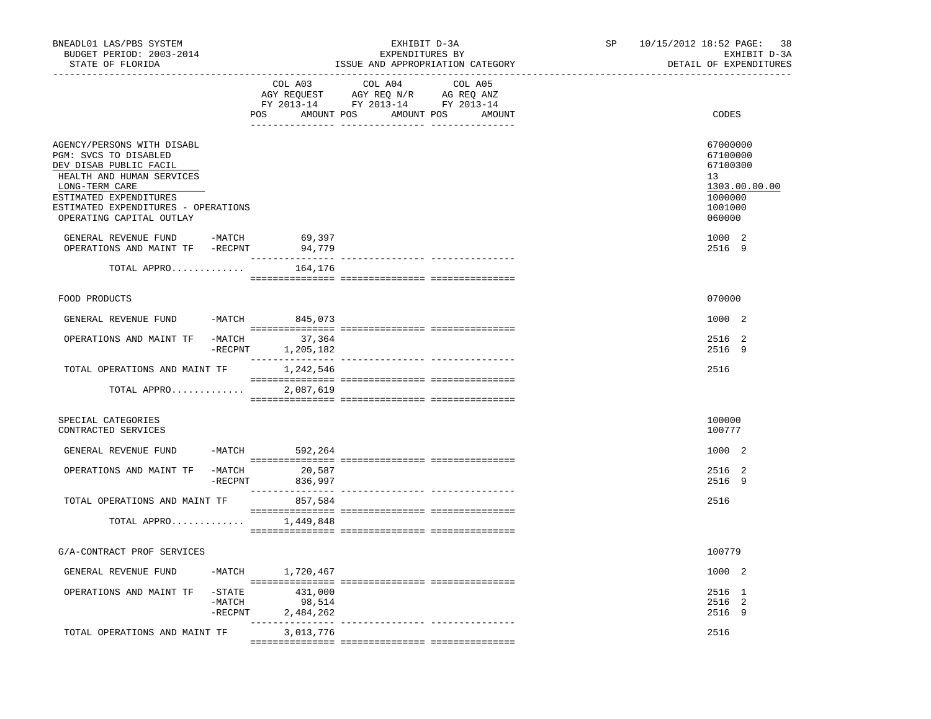| BNEADL01 LAS/PBS SYSTEM<br>BUDGET PERIOD: 2003-2014<br>STATE OF FLORIDA                                                                                                                                                   |                                     |                                | EXHIBIT D-3A<br>EXPENDITURES BY                                                   | ISSUE AND APPROPRIATION CATEGORY        | SP | 10/15/2012 18:52 PAGE: 38<br>EXHIBIT D-3A<br>DETAIL OF EXPENDITURES                     |
|---------------------------------------------------------------------------------------------------------------------------------------------------------------------------------------------------------------------------|-------------------------------------|--------------------------------|-----------------------------------------------------------------------------------|-----------------------------------------|----|-----------------------------------------------------------------------------------------|
|                                                                                                                                                                                                                           |                                     | COL A03<br>POS                 | COL A04<br>AGY REQUEST AGY REQ N/R AG REQ ANZ<br>FY 2013-14 FY 2013-14 FY 2013-14 | COL A05<br>AMOUNT POS AMOUNT POS AMOUNT |    | CODES                                                                                   |
| AGENCY/PERSONS WITH DISABL<br>PGM: SVCS TO DISABLED<br>DEV DISAB PUBLIC FACIL<br>HEALTH AND HUMAN SERVICES<br>LONG-TERM CARE<br>ESTIMATED EXPENDITURES<br>ESTIMATED EXPENDITURES - OPERATIONS<br>OPERATING CAPITAL OUTLAY |                                     |                                |                                                                                   |                                         |    | 67000000<br>67100000<br>67100300<br>13<br>1303.00.00.00<br>1000000<br>1001000<br>060000 |
| GENERAL REVENUE FUND -MATCH 69,397<br>OPERATIONS AND MAINT TF -RECPNT                                                                                                                                                     |                                     | 94,779<br>________________     |                                                                                   | --------------- ---------------         |    | 1000 2<br>2516 9                                                                        |
| TOTAL APPRO                                                                                                                                                                                                               |                                     | 164,176                        |                                                                                   |                                         |    |                                                                                         |
| FOOD PRODUCTS                                                                                                                                                                                                             |                                     |                                |                                                                                   |                                         |    | 070000                                                                                  |
| GENERAL REVENUE FUND -MATCH 845,073                                                                                                                                                                                       |                                     |                                |                                                                                   |                                         |    | 1000 2                                                                                  |
| OPERATIONS AND MAINT TF -MATCH 37,364                                                                                                                                                                                     |                                     | $-$ RECPNT 1,205,182           |                                                                                   |                                         |    | 2516 2<br>2516 9                                                                        |
| TOTAL OPERATIONS AND MAINT TF                                                                                                                                                                                             |                                     | 1,242,546                      |                                                                                   |                                         |    | 2516                                                                                    |
| TOTAL APPRO                                                                                                                                                                                                               |                                     | 2,087,619                      |                                                                                   |                                         |    |                                                                                         |
| SPECIAL CATEGORIES<br>CONTRACTED SERVICES                                                                                                                                                                                 |                                     |                                |                                                                                   |                                         |    | 100000<br>100777                                                                        |
| GENERAL REVENUE FUND -MATCH 592,264                                                                                                                                                                                       |                                     |                                |                                                                                   |                                         |    | 1000 2                                                                                  |
| OPERATIONS AND MAINT TF -MATCH                                                                                                                                                                                            | -RECPNT                             | 20,587<br>836,997              |                                                                                   |                                         |    | 2516 2<br>2516 9                                                                        |
| TOTAL OPERATIONS AND MAINT TF                                                                                                                                                                                             |                                     | 857,584                        |                                                                                   |                                         |    | 2516                                                                                    |
| TOTAL APPRO                                                                                                                                                                                                               |                                     | 1,449,848                      |                                                                                   |                                         |    |                                                                                         |
| G/A-CONTRACT PROF SERVICES                                                                                                                                                                                                |                                     |                                |                                                                                   |                                         |    | 100779                                                                                  |
| GENERAL REVENUE FUND                                                                                                                                                                                                      | -MATCH                              | 1,720,467                      |                                                                                   |                                         |    | 1000 2                                                                                  |
| OPERATIONS AND MAINT TF                                                                                                                                                                                                   | $-$ STATE<br>$-MATCH$<br>$-$ RECPNT | 431,000<br>98,514<br>2,484,262 |                                                                                   |                                         |    | 2516 1<br>2516 2<br>2516 9                                                              |
| TOTAL OPERATIONS AND MAINT TF                                                                                                                                                                                             |                                     | 3,013,776                      |                                                                                   | --------------- ----------------        |    | 2516                                                                                    |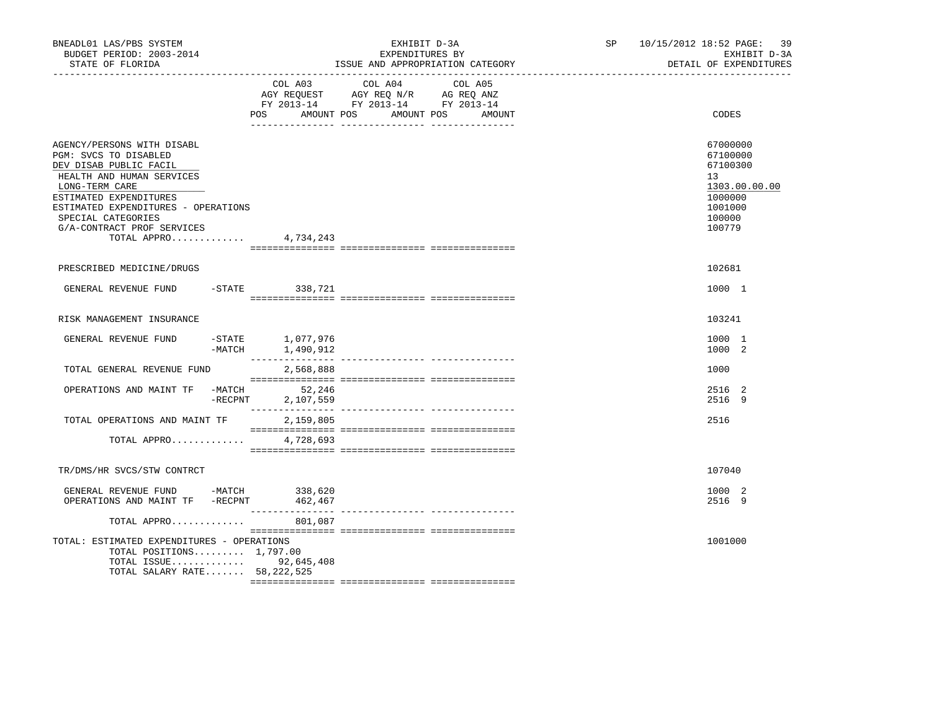| BNEADL01 LAS/PBS SYSTEM<br>BUDGET PERIOD: 2003-2014<br>STATE OF FLORIDA                                                                                                                                                                                          |            |                                      | EXHIBIT D-3A<br>EXPENDITURES BY                                                                                                                                                                                                                    | ISSUE AND APPROPRIATION CATEGORY | SP 10/15/2012 18:52 PAGE: 39<br>EXHIBIT D-3A<br>DETAIL OF EXPENDITURES                                         |
|------------------------------------------------------------------------------------------------------------------------------------------------------------------------------------------------------------------------------------------------------------------|------------|--------------------------------------|----------------------------------------------------------------------------------------------------------------------------------------------------------------------------------------------------------------------------------------------------|----------------------------------|----------------------------------------------------------------------------------------------------------------|
|                                                                                                                                                                                                                                                                  |            | POS<br>AMOUNT POS                    | COL A03 COL A04 COL A05<br>$\begin{tabular}{lllllll} \bf AGY \;\; REQUEST \hspace{1cm} AGY \;\; REQ \;\; N/R \hspace{1cm} \bf AG \;\; REQ \;\; ANZ \\ \bf FY \;\; 2013-14 \hspace{1cm} FY \;\; 2013-14 \hspace{1cm} FY \;\; 2013-14 \end{tabular}$ | AMOUNT POS<br>AMOUNT             | CODES                                                                                                          |
| AGENCY/PERSONS WITH DISABL<br>PGM: SVCS TO DISABLED<br>DEV DISAB PUBLIC FACIL<br>HEALTH AND HUMAN SERVICES<br>LONG-TERM CARE<br>ESTIMATED EXPENDITURES<br>ESTIMATED EXPENDITURES - OPERATIONS<br>SPECIAL CATEGORIES<br>G/A-CONTRACT PROF SERVICES<br>TOTAL APPRO |            | 4,734,243                            |                                                                                                                                                                                                                                                    |                                  | 67000000<br>67100000<br>67100300<br>13 <sup>°</sup><br>1303.00.00.00<br>1000000<br>1001000<br>100000<br>100779 |
| PRESCRIBED MEDICINE/DRUGS                                                                                                                                                                                                                                        |            |                                      |                                                                                                                                                                                                                                                    |                                  | 102681                                                                                                         |
| GENERAL REVENUE FUND                                                                                                                                                                                                                                             |            | -STATE 338,721                       |                                                                                                                                                                                                                                                    |                                  | 1000 1                                                                                                         |
| RISK MANAGEMENT INSURANCE                                                                                                                                                                                                                                        |            |                                      |                                                                                                                                                                                                                                                    |                                  | 103241                                                                                                         |
| GENERAL REVENUE FUND                                                                                                                                                                                                                                             |            | -STATE 1,077,976<br>-MATCH 1,490,912 |                                                                                                                                                                                                                                                    |                                  | 1000 1<br>1000 2                                                                                               |
| TOTAL GENERAL REVENUE FUND                                                                                                                                                                                                                                       |            | 2,568,888                            |                                                                                                                                                                                                                                                    |                                  | 1000                                                                                                           |
| OPERATIONS AND MAINT TF -MATCH                                                                                                                                                                                                                                   | $-$ RECPNT | 52,246<br>2,107,559                  |                                                                                                                                                                                                                                                    |                                  | 2516 2<br>2516 9                                                                                               |
| TOTAL OPERATIONS AND MAINT TF                                                                                                                                                                                                                                    |            | 2,159,805                            | $\begin{array}{l} \texttt{--}\end{array}$                                                                                                                                                                                                          |                                  | 2516                                                                                                           |
| TOTAL APPRO                                                                                                                                                                                                                                                      |            | 4,728,693                            |                                                                                                                                                                                                                                                    |                                  |                                                                                                                |
| TR/DMS/HR SVCS/STW CONTRCT                                                                                                                                                                                                                                       |            |                                      |                                                                                                                                                                                                                                                    |                                  | 107040                                                                                                         |
| GENERAL REVENUE FUND -MATCH 338,620<br>OPERATIONS AND MAINT TF -RECPNT                                                                                                                                                                                           |            | 462,467                              |                                                                                                                                                                                                                                                    |                                  | 1000 2<br>2516 9                                                                                               |
| TOTAL APPRO                                                                                                                                                                                                                                                      |            | 801,087                              |                                                                                                                                                                                                                                                    |                                  |                                                                                                                |
| TOTAL: ESTIMATED EXPENDITURES - OPERATIONS<br>TOTAL POSITIONS $1,797.00$<br>TOTAL ISSUE 92,645,408<br>TOTAL SALARY RATE 58, 222, 525                                                                                                                             |            |                                      |                                                                                                                                                                                                                                                    |                                  | 1001000                                                                                                        |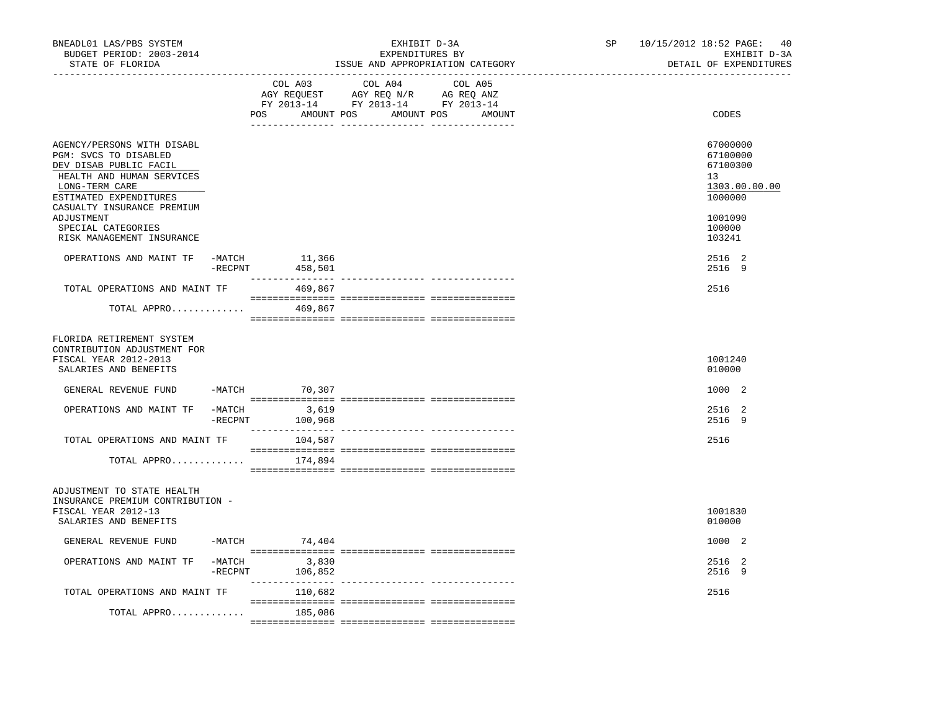| BNEADL01 LAS/PBS SYSTEM<br>BUDGET PERIOD: 2003-2014<br>STATE OF FLORIDA<br>__________________                                                          |                        |                    | EXHIBIT D-3A<br>EXPENDITURES BY<br>ISSUE AND APPROPRIATION CATEGORY                                                   |         | SP and the set of the set of the set of the set of the set of the set of the set of the set of the set of the set of the set of the set of the set of the set of the set of the set of the set of the set of the set of the se | 10/15/2012 18:52 PAGE:<br>40<br>EXHIBIT D-3A<br>DETAIL OF EXPENDITURES |
|--------------------------------------------------------------------------------------------------------------------------------------------------------|------------------------|--------------------|-----------------------------------------------------------------------------------------------------------------------|---------|--------------------------------------------------------------------------------------------------------------------------------------------------------------------------------------------------------------------------------|------------------------------------------------------------------------|
|                                                                                                                                                        |                        | COL A03            | COL A04<br>AGY REQUEST AGY REQ N/R AG REQ ANZ<br>FY 2013-14 FY 2013-14 FY 2013-14<br>POS AMOUNT POS AMOUNT POS AMOUNT | COL A05 |                                                                                                                                                                                                                                | CODES                                                                  |
| AGENCY/PERSONS WITH DISABL<br>PGM: SVCS TO DISABLED<br>DEV DISAB PUBLIC FACIL<br>HEALTH AND HUMAN SERVICES<br>LONG-TERM CARE<br>ESTIMATED EXPENDITURES |                        |                    |                                                                                                                       |         |                                                                                                                                                                                                                                | 67000000<br>67100000<br>67100300<br>13<br>1303.00.00.00<br>1000000     |
| CASUALTY INSURANCE PREMIUM<br>ADJUSTMENT<br>SPECIAL CATEGORIES<br>RISK MANAGEMENT INSURANCE                                                            |                        |                    |                                                                                                                       |         |                                                                                                                                                                                                                                | 1001090<br>100000<br>103241                                            |
| OPERATIONS AND MAINT TF                                                                                                                                | $-MATCH$<br>$-$ RECPNT | 11,366<br>458,501  |                                                                                                                       |         |                                                                                                                                                                                                                                | 2516 2<br>2516 9                                                       |
| TOTAL OPERATIONS AND MAINT TF<br>TOTAL APPRO                                                                                                           |                        | 469,867<br>469,867 |                                                                                                                       |         |                                                                                                                                                                                                                                | 2516                                                                   |
| FLORIDA RETIREMENT SYSTEM<br>CONTRIBUTION ADJUSTMENT FOR<br>FISCAL YEAR 2012-2013<br>SALARIES AND BENEFITS                                             |                        |                    |                                                                                                                       |         |                                                                                                                                                                                                                                | 1001240<br>010000                                                      |
| GENERAL REVENUE FUND -MATCH 70,307                                                                                                                     |                        |                    |                                                                                                                       |         |                                                                                                                                                                                                                                | 1000 2                                                                 |
| OPERATIONS AND MAINT TF -MATCH 3,619                                                                                                                   | $-$ RECPNT             | 100,968            |                                                                                                                       |         |                                                                                                                                                                                                                                | 2516 2<br>2516 9                                                       |
| TOTAL OPERATIONS AND MAINT TF                                                                                                                          |                        | 104,587            |                                                                                                                       |         |                                                                                                                                                                                                                                | 2516                                                                   |
| TOTAL APPRO                                                                                                                                            |                        | 174,894            |                                                                                                                       |         |                                                                                                                                                                                                                                |                                                                        |
| ADJUSTMENT TO STATE HEALTH<br>INSURANCE PREMIUM CONTRIBUTION -<br>FISCAL YEAR 2012-13<br>SALARIES AND BENEFITS                                         |                        |                    |                                                                                                                       |         |                                                                                                                                                                                                                                | 1001830<br>010000                                                      |
| GENERAL REVENUE FUND                                                                                                                                   |                        | $-MATCH$ 74,404    |                                                                                                                       |         |                                                                                                                                                                                                                                | 1000 2                                                                 |
| OPERATIONS AND MAINT TF                                                                                                                                | $-MATCH$<br>$-$ RECPNT | 3,830<br>106,852   |                                                                                                                       |         |                                                                                                                                                                                                                                | 2516 2<br>2516 9                                                       |
| TOTAL OPERATIONS AND MAINT TF                                                                                                                          |                        | 110,682            |                                                                                                                       |         |                                                                                                                                                                                                                                | 2516                                                                   |
| TOTAL APPRO                                                                                                                                            |                        | 185,086            |                                                                                                                       |         |                                                                                                                                                                                                                                |                                                                        |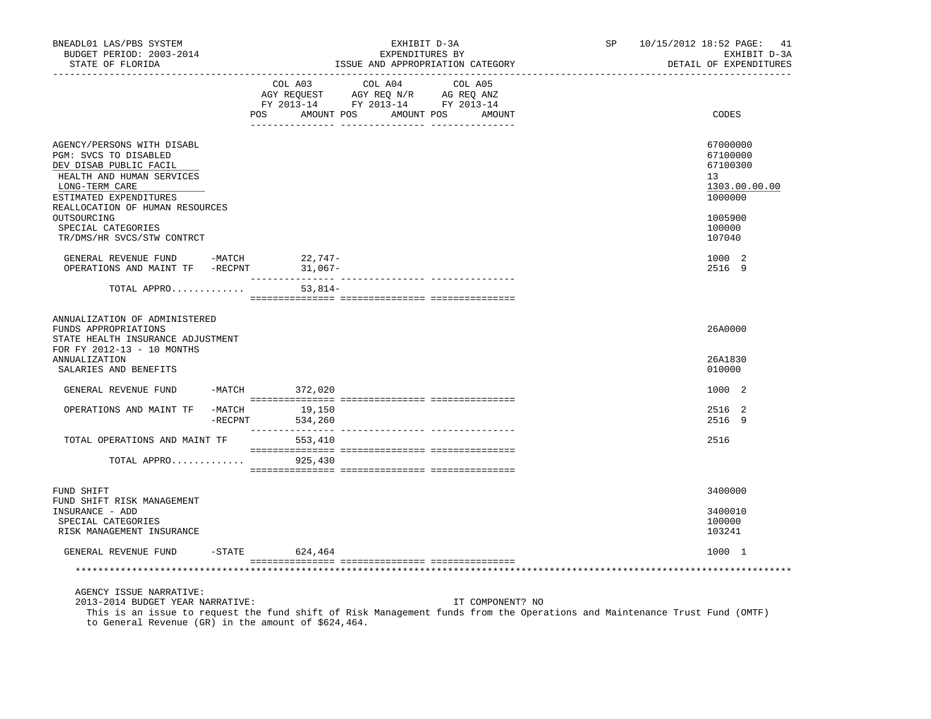| BNEADL01 LAS/PBS SYSTEM<br>BUDGET PERIOD: 2003-2014<br>STATE OF FLORIDA                                                                                                                                                                               |            |                    |                                                                                                                                              | EXHIBIT D-3A<br>EXPENDITURES BY<br>ISSUE AND APPROPRIATION CATEGORY |                  |  | SP 10/15/2012 18:52 PAGE: 41<br>EXHIBIT D-3A<br>DETAIL OF EXPENDITURES |  |
|-------------------------------------------------------------------------------------------------------------------------------------------------------------------------------------------------------------------------------------------------------|------------|--------------------|----------------------------------------------------------------------------------------------------------------------------------------------|---------------------------------------------------------------------|------------------|--|------------------------------------------------------------------------|--|
|                                                                                                                                                                                                                                                       |            | POS                | COL A03 COL A04 COL A05<br>COLORS NOT COLORS NOT REQUEST AGY REQUEST AGY REQUEST AGY REQUEST AGY AG REQ ANIZ<br>AMOUNT POS AMOUNT POS AMOUNT |                                                                     |                  |  | CODES                                                                  |  |
| AGENCY/PERSONS WITH DISABL<br>PGM: SVCS TO DISABLED<br>DEV DISAB PUBLIC FACIL<br>HEALTH AND HUMAN SERVICES<br>LONG-TERM CARE                                                                                                                          |            |                    |                                                                                                                                              |                                                                     |                  |  | 67000000<br>67100000<br>67100300<br>13<br>1303.00.00.00                |  |
| ESTIMATED EXPENDITURES<br>REALLOCATION OF HUMAN RESOURCES<br>OUTSOURCING<br>SPECIAL CATEGORIES<br>TR/DMS/HR SVCS/STW CONTRCT                                                                                                                          |            |                    |                                                                                                                                              |                                                                     |                  |  | 1000000<br>1005900<br>100000<br>107040                                 |  |
| $\begin{tabular}{lllllllllll} \multicolumn{2}{c}{\textbf{GENERAL}} & \textbf{REVENUE} & \textbf{FUND} & & -\textbf{MATCH} & & & 22\, , 747- \\ \multicolumn{2}{c}{\textbf{OPERATIONS AND MAINT TF}} & -\textbf{RECPNT} & & 31\, , 067- \end{tabular}$ |            |                    |                                                                                                                                              |                                                                     |                  |  | 1000 2<br>2516 9                                                       |  |
| TOTAL APPRO                                                                                                                                                                                                                                           |            |                    | $53,814-$                                                                                                                                    |                                                                     |                  |  |                                                                        |  |
| ANNUALIZATION OF ADMINISTERED<br>FUNDS APPROPRIATIONS<br>STATE HEALTH INSURANCE ADJUSTMENT<br>FOR FY 2012-13 - 10 MONTHS<br><b>ANNUALIZATION</b><br>SALARIES AND BENEFITS                                                                             |            |                    |                                                                                                                                              |                                                                     |                  |  | 26A0000<br>26A1830<br>010000                                           |  |
| GENERAL REVENUE FUND -MATCH 372,020                                                                                                                                                                                                                   |            |                    |                                                                                                                                              |                                                                     |                  |  | 1000 2                                                                 |  |
| OPERATIONS AND MAINT TF -MATCH                                                                                                                                                                                                                        | $-$ RECPNT |                    | 19,150<br>534,260                                                                                                                            |                                                                     |                  |  | 2516 2<br>2516 9                                                       |  |
| TOTAL OPERATIONS AND MAINT TF                                                                                                                                                                                                                         |            |                    | 553,410                                                                                                                                      |                                                                     |                  |  | 2516                                                                   |  |
| TOTAL APPRO                                                                                                                                                                                                                                           |            |                    | 925,430                                                                                                                                      |                                                                     |                  |  |                                                                        |  |
| FUND SHIFT<br>FUND SHIFT RISK MANAGEMENT                                                                                                                                                                                                              |            |                    |                                                                                                                                              |                                                                     |                  |  | 3400000                                                                |  |
| INSURANCE - ADD<br>SPECIAL CATEGORIES<br>RISK MANAGEMENT INSURANCE                                                                                                                                                                                    |            |                    |                                                                                                                                              |                                                                     |                  |  | 3400010<br>100000<br>103241                                            |  |
| GENERAL REVENUE FUND                                                                                                                                                                                                                                  |            | $-$ STATE 624, 464 |                                                                                                                                              |                                                                     |                  |  | 1000 1                                                                 |  |
|                                                                                                                                                                                                                                                       |            |                    |                                                                                                                                              |                                                                     |                  |  |                                                                        |  |
| AGENCY ISSUE NARRATIVE:<br>2013-2014 BUDGET YEAR NARRATIVE:<br>This is an issue to request the fund shift of Risk Management funds from the Operations and Maintenance Trust Fund (OMTF)<br>to General Revenue (GR) in the amount of \$624,464.       |            |                    |                                                                                                                                              |                                                                     | IT COMPONENT? NO |  |                                                                        |  |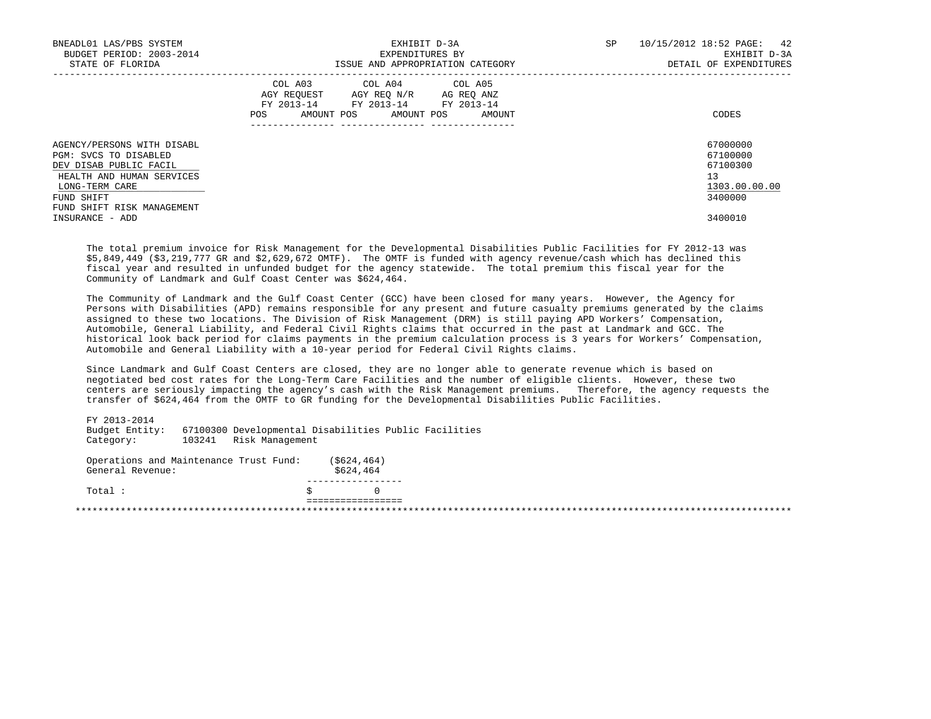| BNEADL01 LAS/PBS SYSTEM<br>BUDGET PERIOD: 2003-2014<br>STATE OF FLORIDA                                                                                                  | EXHIBIT D-3A<br>EXPENDITURES BY<br>ISSUE AND APPROPRIATION CATEGORY                                                                         | 10/15/2012 18:52 PAGE: 42<br>SP<br>EXHIBIT D-3A<br>DETAIL OF EXPENDITURES |
|--------------------------------------------------------------------------------------------------------------------------------------------------------------------------|---------------------------------------------------------------------------------------------------------------------------------------------|---------------------------------------------------------------------------|
|                                                                                                                                                                          | COL A03 COL A04 COL A05<br>AGY REQUEST AGY REQ N/R AG REQ ANZ<br>FY 2013-14 FY 2013-14 FY 2013-14<br>AMOUNT POS AMOUNT POS<br>AMOUNT<br>POS | CODES                                                                     |
| AGENCY/PERSONS WITH DISABL<br>PGM: SVCS TO DISABLED<br>DEV DISAB PUBLIC FACIL<br>HEALTH AND HUMAN SERVICES<br>LONG-TERM CARE<br>FUND SHIFT<br>FUND SHIFT RISK MANAGEMENT |                                                                                                                                             | 67000000<br>67100000<br>67100300<br>13<br>1303.00.00.00<br>3400000        |
| INSURANCE - ADD                                                                                                                                                          |                                                                                                                                             | 3400010                                                                   |

 The total premium invoice for Risk Management for the Developmental Disabilities Public Facilities for FY 2012-13 was \$5,849,449 (\$3,219,777 GR and \$2,629,672 OMTF). The OMTF is funded with agency revenue/cash which has declined this fiscal year and resulted in unfunded budget for the agency statewide. The total premium this fiscal year for the Community of Landmark and Gulf Coast Center was \$624,464.

 The Community of Landmark and the Gulf Coast Center (GCC) have been closed for many years. However, the Agency for Persons with Disabilities (APD) remains responsible for any present and future casualty premiums generated by the claims assigned to these two locations. The Division of Risk Management (DRM) is still paying APD Workers' Compensation, Automobile, General Liability, and Federal Civil Rights claims that occurred in the past at Landmark and GCC. The historical look back period for claims payments in the premium calculation process is 3 years for Workers' Compensation, Automobile and General Liability with a 10-year period for Federal Civil Rights claims.

 Since Landmark and Gulf Coast Centers are closed, they are no longer able to generate revenue which is based on negotiated bed cost rates for the Long-Term Care Facilities and the number of eligible clients. However, these two centers are seriously impacting the agency's cash with the Risk Management premiums. Therefore, the agency requests the transfer of \$624,464 from the OMTF to GR funding for the Developmental Disabilities Public Facilities.

 FY 2013-2014 Budget Entity: 67100300 Developmental Disabilities Public Facilities 103241 Risk Management Operations and Maintenance Trust Fund: (\$624,464)<br>General Revenue: \$624,464 General Revenue: -----------------  $Total:$  ================= \*\*\*\*\*\*\*\*\*\*\*\*\*\*\*\*\*\*\*\*\*\*\*\*\*\*\*\*\*\*\*\*\*\*\*\*\*\*\*\*\*\*\*\*\*\*\*\*\*\*\*\*\*\*\*\*\*\*\*\*\*\*\*\*\*\*\*\*\*\*\*\*\*\*\*\*\*\*\*\*\*\*\*\*\*\*\*\*\*\*\*\*\*\*\*\*\*\*\*\*\*\*\*\*\*\*\*\*\*\*\*\*\*\*\*\*\*\*\*\*\*\*\*\*\*\*\*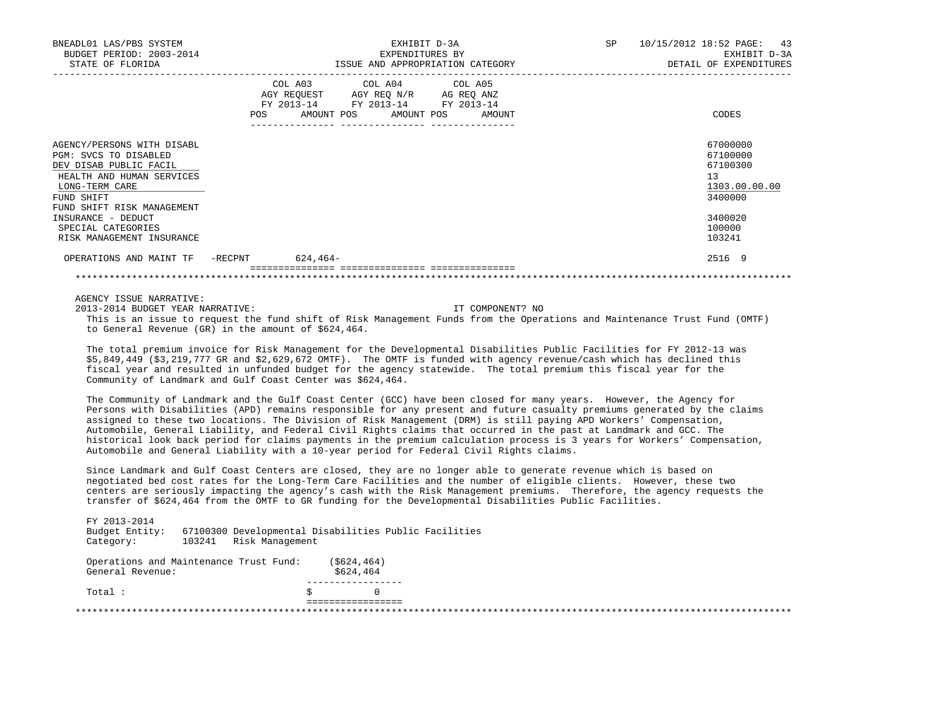| BNEADL01 LAS/PBS SYSTEM<br>BUDGET PERIOD: 2003-2014<br>STATE OF FLORIDA                                                                                                  |            | EXHIBIT D-3A<br>EXPENDITURES BY<br>ISSUE AND APPROPRIATION CATEGORY                                                               |  |  | SP | 10/15/2012 18:52 PAGE: 43<br>EXHIBIT D-3A<br>DETAIL OF EXPENDITURES |  |                                                                    |
|--------------------------------------------------------------------------------------------------------------------------------------------------------------------------|------------|-----------------------------------------------------------------------------------------------------------------------------------|--|--|----|---------------------------------------------------------------------|--|--------------------------------------------------------------------|
|                                                                                                                                                                          | <b>POS</b> | COL A03 COL A04 COL A05<br>AGY REQUEST AGY REQ N/R AG REQ ANZ<br>FY 2013-14 FY 2013-14 FY 2013-14<br>AMOUNT POS AMOUNT POS AMOUNT |  |  |    |                                                                     |  | CODES                                                              |
| AGENCY/PERSONS WITH DISABL<br>PGM: SVCS TO DISABLED<br>DEV DISAB PUBLIC FACIL<br>HEALTH AND HUMAN SERVICES<br>LONG-TERM CARE<br>FUND SHIFT<br>FUND SHIFT RISK MANAGEMENT |            |                                                                                                                                   |  |  |    |                                                                     |  | 67000000<br>67100000<br>67100300<br>13<br>1303.00.00.00<br>3400000 |
| INSURANCE - DEDUCT<br>SPECIAL CATEGORIES<br>RISK MANAGEMENT INSURANCE                                                                                                    |            |                                                                                                                                   |  |  |    |                                                                     |  | 3400020<br>100000<br>103241                                        |
| OPERATIONS AND MAINT TF -RECPNT 624,464-                                                                                                                                 |            |                                                                                                                                   |  |  |    |                                                                     |  | 2516 9                                                             |
|                                                                                                                                                                          |            |                                                                                                                                   |  |  |    |                                                                     |  |                                                                    |

# AGENCY ISSUE NARRATIVE:

 2013-2014 BUDGET YEAR NARRATIVE: IT COMPONENT? NO This is an issue to request the fund shift of Risk Management Funds from the Operations and Maintenance Trust Fund (OMTF) to General Revenue (GR) in the amount of \$624,464.

 The total premium invoice for Risk Management for the Developmental Disabilities Public Facilities for FY 2012-13 was \$5,849,449 (\$3,219,777 GR and \$2,629,672 OMTF). The OMTF is funded with agency revenue/cash which has declined this fiscal year and resulted in unfunded budget for the agency statewide. The total premium this fiscal year for the Community of Landmark and Gulf Coast Center was \$624,464.

 The Community of Landmark and the Gulf Coast Center (GCC) have been closed for many years. However, the Agency for Persons with Disabilities (APD) remains responsible for any present and future casualty premiums generated by the claims assigned to these two locations. The Division of Risk Management (DRM) is still paying APD Workers' Compensation, Automobile, General Liability, and Federal Civil Rights claims that occurred in the past at Landmark and GCC. The historical look back period for claims payments in the premium calculation process is 3 years for Workers' Compensation, Automobile and General Liability with a 10-year period for Federal Civil Rights claims.

 Since Landmark and Gulf Coast Centers are closed, they are no longer able to generate revenue which is based on negotiated bed cost rates for the Long-Term Care Facilities and the number of eligible clients. However, these two centers are seriously impacting the agency's cash with the Risk Management premiums. Therefore, the agency requests the transfer of \$624,464 from the OMTF to GR funding for the Developmental Disabilities Public Facilities.

 FY 2013-2014 Budget Entity: 67100300 Developmental Disabilities Public Facilities 103241 Risk Management

 Operations and Maintenance Trust Fund: (\$624,464) General Revenue:  $$624,464$ ------------------<br>\$ 0  $Total:$   $\qquad \qquad$   $\qquad \qquad$   $\qquad$   $\qquad$   $\qquad$   $\qquad$   $\qquad$   $\qquad$   $\qquad$   $\qquad$   $\qquad$   $\qquad$   $\qquad$   $\qquad$   $\qquad$   $\qquad$   $\qquad$   $\qquad$   $\qquad$   $\qquad$   $\qquad$   $\qquad$   $\qquad$   $\qquad$   $\qquad$   $\qquad$   $\qquad$   $\qquad$   $\qquad$   $\qquad$   $\qquad$   $\qquad$   $\qquad$   $\qquad$   $\qquad$  ================= \*\*\*\*\*\*\*\*\*\*\*\*\*\*\*\*\*\*\*\*\*\*\*\*\*\*\*\*\*\*\*\*\*\*\*\*\*\*\*\*\*\*\*\*\*\*\*\*\*\*\*\*\*\*\*\*\*\*\*\*\*\*\*\*\*\*\*\*\*\*\*\*\*\*\*\*\*\*\*\*\*\*\*\*\*\*\*\*\*\*\*\*\*\*\*\*\*\*\*\*\*\*\*\*\*\*\*\*\*\*\*\*\*\*\*\*\*\*\*\*\*\*\*\*\*\*\*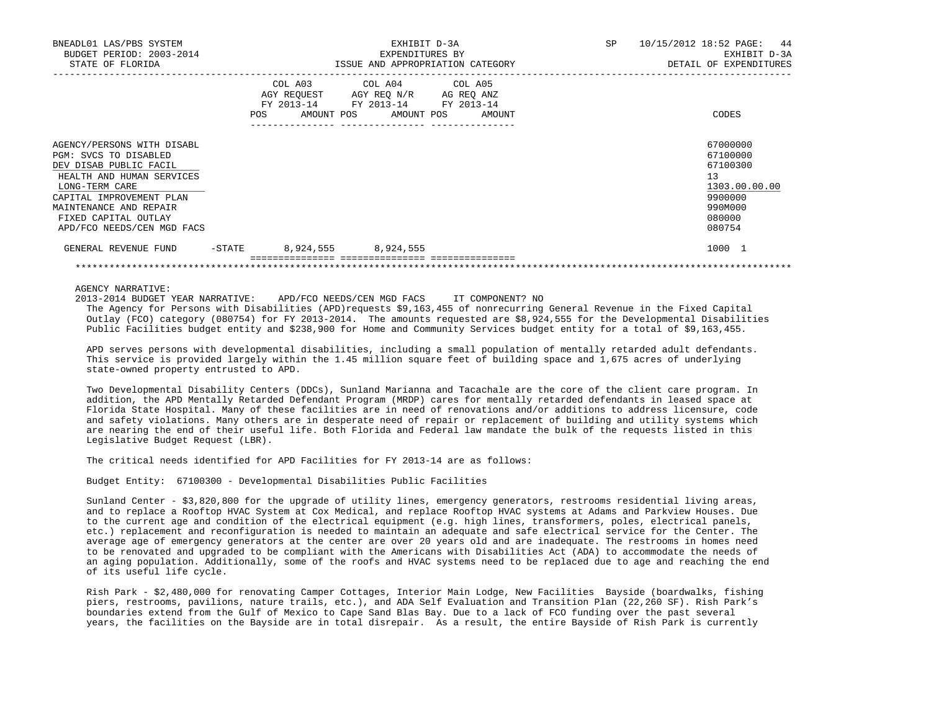| BNEADL01 LAS/PBS SYSTEM<br>BUDGET PERIOD: 2003-2014<br>STATE OF FLORIDA                                                                                                                                                                  |        | EXHIBIT D-3A<br>EXPENDITURES BY<br>ISSUE AND APPROPRIATION CATEGORY                                                                   |  |  |  | SP | 10/15/2012 18:52 PAGE: 44<br>EXHIBIT D-3A<br>DETAIL OF EXPENDITURES |                                                                                                   |
|------------------------------------------------------------------------------------------------------------------------------------------------------------------------------------------------------------------------------------------|--------|---------------------------------------------------------------------------------------------------------------------------------------|--|--|--|----|---------------------------------------------------------------------|---------------------------------------------------------------------------------------------------|
|                                                                                                                                                                                                                                          |        | COL A03 COL A04 COL A05<br>AGY REQUEST AGY REQ N/R AG REQ ANZ<br>FY 2013-14 FY 2013-14 FY 2013-14<br>POS AMOUNT POS AMOUNT POS AMOUNT |  |  |  |    |                                                                     | CODES                                                                                             |
| AGENCY/PERSONS WITH DISABL<br>PGM: SVCS TO DISABLED<br>DEV DISAB PUBLIC FACIL<br>HEALTH AND HUMAN SERVICES<br>LONG-TERM CARE<br>CAPITAL IMPROVEMENT PLAN<br>MAINTENANCE AND REPAIR<br>FIXED CAPITAL OUTLAY<br>APD/FCO NEEDS/CEN MGD FACS |        |                                                                                                                                       |  |  |  |    |                                                                     | 67000000<br>67100000<br>67100300<br>13<br>1303.00.00.00<br>9900000<br>990M000<br>080000<br>080754 |
| GENERAL REVENUE FUND                                                                                                                                                                                                                     | -STATE | 8,924,555 8,924,555                                                                                                                   |  |  |  |    |                                                                     | 1000 1                                                                                            |

AGENCY NARRATIVE:

2013-2014 BUDGET YEAR NARRATIVE: APD/FCO NEEDS/CEN MGD FACS IT COMPONENT? NO

 The Agency for Persons with Disabilities (APD)requests \$9,163,455 of nonrecurring General Revenue in the Fixed Capital Outlay (FCO) category (080754) for FY 2013-2014. The amounts requested are \$8,924,555 for the Developmental Disabilities Public Facilities budget entity and \$238,900 for Home and Community Services budget entity for a total of \$9,163,455.

\*\*\*\*\*\*\*\*\*\*\*\*\*\*\*\*\*\*\*\*\*\*\*\*\*\*\*\*\*\*\*\*\*\*\*\*\*\*\*\*\*\*\*\*\*\*\*\*\*\*\*\*\*\*\*\*\*\*\*\*\*\*\*\*\*\*\*\*\*\*\*\*\*\*\*\*\*\*\*\*\*\*\*\*\*\*\*\*\*\*\*\*\*\*\*\*\*\*\*\*\*\*\*\*\*\*\*\*\*\*\*\*\*\*\*\*\*\*\*\*\*\*\*\*\*\*\*

 APD serves persons with developmental disabilities, including a small population of mentally retarded adult defendants. This service is provided largely within the 1.45 million square feet of building space and 1,675 acres of underlying state-owned property entrusted to APD.

 Two Developmental Disability Centers (DDCs), Sunland Marianna and Tacachale are the core of the client care program. In addition, the APD Mentally Retarded Defendant Program (MRDP) cares for mentally retarded defendants in leased space at Florida State Hospital. Many of these facilities are in need of renovations and/or additions to address licensure, code and safety violations. Many others are in desperate need of repair or replacement of building and utility systems which are nearing the end of their useful life. Both Florida and Federal law mandate the bulk of the requests listed in this Legislative Budget Request (LBR).

The critical needs identified for APD Facilities for FY 2013-14 are as follows:

Budget Entity: 67100300 - Developmental Disabilities Public Facilities

 Sunland Center - \$3,820,800 for the upgrade of utility lines, emergency generators, restrooms residential living areas, and to replace a Rooftop HVAC System at Cox Medical, and replace Rooftop HVAC systems at Adams and Parkview Houses. Due to the current age and condition of the electrical equipment (e.g. high lines, transformers, poles, electrical panels, etc.) replacement and reconfiguration is needed to maintain an adequate and safe electrical service for the Center. The average age of emergency generators at the center are over 20 years old and are inadequate. The restrooms in homes need to be renovated and upgraded to be compliant with the Americans with Disabilities Act (ADA) to accommodate the needs of an aging population. Additionally, some of the roofs and HVAC systems need to be replaced due to age and reaching the end of its useful life cycle.

 Rish Park - \$2,480,000 for renovating Camper Cottages, Interior Main Lodge, New Facilities Bayside (boardwalks, fishing piers, restrooms, pavilions, nature trails, etc.), and ADA Self Evaluation and Transition Plan (22,260 SF). Rish Park's boundaries extend from the Gulf of Mexico to Cape Sand Blas Bay. Due to a lack of FCO funding over the past several years, the facilities on the Bayside are in total disrepair. As a result, the entire Bayside of Rish Park is currently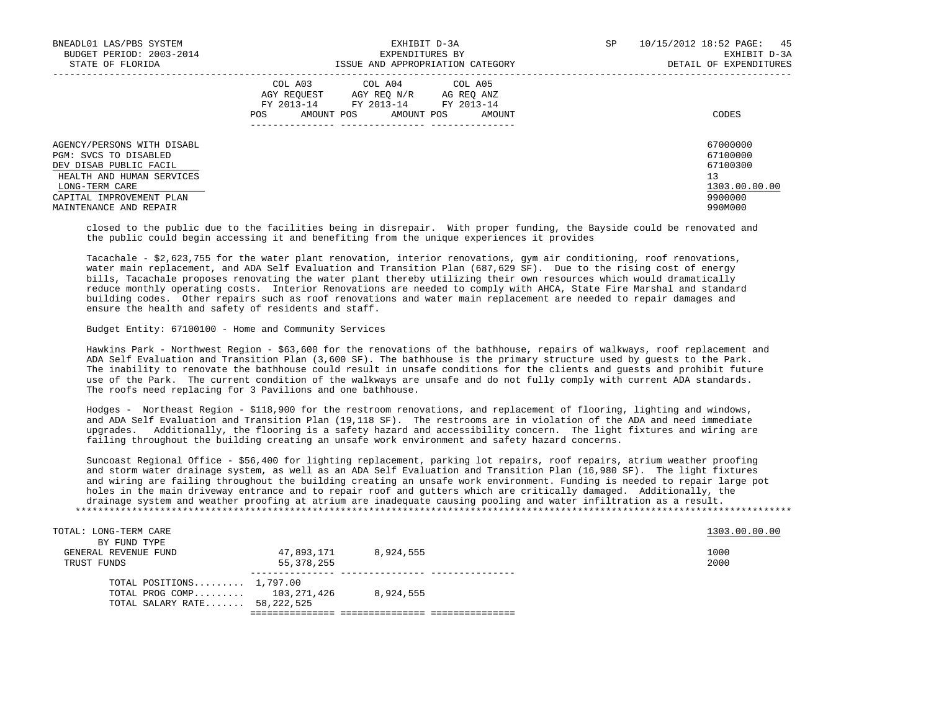| BNEADL01 LAS/PBS SYSTEM<br>BUDGET PERIOD: 2003-2014<br>STATE OF FLORIDA                                                                                                            | EXHIBIT D-3A<br>EXPENDITURES BY<br>ISSUE AND APPROPRIATION CATEGORY                                                                                     | SP<br>10/15/2012 18:52 PAGE: 45<br>EXHIBIT D-3A<br>DETAIL OF EXPENDITURES     |  |  |
|------------------------------------------------------------------------------------------------------------------------------------------------------------------------------------|---------------------------------------------------------------------------------------------------------------------------------------------------------|-------------------------------------------------------------------------------|--|--|
|                                                                                                                                                                                    | COL A03<br>COL A04 COL A05<br>AGY REOUEST<br>AGY REQ N/R AG REQ ANZ<br>FY 2013-14<br>FY 2013-14 FY 2013-14<br>AMOUNT POS<br>AMOUNT POS<br>AMOUNT<br>POS | CODES                                                                         |  |  |
| AGENCY/PERSONS WITH DISABL<br>PGM: SVCS TO DISABLED<br>DEV DISAB PUBLIC FACIL<br>HEALTH AND HUMAN SERVICES<br>LONG-TERM CARE<br>CAPITAL IMPROVEMENT PLAN<br>MAINTENANCE AND REPAIR |                                                                                                                                                         | 67000000<br>67100000<br>67100300<br>13<br>1303.00.00.00<br>9900000<br>990M000 |  |  |

 closed to the public due to the facilities being in disrepair. With proper funding, the Bayside could be renovated and the public could begin accessing it and benefiting from the unique experiences it provides

 Tacachale - \$2,623,755 for the water plant renovation, interior renovations, gym air conditioning, roof renovations, water main replacement, and ADA Self Evaluation and Transition Plan (687,629 SF). Due to the rising cost of energy bills, Tacachale proposes renovating the water plant thereby utilizing their own resources which would dramatically reduce monthly operating costs. Interior Renovations are needed to comply with AHCA, State Fire Marshal and standard building codes. Other repairs such as roof renovations and water main replacement are needed to repair damages and ensure the health and safety of residents and staff.

#### Budget Entity: 67100100 - Home and Community Services

 Hawkins Park - Northwest Region - \$63,600 for the renovations of the bathhouse, repairs of walkways, roof replacement and ADA Self Evaluation and Transition Plan (3,600 SF). The bathhouse is the primary structure used by guests to the Park. The inability to renovate the bathhouse could result in unsafe conditions for the clients and guests and prohibit future use of the Park. The current condition of the walkways are unsafe and do not fully comply with current ADA standards. The roofs need replacing for 3 Pavilions and one bathhouse.

 Hodges - Northeast Region - \$118,900 for the restroom renovations, and replacement of flooring, lighting and windows, and ADA Self Evaluation and Transition Plan (19,118 SF). The restrooms are in violation of the ADA and need immediate upgrades. Additionally, the flooring is a safety hazard and accessibility concern. The light fixtures and wiring are failing throughout the building creating an unsafe work environment and safety hazard concerns.

 Suncoast Regional Office - \$56,400 for lighting replacement, parking lot repairs, roof repairs, atrium weather proofing and storm water drainage system, as well as an ADA Self Evaluation and Transition Plan (16,980 SF). The light fixtures and wiring are failing throughout the building creating an unsafe work environment. Funding is needed to repair large pot holes in the main driveway entrance and to repair roof and gutters which are critically damaged. Additionally, the drainage system and weather proofing at atrium are inadequate causing pooling and water infiltration as a result. \*\*\*\*\*\*\*\*\*\*\*\*\*\*\*\*\*\*\*\*\*\*\*\*\*\*\*\*\*\*\*\*\*\*\*\*\*\*\*\*\*\*\*\*\*\*\*\*\*\*\*\*\*\*\*\*\*\*\*\*\*\*\*\*\*\*\*\*\*\*\*\*\*\*\*\*\*\*\*\*\*\*\*\*\*\*\*\*\*\*\*\*\*\*\*\*\*\*\*\*\*\*\*\*\*\*\*\*\*\*\*\*\*\*\*\*\*\*\*\*\*\*\*\*\*\*\*

| TOTAL: LONG-TERM CARE          |            |           | 1303.00.00.00 |
|--------------------------------|------------|-----------|---------------|
| BY FUND TYPE                   |            |           |               |
| GENERAL REVENUE FUND           | 47,893,171 | 8,924,555 | 1000          |
| TRUST FUNDS                    | 55,378,255 |           | 2000          |
| TOTAL POSITIONS $1,797.00$     |            |           |               |
| TOTAL PROG COMP 103,271,426    |            | 8,924,555 |               |
| TOTAL SALARY RATE 58, 222, 525 |            |           |               |
|                                |            |           |               |